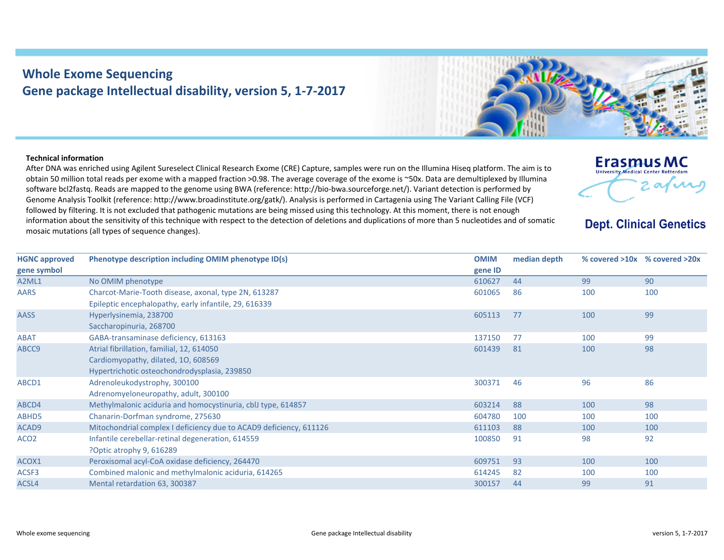## **Whole Exome Sequencing Gene package Intellectual disability, version 5, 1‐7‐2017**

## **Technical information**

After DNA was enriched using Agilent Sureselect Clinical Research Exome (CRE) Capture, samples were run on the Illumina Hiseq platform. The aim is to obtain 50 million total reads per exome with <sup>a</sup> mapped fraction >0.98. The average coverage of the exome is ~50x. Data are demultiplexed by Illumina software bcl2fastq. Reads are mapped to the genome using BWA (reference: http://bio‐bwa.sourceforge.net/). Variant detection is performed by Genome Analysis Toolkit (reference: http://www.broadinstitute.org/gatk/). Analysis is performed in Cartagenia using The Variant Calling File (VCF) followed by filtering. It is not excluded that pathogenic mutations are being missed using this technology. At this moment, there is not enough information about the sensitivity of this technique with respect to the detection of deletions and duplications of more than 5 nucleotides and of somatic mosaic mutations (all types of sequence changes).

**Dept. Clinical Genetics** 

**Erasmus MC University Medical Center** 

 $\boldsymbol{\mathcal{M}}$ 

| Phenotype description including OMIM phenotype ID(s)               | <b>OMIM</b>                                  | median depth |     |                               |
|--------------------------------------------------------------------|----------------------------------------------|--------------|-----|-------------------------------|
|                                                                    | gene ID                                      |              |     |                               |
|                                                                    | 610627                                       | 44           | 99  | 90                            |
| Charcot-Marie-Tooth disease, axonal, type 2N, 613287               | 601065                                       | 86           | 100 | 100                           |
| Epileptic encephalopathy, early infantile, 29, 616339              |                                              |              |     |                               |
| Hyperlysinemia, 238700                                             | 605113                                       | 77           | 100 | 99                            |
|                                                                    |                                              |              |     |                               |
| GABA-transaminase deficiency, 613163                               | 137150                                       | 77           | 100 | 99                            |
| Atrial fibrillation, familial, 12, 614050                          | 601439                                       | 81           | 100 | 98                            |
| Cardiomyopathy, dilated, 10, 608569                                |                                              |              |     |                               |
| Hypertrichotic osteochondrodysplasia, 239850                       |                                              |              |     |                               |
| Adrenoleukodystrophy, 300100                                       | 300371                                       | 46           | 96  | 86                            |
| Adrenomyeloneuropathy, adult, 300100                               |                                              |              |     |                               |
| Methylmalonic aciduria and homocystinuria, cblJ type, 614857       | 603214                                       | 88           | 100 | 98                            |
| Chanarin-Dorfman syndrome, 275630                                  | 604780                                       | 100          | 100 | 100                           |
| Mitochondrial complex I deficiency due to ACAD9 deficiency, 611126 | 611103                                       | 88           | 100 | 100                           |
| Infantile cerebellar-retinal degeneration, 614559                  | 100850                                       | 91           | 98  | 92                            |
| ?Optic atrophy 9, 616289                                           |                                              |              |     |                               |
| Peroxisomal acyl-CoA oxidase deficiency, 264470                    | 609751                                       | 93           | 100 | 100                           |
| Combined malonic and methylmalonic aciduria, 614265                | 614245                                       | 82           | 100 | 100                           |
| Mental retardation 63, 300387                                      | 300157                                       | 44           | 99  | 91                            |
|                                                                    | No OMIM phenotype<br>Saccharopinuria, 268700 |              |     | % covered >10x % covered >20x |

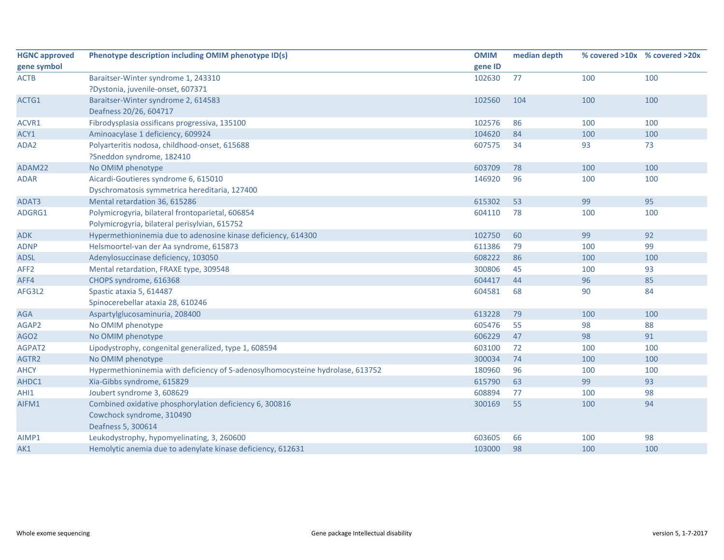| <b>HGNC approved</b> | Phenotype description including OMIM phenotype ID(s)                           | <b>OMIM</b> | median depth |     | % covered >10x % covered >20x |
|----------------------|--------------------------------------------------------------------------------|-------------|--------------|-----|-------------------------------|
| gene symbol          |                                                                                | gene ID     |              |     |                               |
| <b>ACTB</b>          | Baraitser-Winter syndrome 1, 243310                                            | 102630      | 77           | 100 | 100                           |
|                      | ?Dystonia, juvenile-onset, 607371                                              |             |              |     |                               |
| ACTG1                | Baraitser-Winter syndrome 2, 614583                                            | 102560      | 104          | 100 | 100                           |
|                      | Deafness 20/26, 604717                                                         |             |              |     |                               |
| ACVR1                | Fibrodysplasia ossificans progressiva, 135100                                  | 102576      | 86           | 100 | 100                           |
| ACY1                 | Aminoacylase 1 deficiency, 609924                                              | 104620      | 84           | 100 | 100                           |
| ADA2                 | Polyarteritis nodosa, childhood-onset, 615688                                  | 607575      | 34           | 93  | 73                            |
|                      | ?Sneddon syndrome, 182410                                                      |             |              |     |                               |
| ADAM22               | No OMIM phenotype                                                              | 603709      | 78           | 100 | 100                           |
| <b>ADAR</b>          | Aicardi-Goutieres syndrome 6, 615010                                           | 146920      | 96           | 100 | 100                           |
|                      | Dyschromatosis symmetrica hereditaria, 127400                                  |             |              |     |                               |
| ADAT3                | Mental retardation 36, 615286                                                  | 615302      | 53           | 99  | 95                            |
| ADGRG1               | Polymicrogyria, bilateral frontoparietal, 606854                               | 604110      | 78           | 100 | 100                           |
|                      | Polymicrogyria, bilateral perisylvian, 615752                                  |             |              |     |                               |
| <b>ADK</b>           | Hypermethioninemia due to adenosine kinase deficiency, 614300                  | 102750      | 60           | 99  | 92                            |
| <b>ADNP</b>          | Helsmoortel-van der Aa syndrome, 615873                                        | 611386      | 79           | 100 | 99                            |
| <b>ADSL</b>          | Adenylosuccinase deficiency, 103050                                            | 608222      | 86           | 100 | 100                           |
| AFF <sub>2</sub>     | Mental retardation, FRAXE type, 309548                                         | 300806      | 45           | 100 | 93                            |
| AFF4                 | CHOPS syndrome, 616368                                                         | 604417      | 44           | 96  | 85                            |
| AFG3L2               | Spastic ataxia 5, 614487                                                       | 604581      | 68           | 90  | 84                            |
|                      | Spinocerebellar ataxia 28, 610246                                              |             |              |     |                               |
| <b>AGA</b>           | Aspartylglucosaminuria, 208400                                                 | 613228      | 79           | 100 | 100                           |
| AGAP2                | No OMIM phenotype                                                              | 605476      | 55           | 98  | 88                            |
| AGO <sub>2</sub>     | No OMIM phenotype                                                              | 606229      | 47           | 98  | 91                            |
| AGPAT2               | Lipodystrophy, congenital generalized, type 1, 608594                          | 603100      | 72           | 100 | 100                           |
| AGTR2                | No OMIM phenotype                                                              | 300034      | 74           | 100 | 100                           |
| <b>AHCY</b>          | Hypermethioninemia with deficiency of S-adenosylhomocysteine hydrolase, 613752 | 180960      | 96           | 100 | 100                           |
| AHDC1                | Xia-Gibbs syndrome, 615829                                                     | 615790      | 63           | 99  | 93                            |
| AHI1                 | Joubert syndrome 3, 608629                                                     | 608894      | 77           | 100 | 98                            |
| AIFM1                | Combined oxidative phosphorylation deficiency 6, 300816                        | 300169      | 55           | 100 | 94                            |
|                      | Cowchock syndrome, 310490                                                      |             |              |     |                               |
|                      | Deafness 5, 300614                                                             |             |              |     |                               |
| AIMP1                | Leukodystrophy, hypomyelinating, 3, 260600                                     | 603605      | 66           | 100 | 98                            |
| AK1                  | Hemolytic anemia due to adenylate kinase deficiency, 612631                    | 103000      | 98           | 100 | 100                           |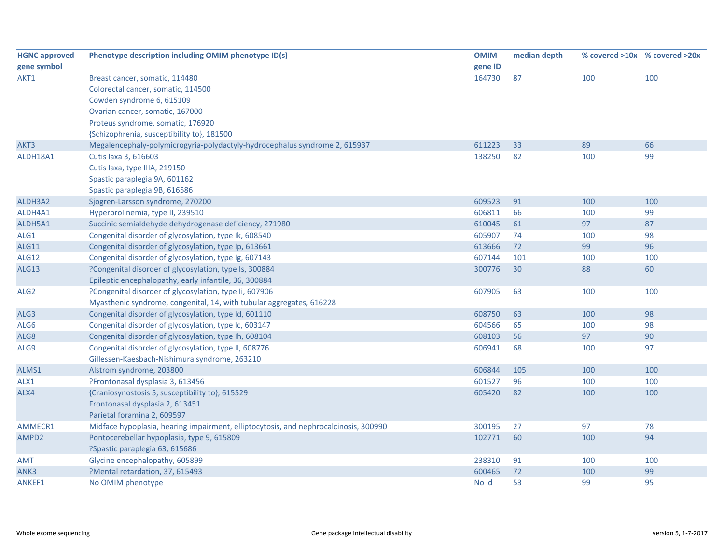| <b>HGNC approved</b> | Phenotype description including OMIM phenotype ID(s)                                 | <b>OMIM</b> | median depth |     | % covered >10x % covered >20x |
|----------------------|--------------------------------------------------------------------------------------|-------------|--------------|-----|-------------------------------|
| gene symbol          |                                                                                      | gene ID     |              |     |                               |
| AKT1                 | Breast cancer, somatic, 114480                                                       | 164730      | 87           | 100 | 100                           |
|                      | Colorectal cancer, somatic, 114500                                                   |             |              |     |                               |
|                      | Cowden syndrome 6, 615109                                                            |             |              |     |                               |
|                      | Ovarian cancer, somatic, 167000                                                      |             |              |     |                               |
|                      | Proteus syndrome, somatic, 176920                                                    |             |              |     |                               |
|                      | {Schizophrenia, susceptibility to}, 181500                                           |             |              |     |                               |
| AKT3                 | Megalencephaly-polymicrogyria-polydactyly-hydrocephalus syndrome 2, 615937           | 611223      | 33           | 89  | 66                            |
| ALDH18A1             | Cutis laxa 3, 616603                                                                 | 138250      | 82           | 100 | 99                            |
|                      | Cutis laxa, type IIIA, 219150                                                        |             |              |     |                               |
|                      | Spastic paraplegia 9A, 601162                                                        |             |              |     |                               |
|                      | Spastic paraplegia 9B, 616586                                                        |             |              |     |                               |
| ALDH3A2              | Sjogren-Larsson syndrome, 270200                                                     | 609523      | 91           | 100 | 100                           |
| ALDH4A1              | Hyperprolinemia, type II, 239510                                                     | 606811      | 66           | 100 | 99                            |
| ALDH5A1              | Succinic semialdehyde dehydrogenase deficiency, 271980                               | 610045      | 61           | 97  | 87                            |
| ALG1                 | Congenital disorder of glycosylation, type Ik, 608540                                | 605907      | 74           | 100 | 98                            |
| ALG11                | Congenital disorder of glycosylation, type Ip, 613661                                | 613666      | 72           | 99  | 96                            |
| ALG12                | Congenital disorder of glycosylation, type Ig, 607143                                | 607144      | 101          | 100 | 100                           |
| ALG13                | ?Congenital disorder of glycosylation, type Is, 300884                               | 300776      | 30           | 88  | 60                            |
|                      | Epileptic encephalopathy, early infantile, 36, 300884                                |             |              |     |                               |
| ALG <sub>2</sub>     | ?Congenital disorder of glycosylation, type Ii, 607906                               | 607905      | 63           | 100 | 100                           |
|                      | Myasthenic syndrome, congenital, 14, with tubular aggregates, 616228                 |             |              |     |                               |
| ALG3                 | Congenital disorder of glycosylation, type Id, 601110                                | 608750      | 63           | 100 | 98                            |
| ALG6                 | Congenital disorder of glycosylation, type Ic, 603147                                | 604566      | 65           | 100 | 98                            |
| ALG8                 | Congenital disorder of glycosylation, type Ih, 608104                                | 608103      | 56           | 97  | 90                            |
| ALG9                 | Congenital disorder of glycosylation, type II, 608776                                | 606941      | 68           | 100 | 97                            |
|                      | Gillessen-Kaesbach-Nishimura syndrome, 263210                                        |             |              |     |                               |
| ALMS1                | Alstrom syndrome, 203800                                                             | 606844      | 105          | 100 | 100                           |
| ALX1                 | ?Frontonasal dysplasia 3, 613456                                                     | 601527      | 96           | 100 | 100                           |
| ALX4                 | {Craniosynostosis 5, susceptibility to}, 615529                                      | 605420      | 82           | 100 | 100                           |
|                      | Frontonasal dysplasia 2, 613451                                                      |             |              |     |                               |
|                      | Parietal foramina 2, 609597                                                          |             |              |     |                               |
| AMMECR1              | Midface hypoplasia, hearing impairment, elliptocytosis, and nephrocalcinosis, 300990 | 300195      | 27           | 97  | 78                            |
| AMPD2                | Pontocerebellar hypoplasia, type 9, 615809                                           | 102771      | 60           | 100 | 94                            |
|                      | ?Spastic paraplegia 63, 615686                                                       |             |              |     |                               |
| <b>AMT</b>           | Glycine encephalopathy, 605899                                                       | 238310      | 91           | 100 | 100                           |
| ANK3                 | ?Mental retardation, 37, 615493                                                      | 600465      | 72           | 100 | 99                            |
| <b>ANKEF1</b>        | No OMIM phenotype                                                                    | No id       | 53           | 99  | 95                            |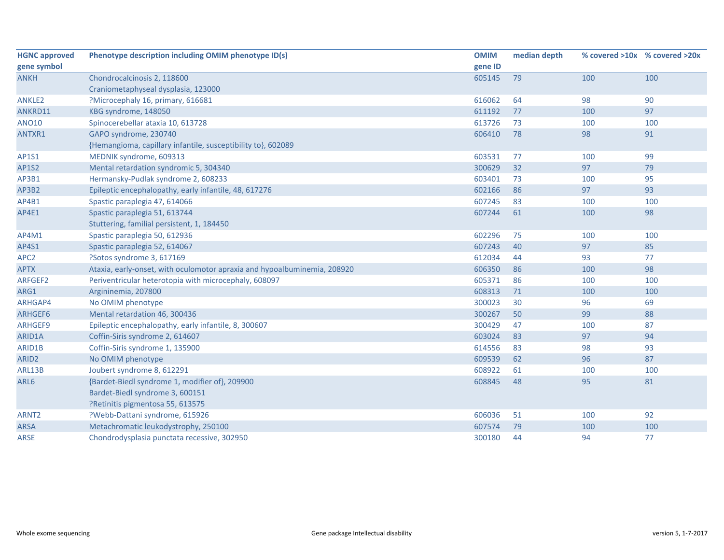| <b>HGNC approved</b> | Phenotype description including OMIM phenotype ID(s)                     | <b>OMIM</b> | median depth |     | % covered >10x % covered >20x |
|----------------------|--------------------------------------------------------------------------|-------------|--------------|-----|-------------------------------|
| gene symbol          |                                                                          | gene ID     |              |     |                               |
| <b>ANKH</b>          | Chondrocalcinosis 2, 118600                                              | 605145      | 79           | 100 | 100                           |
|                      | Craniometaphyseal dysplasia, 123000                                      |             |              |     |                               |
| <b>ANKLE2</b>        | ?Microcephaly 16, primary, 616681                                        | 616062      | 64           | 98  | 90                            |
| ANKRD11              | KBG syndrome, 148050                                                     | 611192      | 77           | 100 | 97                            |
| <b>ANO10</b>         | Spinocerebellar ataxia 10, 613728                                        | 613726      | 73           | 100 | 100                           |
| ANTXR1               | GAPO syndrome, 230740                                                    | 606410      | 78           | 98  | 91                            |
|                      | {Hemangioma, capillary infantile, susceptibility to}, 602089             |             |              |     |                               |
| AP1S1                | MEDNIK syndrome, 609313                                                  | 603531      | 77           | 100 | 99                            |
| <b>AP1S2</b>         | Mental retardation syndromic 5, 304340                                   | 300629      | 32           | 97  | 79                            |
| AP3B1                | Hermansky-Pudlak syndrome 2, 608233                                      | 603401      | 73           | 100 | 95                            |
| AP3B2                | Epileptic encephalopathy, early infantile, 48, 617276                    | 602166      | 86           | 97  | 93                            |
| AP4B1                | Spastic paraplegia 47, 614066                                            | 607245      | 83           | 100 | 100                           |
| AP4E1                | Spastic paraplegia 51, 613744                                            | 607244      | 61           | 100 | 98                            |
|                      | Stuttering, familial persistent, 1, 184450                               |             |              |     |                               |
| AP4M1                | Spastic paraplegia 50, 612936                                            | 602296      | 75           | 100 | 100                           |
| AP4S1                | Spastic paraplegia 52, 614067                                            | 607243      | 40           | 97  | 85                            |
| APC <sub>2</sub>     | ?Sotos syndrome 3, 617169                                                | 612034      | 44           | 93  | 77                            |
| <b>APTX</b>          | Ataxia, early-onset, with oculomotor apraxia and hypoalbuminemia, 208920 | 606350      | 86           | 100 | 98                            |
| ARFGEF2              | Periventricular heterotopia with microcephaly, 608097                    | 605371      | 86           | 100 | 100                           |
| ARG1                 | Argininemia, 207800                                                      | 608313      | 71           | 100 | 100                           |
| ARHGAP4              | No OMIM phenotype                                                        | 300023      | 30           | 96  | 69                            |
| ARHGEF6              | Mental retardation 46, 300436                                            | 300267      | 50           | 99  | 88                            |
| ARHGEF9              | Epileptic encephalopathy, early infantile, 8, 300607                     | 300429      | 47           | 100 | 87                            |
| ARID1A               | Coffin-Siris syndrome 2, 614607                                          | 603024      | 83           | 97  | 94                            |
| ARID1B               | Coffin-Siris syndrome 1, 135900                                          | 614556      | 83           | 98  | 93                            |
| ARID <sub>2</sub>    | No OMIM phenotype                                                        | 609539      | 62           | 96  | 87                            |
| ARL13B               | Joubert syndrome 8, 612291                                               | 608922      | 61           | 100 | 100                           |
| ARL6                 | {Bardet-Biedl syndrome 1, modifier of}, 209900                           | 608845      | 48           | 95  | 81                            |
|                      | Bardet-Biedl syndrome 3, 600151                                          |             |              |     |                               |
|                      | ?Retinitis pigmentosa 55, 613575                                         |             |              |     |                               |
| ARNT <sub>2</sub>    | ?Webb-Dattani syndrome, 615926                                           | 606036      | 51           | 100 | 92                            |
| ARSA                 | Metachromatic leukodystrophy, 250100                                     | 607574      | 79           | 100 | 100                           |
| <b>ARSE</b>          | Chondrodysplasia punctata recessive, 302950                              | 300180      | 44           | 94  | 77                            |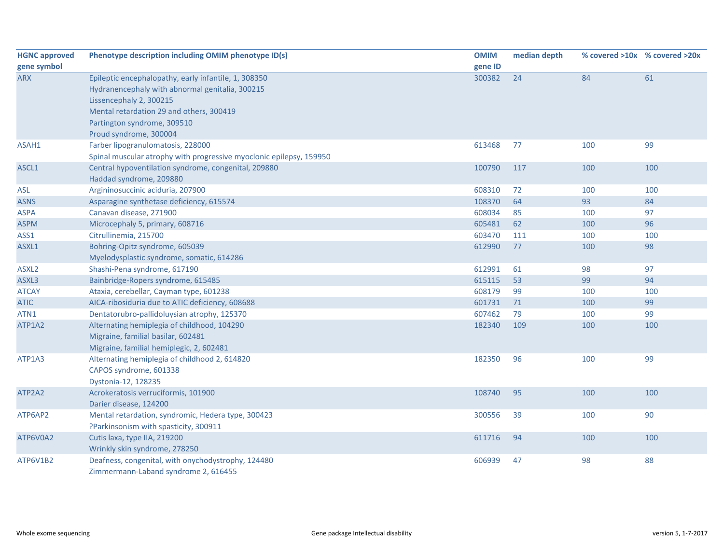| <b>HGNC approved</b> | Phenotype description including OMIM phenotype ID(s)                | <b>OMIM</b> | median depth |     | % covered >10x % covered >20x |
|----------------------|---------------------------------------------------------------------|-------------|--------------|-----|-------------------------------|
| gene symbol          |                                                                     | gene ID     |              |     |                               |
| <b>ARX</b>           | Epileptic encephalopathy, early infantile, 1, 308350                | 300382      | 24           | 84  | 61                            |
|                      | Hydranencephaly with abnormal genitalia, 300215                     |             |              |     |                               |
|                      | Lissencephaly 2, 300215                                             |             |              |     |                               |
|                      | Mental retardation 29 and others, 300419                            |             |              |     |                               |
|                      | Partington syndrome, 309510                                         |             |              |     |                               |
|                      | Proud syndrome, 300004                                              |             |              |     |                               |
| ASAH1                | Farber lipogranulomatosis, 228000                                   | 613468      | 77           | 100 | 99                            |
|                      | Spinal muscular atrophy with progressive myoclonic epilepsy, 159950 |             |              |     |                               |
| ASCL1                | Central hypoventilation syndrome, congenital, 209880                | 100790      | 117          | 100 | 100                           |
|                      | Haddad syndrome, 209880                                             |             |              |     |                               |
| <b>ASL</b>           | Argininosuccinic aciduria, 207900                                   | 608310      | 72           | 100 | 100                           |
| <b>ASNS</b>          | Asparagine synthetase deficiency, 615574                            | 108370      | 64           | 93  | 84                            |
| <b>ASPA</b>          | Canavan disease, 271900                                             | 608034      | 85           | 100 | 97                            |
| <b>ASPM</b>          | Microcephaly 5, primary, 608716                                     | 605481      | 62           | 100 | 96                            |
| ASS1                 | Citrullinemia, 215700                                               | 603470      | 111          | 100 | 100                           |
| ASXL1                | Bohring-Opitz syndrome, 605039                                      | 612990      | 77           | 100 | 98                            |
|                      | Myelodysplastic syndrome, somatic, 614286                           |             |              |     |                               |
| ASXL <sub>2</sub>    | Shashi-Pena syndrome, 617190                                        | 612991      | 61           | 98  | 97                            |
| ASXL3                | Bainbridge-Ropers syndrome, 615485                                  | 615115      | 53           | 99  | 94                            |
| <b>ATCAY</b>         | Ataxia, cerebellar, Cayman type, 601238                             | 608179      | 99           | 100 | 100                           |
| <b>ATIC</b>          | AICA-ribosiduria due to ATIC deficiency, 608688                     | 601731      | 71           | 100 | 99                            |
| ATN1                 | Dentatorubro-pallidoluysian atrophy, 125370                         | 607462      | 79           | 100 | 99                            |
| ATP1A2               | Alternating hemiplegia of childhood, 104290                         | 182340      | 109          | 100 | 100                           |
|                      | Migraine, familial basilar, 602481                                  |             |              |     |                               |
|                      | Migraine, familial hemiplegic, 2, 602481                            |             |              |     |                               |
| ATP1A3               | Alternating hemiplegia of childhood 2, 614820                       | 182350      | 96           | 100 | 99                            |
|                      | CAPOS syndrome, 601338                                              |             |              |     |                               |
|                      | Dystonia-12, 128235                                                 |             |              |     |                               |
| ATP2A2               | Acrokeratosis verruciformis, 101900                                 | 108740      | 95           | 100 | 100                           |
|                      | Darier disease, 124200                                              |             |              |     |                               |
| ATP6AP2              | Mental retardation, syndromic, Hedera type, 300423                  | 300556      | 39           | 100 | 90                            |
|                      | ?Parkinsonism with spasticity, 300911                               |             |              |     |                               |
| ATP6V0A2             | Cutis laxa, type IIA, 219200                                        | 611716      | 94           | 100 | 100                           |
|                      | Wrinkly skin syndrome, 278250                                       |             |              |     |                               |
| ATP6V1B2             | Deafness, congenital, with onychodystrophy, 124480                  | 606939      | 47           | 98  | 88                            |
|                      | Zimmermann-Laband syndrome 2, 616455                                |             |              |     |                               |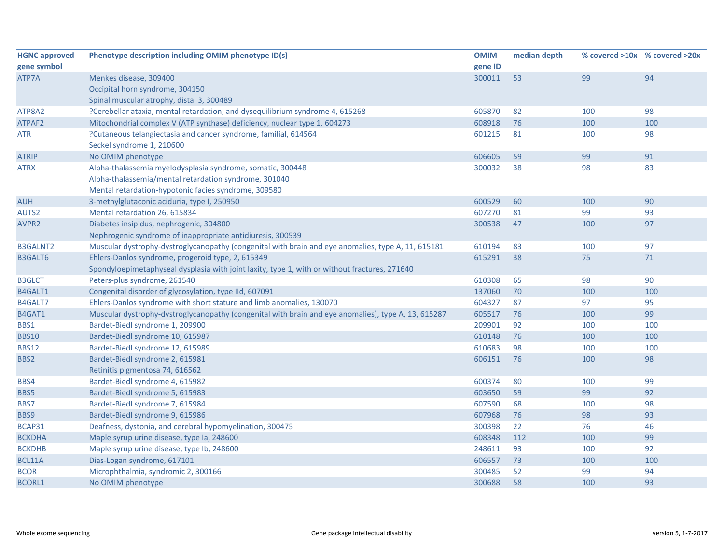| <b>HGNC approved</b> | Phenotype description including OMIM phenotype ID(s)                                                | <b>OMIM</b> | median depth |     | % covered >10x % covered >20x |
|----------------------|-----------------------------------------------------------------------------------------------------|-------------|--------------|-----|-------------------------------|
| gene symbol          |                                                                                                     | gene ID     |              |     |                               |
| ATP7A                | Menkes disease, 309400                                                                              | 300011      | 53           | 99  | 94                            |
|                      | Occipital horn syndrome, 304150                                                                     |             |              |     |                               |
|                      | Spinal muscular atrophy, distal 3, 300489                                                           |             |              |     |                               |
| ATP8A2               | ?Cerebellar ataxia, mental retardation, and dysequilibrium syndrome 4, 615268                       | 605870      | 82           | 100 | 98                            |
| ATPAF2               | Mitochondrial complex V (ATP synthase) deficiency, nuclear type 1, 604273                           | 608918      | 76           | 100 | 100                           |
| ATR                  | ?Cutaneous telangiectasia and cancer syndrome, familial, 614564                                     | 601215      | 81           | 100 | 98                            |
|                      | Seckel syndrome 1, 210600                                                                           |             |              |     |                               |
| <b>ATRIP</b>         | No OMIM phenotype                                                                                   | 606605      | 59           | 99  | 91                            |
| <b>ATRX</b>          | Alpha-thalassemia myelodysplasia syndrome, somatic, 300448                                          | 300032      | 38           | 98  | 83                            |
|                      | Alpha-thalassemia/mental retardation syndrome, 301040                                               |             |              |     |                               |
|                      | Mental retardation-hypotonic facies syndrome, 309580                                                |             |              |     |                               |
| <b>AUH</b>           | 3-methylglutaconic aciduria, type I, 250950                                                         | 600529      | 60           | 100 | 90                            |
| AUTS2                | Mental retardation 26, 615834                                                                       | 607270      | 81           | 99  | 93                            |
| AVPR2                | Diabetes insipidus, nephrogenic, 304800                                                             | 300538      | 47           | 100 | 97                            |
|                      | Nephrogenic syndrome of inappropriate antidiuresis, 300539                                          |             |              |     |                               |
| <b>B3GALNT2</b>      | Muscular dystrophy-dystroglycanopathy (congenital with brain and eye anomalies, type A, 11, 615181  | 610194      | 83           | 100 | 97                            |
| <b>B3GALT6</b>       | Ehlers-Danlos syndrome, progeroid type, 2, 615349                                                   | 615291      | 38           | 75  | 71                            |
|                      | Spondyloepimetaphyseal dysplasia with joint laxity, type 1, with or without fractures, 271640       |             |              |     |                               |
| <b>B3GLCT</b>        | Peters-plus syndrome, 261540                                                                        | 610308      | 65           | 98  | 90                            |
| B4GALT1              | Congenital disorder of glycosylation, type IId, 607091                                              | 137060      | 70           | 100 | 100                           |
| B4GALT7              | Ehlers-Danlos syndrome with short stature and limb anomalies, 130070                                | 604327      | 87           | 97  | 95                            |
| B4GAT1               | Muscular dystrophy-dystroglycanopathy (congenital with brain and eye anomalies), type A, 13, 615287 | 605517      | 76           | 100 | 99                            |
| BBS1                 | Bardet-Biedl syndrome 1, 209900                                                                     | 209901      | 92           | 100 | 100                           |
| <b>BBS10</b>         | Bardet-Biedl syndrome 10, 615987                                                                    | 610148      | 76           | 100 | 100                           |
| <b>BBS12</b>         | Bardet-Biedl syndrome 12, 615989                                                                    | 610683      | 98           | 100 | 100                           |
| BBS2                 | Bardet-Biedl syndrome 2, 615981                                                                     | 606151      | 76           | 100 | 98                            |
|                      | Retinitis pigmentosa 74, 616562                                                                     |             |              |     |                               |
| BBS4                 | Bardet-Biedl syndrome 4, 615982                                                                     | 600374      | 80           | 100 | 99                            |
| BBS5                 | Bardet-Biedl syndrome 5, 615983                                                                     | 603650      | 59           | 99  | 92                            |
| BBS7                 | Bardet-Biedl syndrome 7, 615984                                                                     | 607590      | 68           | 100 | 98                            |
| BBS9                 | Bardet-Biedl syndrome 9, 615986                                                                     | 607968      | 76           | 98  | 93                            |
| BCAP31               | Deafness, dystonia, and cerebral hypomyelination, 300475                                            | 300398      | 22           | 76  | 46                            |
| <b>BCKDHA</b>        | Maple syrup urine disease, type la, 248600                                                          | 608348      | 112          | 100 | 99                            |
| <b>BCKDHB</b>        | Maple syrup urine disease, type lb, 248600                                                          | 248611      | 93           | 100 | 92                            |
| BCL11A               | Dias-Logan syndrome, 617101                                                                         | 606557      | 73           | 100 | 100                           |
| <b>BCOR</b>          | Microphthalmia, syndromic 2, 300166                                                                 | 300485      | 52           | 99  | 94                            |
| <b>BCORL1</b>        | No OMIM phenotype                                                                                   | 300688      | 58           | 100 | 93                            |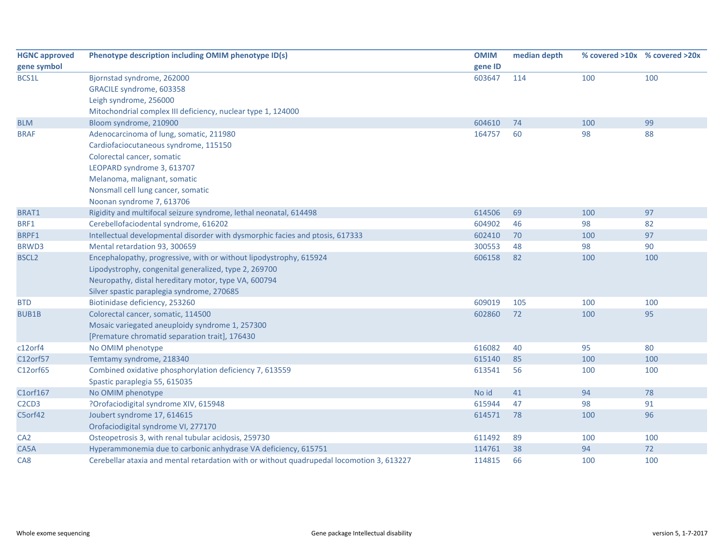| <b>HGNC approved</b>                       | Phenotype description including OMIM phenotype ID(s)                                      | <b>OMIM</b> | median depth |     | % covered >10x % covered >20x |
|--------------------------------------------|-------------------------------------------------------------------------------------------|-------------|--------------|-----|-------------------------------|
| gene symbol                                |                                                                                           | gene ID     |              |     |                               |
| BCS1L                                      | Bjornstad syndrome, 262000                                                                | 603647      | 114          | 100 | 100                           |
|                                            | GRACILE syndrome, 603358                                                                  |             |              |     |                               |
|                                            | Leigh syndrome, 256000                                                                    |             |              |     |                               |
|                                            | Mitochondrial complex III deficiency, nuclear type 1, 124000                              |             |              |     |                               |
| <b>BLM</b>                                 | Bloom syndrome, 210900                                                                    | 604610      | 74           | 100 | 99                            |
| <b>BRAF</b>                                | Adenocarcinoma of lung, somatic, 211980                                                   | 164757      | 60           | 98  | 88                            |
|                                            | Cardiofaciocutaneous syndrome, 115150                                                     |             |              |     |                               |
|                                            | Colorectal cancer, somatic                                                                |             |              |     |                               |
|                                            | LEOPARD syndrome 3, 613707                                                                |             |              |     |                               |
|                                            | Melanoma, malignant, somatic                                                              |             |              |     |                               |
|                                            | Nonsmall cell lung cancer, somatic                                                        |             |              |     |                               |
|                                            | Noonan syndrome 7, 613706                                                                 |             |              |     |                               |
| BRAT1                                      | Rigidity and multifocal seizure syndrome, lethal neonatal, 614498                         | 614506      | 69           | 100 | 97                            |
| BRF1                                       | Cerebellofaciodental syndrome, 616202                                                     | 604902      | 46           | 98  | 82                            |
| BRPF1                                      | Intellectual developmental disorder with dysmorphic facies and ptosis, 617333             | 602410      | 70           | 100 | 97                            |
| BRWD3                                      | Mental retardation 93, 300659                                                             | 300553      | 48           | 98  | 90                            |
| <b>BSCL2</b>                               | Encephalopathy, progressive, with or without lipodystrophy, 615924                        | 606158      | 82           | 100 | 100                           |
|                                            | Lipodystrophy, congenital generalized, type 2, 269700                                     |             |              |     |                               |
|                                            | Neuropathy, distal hereditary motor, type VA, 600794                                      |             |              |     |                               |
|                                            | Silver spastic paraplegia syndrome, 270685                                                |             |              |     |                               |
| <b>BTD</b>                                 | Biotinidase deficiency, 253260                                                            | 609019      | 105          | 100 | 100                           |
| <b>BUB1B</b>                               | Colorectal cancer, somatic, 114500                                                        | 602860      | 72           | 100 | 95                            |
|                                            | Mosaic variegated aneuploidy syndrome 1, 257300                                           |             |              |     |                               |
|                                            | [Premature chromatid separation trait], 176430                                            |             |              |     |                               |
| c12orf4                                    | No OMIM phenotype                                                                         | 616082      | 40           | 95  | 80                            |
| C12orf57                                   | Temtamy syndrome, 218340                                                                  | 615140      | 85           | 100 | 100                           |
| C12orf65                                   | Combined oxidative phosphorylation deficiency 7, 613559                                   | 613541      | 56           | 100 | 100                           |
|                                            | Spastic paraplegia 55, 615035                                                             |             |              |     |                               |
| C1orf167                                   | No OMIM phenotype                                                                         | No id       | 41           | 94  | 78                            |
| C <sub>2</sub> C <sub>D</sub> <sub>3</sub> | ?Orofaciodigital syndrome XIV, 615948                                                     | 615944      | 47           | 98  | 91                            |
| C5orf42                                    | Joubert syndrome 17, 614615                                                               | 614571      | 78           | 100 | 96                            |
|                                            | Orofaciodigital syndrome VI, 277170                                                       |             |              |     |                               |
| CA <sub>2</sub>                            | Osteopetrosis 3, with renal tubular acidosis, 259730                                      | 611492      | 89           | 100 | 100                           |
| CA5A                                       | Hyperammonemia due to carbonic anhydrase VA deficiency, 615751                            | 114761      | 38           | 94  | 72                            |
| CA <sub>8</sub>                            | Cerebellar ataxia and mental retardation with or without quadrupedal locomotion 3, 613227 | 114815      | 66           | 100 | 100                           |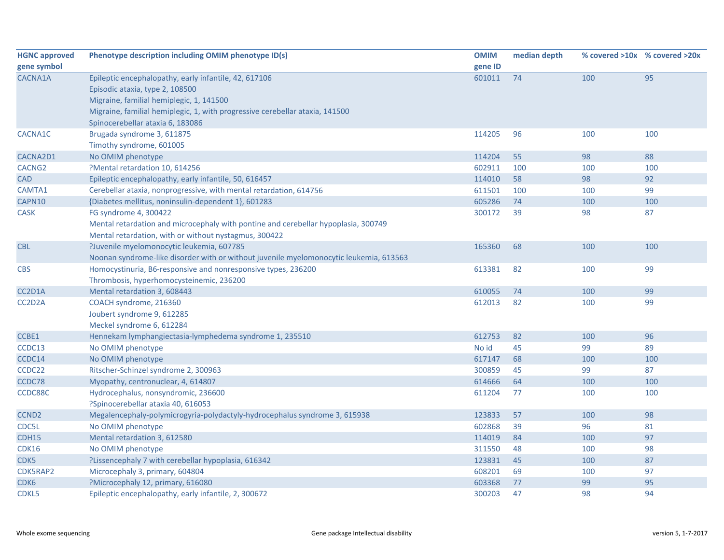| <b>HGNC approved</b> | Phenotype description including OMIM phenotype ID(s)                                   | <b>OMIM</b> | median depth |     | % covered >10x % covered >20x |
|----------------------|----------------------------------------------------------------------------------------|-------------|--------------|-----|-------------------------------|
| gene symbol          |                                                                                        | gene ID     |              |     |                               |
| CACNA1A              | Epileptic encephalopathy, early infantile, 42, 617106                                  | 601011      | 74           | 100 | 95                            |
|                      | Episodic ataxia, type 2, 108500                                                        |             |              |     |                               |
|                      | Migraine, familial hemiplegic, 1, 141500                                               |             |              |     |                               |
|                      | Migraine, familial hemiplegic, 1, with progressive cerebellar ataxia, 141500           |             |              |     |                               |
|                      | Spinocerebellar ataxia 6, 183086                                                       |             |              |     |                               |
| CACNA1C              | Brugada syndrome 3, 611875                                                             | 114205      | 96           | 100 | 100                           |
|                      | Timothy syndrome, 601005                                                               |             |              |     |                               |
| CACNA2D1             | No OMIM phenotype                                                                      | 114204      | 55           | 98  | 88                            |
| CACNG <sub>2</sub>   | ?Mental retardation 10, 614256                                                         | 602911      | 100          | 100 | 100                           |
| <b>CAD</b>           | Epileptic encephalopathy, early infantile, 50, 616457                                  | 114010      | 58           | 98  | 92                            |
| CAMTA1               | Cerebellar ataxia, nonprogressive, with mental retardation, 614756                     | 611501      | 100          | 100 | 99                            |
| CAPN10               | {Diabetes mellitus, noninsulin-dependent 1}, 601283                                    | 605286      | 74           | 100 | 100                           |
| <b>CASK</b>          | FG syndrome 4, 300422                                                                  | 300172      | 39           | 98  | 87                            |
|                      | Mental retardation and microcephaly with pontine and cerebellar hypoplasia, 300749     |             |              |     |                               |
|                      | Mental retardation, with or without nystagmus, 300422                                  |             |              |     |                               |
| <b>CBL</b>           | ?Juvenile myelomonocytic leukemia, 607785                                              | 165360      | 68           | 100 | 100                           |
|                      | Noonan syndrome-like disorder with or without juvenile myelomonocytic leukemia, 613563 |             |              |     |                               |
| <b>CBS</b>           | Homocystinuria, B6-responsive and nonresponsive types, 236200                          | 613381      | 82           | 100 | 99                            |
|                      | Thrombosis, hyperhomocysteinemic, 236200                                               |             |              |     |                               |
| CC2D1A               | Mental retardation 3, 608443                                                           | 610055      | 74           | 100 | 99                            |
| CC2D2A               | COACH syndrome, 216360                                                                 | 612013      | 82           | 100 | 99                            |
|                      | Joubert syndrome 9, 612285                                                             |             |              |     |                               |
|                      | Meckel syndrome 6, 612284                                                              |             |              |     |                               |
| CCBE1                | Hennekam lymphangiectasia-lymphedema syndrome 1, 235510                                | 612753      | 82           | 100 | 96                            |
| CCDC13               | No OMIM phenotype                                                                      | No id       | 45           | 99  | 89                            |
| CCDC14               | No OMIM phenotype                                                                      | 617147      | 68           | 100 | 100                           |
| CCDC22               | Ritscher-Schinzel syndrome 2, 300963                                                   | 300859      | 45           | 99  | 87                            |
| CCDC78               | Myopathy, centronuclear, 4, 614807                                                     | 614666      | 64           | 100 | 100                           |
| CCDC88C              | Hydrocephalus, nonsyndromic, 236600                                                    | 611204      | 77           | 100 | 100                           |
|                      | ?Spinocerebellar ataxia 40, 616053                                                     |             |              |     |                               |
| <b>CCND2</b>         | Megalencephaly-polymicrogyria-polydactyly-hydrocephalus syndrome 3, 615938             | 123833      | 57           | 100 | 98                            |
| CDC5L                | No OMIM phenotype                                                                      | 602868      | 39           | 96  | 81                            |
| CDH15                | Mental retardation 3, 612580                                                           | 114019      | 84           | 100 | 97                            |
| <b>CDK16</b>         | No OMIM phenotype                                                                      | 311550      | 48           | 100 | 98                            |
| CDK5                 | ?Lissencephaly 7 with cerebellar hypoplasia, 616342                                    | 123831      | 45           | 100 | 87                            |
| CDK5RAP2             | Microcephaly 3, primary, 604804                                                        | 608201      | 69           | 100 | 97                            |
| CDK <sub>6</sub>     | ?Microcephaly 12, primary, 616080                                                      | 603368      | 77           | 99  | 95                            |
| CDKL5                | Epileptic encephalopathy, early infantile, 2, 300672                                   | 300203      | 47           | 98  | 94                            |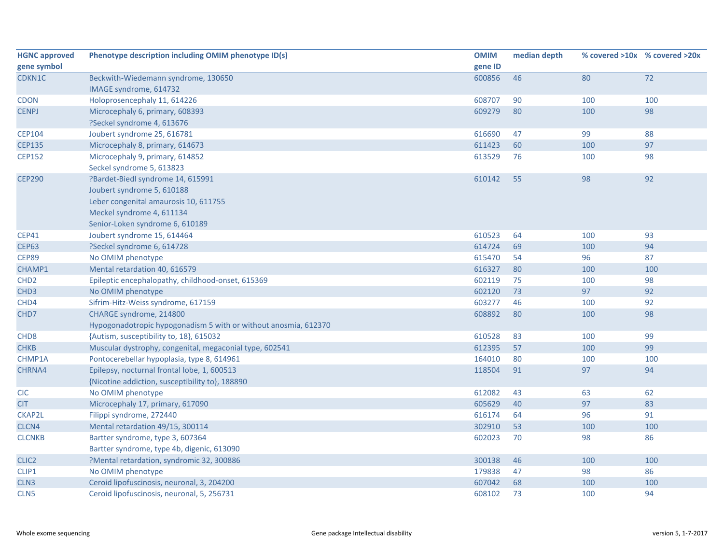| <b>HGNC approved</b> | Phenotype description including OMIM phenotype ID(s)            | <b>OMIM</b> | median depth |     | % covered >10x % covered >20x |
|----------------------|-----------------------------------------------------------------|-------------|--------------|-----|-------------------------------|
| gene symbol          |                                                                 | gene ID     |              |     |                               |
| CDKN1C               | Beckwith-Wiedemann syndrome, 130650                             | 600856      | 46           | 80  | 72                            |
|                      | IMAGE syndrome, 614732                                          |             |              |     |                               |
| <b>CDON</b>          | Holoprosencephaly 11, 614226                                    | 608707      | 90           | 100 | 100                           |
| <b>CENPJ</b>         | Microcephaly 6, primary, 608393                                 | 609279      | 80           | 100 | 98                            |
|                      | ?Seckel syndrome 4, 613676                                      |             |              |     |                               |
| <b>CEP104</b>        | Joubert syndrome 25, 616781                                     | 616690      | 47           | 99  | 88                            |
| <b>CEP135</b>        | Microcephaly 8, primary, 614673                                 | 611423      | 60           | 100 | 97                            |
| <b>CEP152</b>        | Microcephaly 9, primary, 614852                                 | 613529      | 76           | 100 | 98                            |
|                      | Seckel syndrome 5, 613823                                       |             |              |     |                               |
| <b>CEP290</b>        | ?Bardet-Biedl syndrome 14, 615991                               | 610142      | 55           | 98  | 92                            |
|                      | Joubert syndrome 5, 610188                                      |             |              |     |                               |
|                      | Leber congenital amaurosis 10, 611755                           |             |              |     |                               |
|                      | Meckel syndrome 4, 611134                                       |             |              |     |                               |
|                      | Senior-Loken syndrome 6, 610189                                 |             |              |     |                               |
| <b>CEP41</b>         | Joubert syndrome 15, 614464                                     | 610523      | 64           | 100 | 93                            |
| <b>CEP63</b>         | ?Seckel syndrome 6, 614728                                      | 614724      | 69           | 100 | 94                            |
| CEP89                | No OMIM phenotype                                               | 615470      | 54           | 96  | 87                            |
| CHAMP1               | Mental retardation 40, 616579                                   | 616327      | 80           | 100 | 100                           |
| CHD <sub>2</sub>     | Epileptic encephalopathy, childhood-onset, 615369               | 602119      | 75           | 100 | 98                            |
| CHD <sub>3</sub>     | No OMIM phenotype                                               | 602120      | 73           | 97  | 92                            |
| CHD4                 | Sifrim-Hitz-Weiss syndrome, 617159                              | 603277      | 46           | 100 | 92                            |
| CHD7                 | CHARGE syndrome, 214800                                         | 608892      | 80           | 100 | 98                            |
|                      | Hypogonadotropic hypogonadism 5 with or without anosmia, 612370 |             |              |     |                               |
| CHD <sub>8</sub>     | {Autism, susceptibility to, 18}, 615032                         | 610528      | 83           | 100 | 99                            |
| <b>CHKB</b>          | Muscular dystrophy, congenital, megaconial type, 602541         | 612395      | 57           | 100 | 99                            |
| CHMP1A               | Pontocerebellar hypoplasia, type 8, 614961                      | 164010      | 80           | 100 | 100                           |
| CHRNA4               | Epilepsy, nocturnal frontal lobe, 1, 600513                     | 118504      | 91           | 97  | 94                            |
|                      | {Nicotine addiction, susceptibility to}, 188890                 |             |              |     |                               |
| <b>CIC</b>           | No OMIM phenotype                                               | 612082      | 43           | 63  | 62                            |
| <b>CIT</b>           | Microcephaly 17, primary, 617090                                | 605629      | 40           | 97  | 83                            |
| <b>CKAP2L</b>        | Filippi syndrome, 272440                                        | 616174      | 64           | 96  | 91                            |
| CLCN4                | Mental retardation 49/15, 300114                                | 302910      | 53           | 100 | 100                           |
| <b>CLCNKB</b>        | Bartter syndrome, type 3, 607364                                | 602023      | 70           | 98  | 86                            |
|                      | Bartter syndrome, type 4b, digenic, 613090                      |             |              |     |                               |
| CLIC <sub>2</sub>    | ?Mental retardation, syndromic 32, 300886                       | 300138      | 46           | 100 | 100                           |
| CLIP1                | No OMIM phenotype                                               | 179838      | 47           | 98  | 86                            |
| CLN3                 | Ceroid lipofuscinosis, neuronal, 3, 204200                      | 607042      | 68           | 100 | 100                           |
| CLN <sub>5</sub>     | Ceroid lipofuscinosis, neuronal, 5, 256731                      | 608102      | 73           | 100 | 94                            |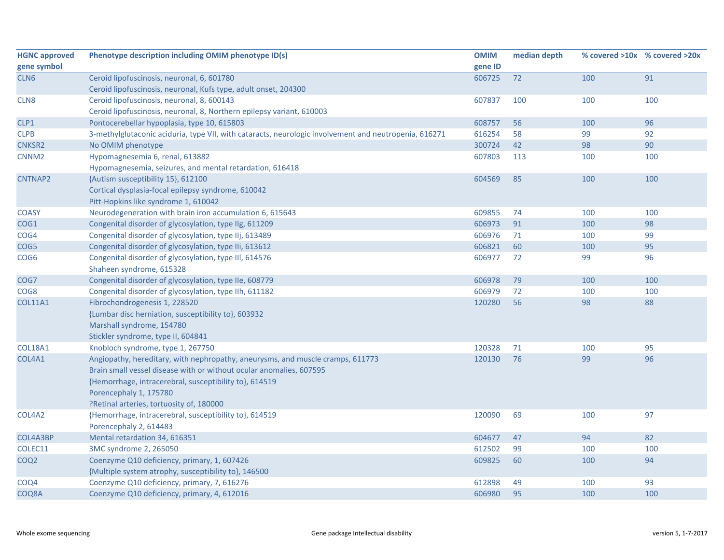| <b>HGNC approved</b> | Phenotype description including OMIM phenotype ID(s)                                                  | <b>OMIM</b> | median depth |     | % covered >10x % covered >20x |
|----------------------|-------------------------------------------------------------------------------------------------------|-------------|--------------|-----|-------------------------------|
| gene symbol          |                                                                                                       | gene ID     |              |     |                               |
| CLN <sub>6</sub>     | Ceroid lipofuscinosis, neuronal, 6, 601780                                                            | 606725      | 72           | 100 | 91                            |
|                      | Ceroid lipofuscinosis, neuronal, Kufs type, adult onset, 204300                                       |             |              |     |                               |
| CLN <sub>8</sub>     | Ceroid lipofuscinosis, neuronal, 8, 600143                                                            | 607837      | 100          | 100 | 100                           |
|                      | Ceroid lipofuscinosis, neuronal, 8, Northern epilepsy variant, 610003                                 |             |              |     |                               |
| CLP1                 | Pontocerebellar hypoplasia, type 10, 615803                                                           | 608757      | 56           | 100 | 96                            |
| <b>CLPB</b>          | 3-methylglutaconic aciduria, type VII, with cataracts, neurologic involvement and neutropenia, 616271 | 616254      | 58           | 99  | 92                            |
| <b>CNKSR2</b>        | No OMIM phenotype                                                                                     | 300724      | 42           | 98  | 90                            |
| CNNM <sub>2</sub>    | Hypomagnesemia 6, renal, 613882                                                                       | 607803      | 113          | 100 | 100                           |
|                      | Hypomagnesemia, seizures, and mental retardation, 616418                                              |             |              |     |                               |
| CNTNAP2              | {Autism susceptibility 15}, 612100                                                                    | 604569      | 85           | 100 | 100                           |
|                      | Cortical dysplasia-focal epilepsy syndrome, 610042                                                    |             |              |     |                               |
|                      | Pitt-Hopkins like syndrome 1, 610042                                                                  |             |              |     |                               |
| <b>COASY</b>         | Neurodegeneration with brain iron accumulation 6, 615643                                              | 609855      | 74           | 100 | 100                           |
| COG1                 | Congenital disorder of glycosylation, type IIg, 611209                                                | 606973      | 91           | 100 | 98                            |
| COG4                 | Congenital disorder of glycosylation, type IIj, 613489                                                | 606976      | 71           | 100 | 99                            |
| COG5                 | Congenital disorder of glycosylation, type IIi, 613612                                                | 606821      | 60           | 100 | 95                            |
| COG6                 | Congenital disorder of glycosylation, type III, 614576                                                | 606977      | 72           | 99  | 96                            |
|                      | Shaheen syndrome, 615328                                                                              |             |              |     |                               |
| COG7                 | Congenital disorder of glycosylation, type IIe, 608779                                                | 606978      | 79           | 100 | 100                           |
| COG8                 | Congenital disorder of glycosylation, type IIh, 611182                                                | 606979      | 72           | 100 | 100                           |
| <b>COL11A1</b>       | Fibrochondrogenesis 1, 228520                                                                         | 120280      | 56           | 98  | 88                            |
|                      | {Lumbar disc herniation, susceptibility to}, 603932                                                   |             |              |     |                               |
|                      | Marshall syndrome, 154780                                                                             |             |              |     |                               |
|                      | Stickler syndrome, type II, 604841                                                                    |             |              |     |                               |
| <b>COL18A1</b>       | Knobloch syndrome, type 1, 267750                                                                     | 120328      | 71           | 100 | 95                            |
| COL4A1               | Angiopathy, hereditary, with nephropathy, aneurysms, and muscle cramps, 611773                        | 120130      | 76           | 99  | 96                            |
|                      | Brain small vessel disease with or without ocular anomalies, 607595                                   |             |              |     |                               |
|                      | {Hemorrhage, intracerebral, susceptibility to}, 614519                                                |             |              |     |                               |
|                      | Porencephaly 1, 175780                                                                                |             |              |     |                               |
|                      | ?Retinal arteries, tortuosity of, 180000                                                              |             |              |     |                               |
| COL4A2               | {Hemorrhage, intracerebral, susceptibility to}, 614519                                                | 120090      | 69           | 100 | 97                            |
|                      | Porencephaly 2, 614483                                                                                |             |              |     |                               |
| COL4A3BP             | Mental retardation 34, 616351                                                                         | 604677      | 47           | 94  | 82                            |
| COLEC11              | 3MC syndrome 2, 265050                                                                                | 612502      | 99           | 100 | 100                           |
| COQ <sub>2</sub>     | Coenzyme Q10 deficiency, primary, 1, 607426                                                           | 609825      | 60           | 100 | 94                            |
|                      | {Multiple system atrophy, susceptibility to}, 146500                                                  |             |              |     |                               |
| COQ4                 | Coenzyme Q10 deficiency, primary, 7, 616276                                                           | 612898      | 49           | 100 | 93                            |
| COQ8A                | Coenzyme Q10 deficiency, primary, 4, 612016                                                           | 606980      | 95           | 100 | 100                           |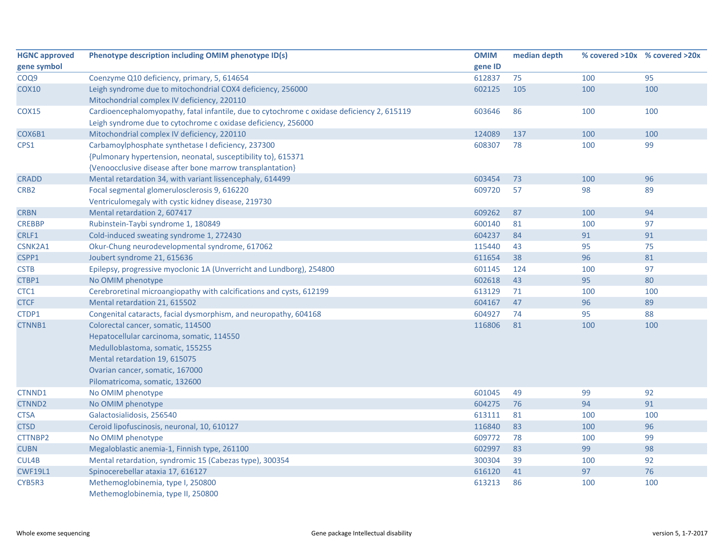| <b>HGNC approved</b> | Phenotype description including OMIM phenotype ID(s)                                       | <b>OMIM</b> | median depth |     | % covered >10x % covered >20x |
|----------------------|--------------------------------------------------------------------------------------------|-------------|--------------|-----|-------------------------------|
| gene symbol          |                                                                                            | gene ID     |              |     |                               |
| COQ9                 | Coenzyme Q10 deficiency, primary, 5, 614654                                                | 612837      | 75           | 100 | 95                            |
| <b>COX10</b>         | Leigh syndrome due to mitochondrial COX4 deficiency, 256000                                | 602125      | 105          | 100 | 100                           |
|                      | Mitochondrial complex IV deficiency, 220110                                                |             |              |     |                               |
| <b>COX15</b>         | Cardioencephalomyopathy, fatal infantile, due to cytochrome c oxidase deficiency 2, 615119 | 603646      | 86           | 100 | 100                           |
|                      | Leigh syndrome due to cytochrome c oxidase deficiency, 256000                              |             |              |     |                               |
| COX6B1               | Mitochondrial complex IV deficiency, 220110                                                | 124089      | 137          | 100 | 100                           |
| CPS1                 | Carbamoylphosphate synthetase I deficiency, 237300                                         | 608307      | 78           | 100 | 99                            |
|                      | {Pulmonary hypertension, neonatal, susceptibility to}, 615371                              |             |              |     |                               |
|                      | {Venoocclusive disease after bone marrow transplantation}                                  |             |              |     |                               |
| <b>CRADD</b>         | Mental retardation 34, with variant lissencephaly, 614499                                  | 603454      | 73           | 100 | 96                            |
| CRB <sub>2</sub>     | Focal segmental glomerulosclerosis 9, 616220                                               | 609720      | 57           | 98  | 89                            |
|                      | Ventriculomegaly with cystic kidney disease, 219730                                        |             |              |     |                               |
| <b>CRBN</b>          | Mental retardation 2, 607417                                                               | 609262      | 87           | 100 | 94                            |
| <b>CREBBP</b>        | Rubinstein-Taybi syndrome 1, 180849                                                        | 600140      | 81           | 100 | 97                            |
| CRLF1                | Cold-induced sweating syndrome 1, 272430                                                   | 604237      | 84           | 91  | 91                            |
| CSNK2A1              | Okur-Chung neurodevelopmental syndrome, 617062                                             | 115440      | 43           | 95  | 75                            |
| CSPP1                | Joubert syndrome 21, 615636                                                                | 611654      | 38           | 96  | 81                            |
| <b>CSTB</b>          | Epilepsy, progressive myoclonic 1A (Unverricht and Lundborg), 254800                       | 601145      | 124          | 100 | 97                            |
| CTBP1                | No OMIM phenotype                                                                          | 602618      | 43           | 95  | 80                            |
| CTC1                 | Cerebroretinal microangiopathy with calcifications and cysts, 612199                       | 613129      | 71           | 100 | 100                           |
| <b>CTCF</b>          | Mental retardation 21, 615502                                                              | 604167      | 47           | 96  | 89                            |
| CTDP1                | Congenital cataracts, facial dysmorphism, and neuropathy, 604168                           | 604927      | 74           | 95  | 88                            |
| <b>CTNNB1</b>        | Colorectal cancer, somatic, 114500                                                         | 116806      | 81           | 100 | 100                           |
|                      | Hepatocellular carcinoma, somatic, 114550                                                  |             |              |     |                               |
|                      | Medulloblastoma, somatic, 155255                                                           |             |              |     |                               |
|                      | Mental retardation 19, 615075                                                              |             |              |     |                               |
|                      | Ovarian cancer, somatic, 167000                                                            |             |              |     |                               |
|                      | Pilomatricoma, somatic, 132600                                                             |             |              |     |                               |
| CTNND1               | No OMIM phenotype                                                                          | 601045      | 49           | 99  | 92                            |
| CTNND <sub>2</sub>   | No OMIM phenotype                                                                          | 604275      | 76           | 94  | 91                            |
| CTSA                 | Galactosialidosis, 256540                                                                  | 613111      | 81           | 100 | 100                           |
| <b>CTSD</b>          | Ceroid lipofuscinosis, neuronal, 10, 610127                                                | 116840      | 83           | 100 | 96                            |
| CTTNBP2              | No OMIM phenotype                                                                          | 609772      | 78           | 100 | 99                            |
| <b>CUBN</b>          | Megaloblastic anemia-1, Finnish type, 261100                                               | 602997      | 83           | 99  | 98                            |
| CUL4B                | Mental retardation, syndromic 15 (Cabezas type), 300354                                    | 300304      | 39           | 100 | 92                            |
| <b>CWF19L1</b>       | Spinocerebellar ataxia 17, 616127                                                          | 616120      | 41           | 97  | 76                            |
| CYB5R3               | Methemoglobinemia, type I, 250800                                                          | 613213      | 86           | 100 | 100                           |
|                      | Methemoglobinemia, type II, 250800                                                         |             |              |     |                               |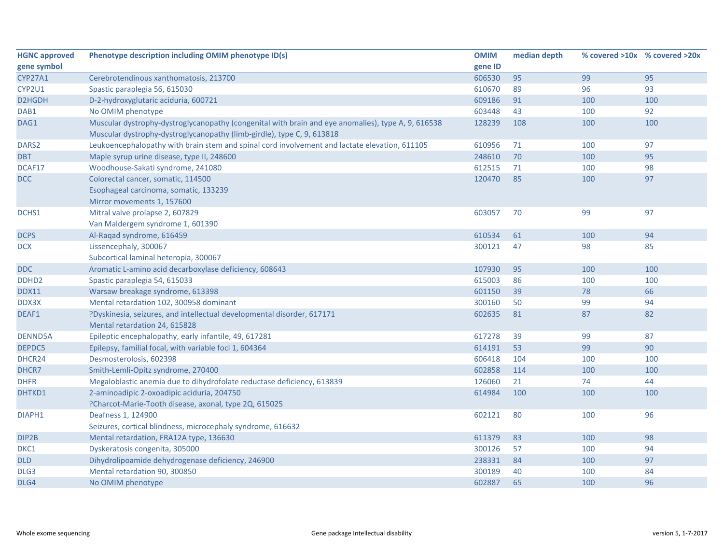| <b>HGNC approved</b> | Phenotype description including OMIM phenotype ID(s)                                               | <b>OMIM</b> | median depth | % covered >10x % covered >20x |     |
|----------------------|----------------------------------------------------------------------------------------------------|-------------|--------------|-------------------------------|-----|
| gene symbol          |                                                                                                    | gene ID     |              |                               |     |
| CYP27A1              | Cerebrotendinous xanthomatosis, 213700                                                             | 606530      | 95           | 99                            | 95  |
| CYP2U1               | Spastic paraplegia 56, 615030                                                                      | 610670      | 89           | 96                            | 93  |
| D2HGDH               | D-2-hydroxyglutaric aciduria, 600721                                                               | 609186      | 91           | 100                           | 100 |
| DAB1                 | No OMIM phenotype                                                                                  | 603448      | 43           | 100                           | 92  |
| DAG1                 | Muscular dystrophy-dystroglycanopathy (congenital with brain and eye anomalies), type A, 9, 616538 | 128239      | 108          | 100                           | 100 |
|                      | Muscular dystrophy-dystroglycanopathy (limb-girdle), type C, 9, 613818                             |             |              |                               |     |
| DARS <sub>2</sub>    | Leukoencephalopathy with brain stem and spinal cord involvement and lactate elevation, 611105      | 610956      | 71           | 100                           | 97  |
| <b>DBT</b>           | Maple syrup urine disease, type II, 248600                                                         | 248610      | 70           | 100                           | 95  |
| DCAF17               | Woodhouse-Sakati syndrome, 241080                                                                  | 612515      | 71           | 100                           | 98  |
| <b>DCC</b>           | Colorectal cancer, somatic, 114500                                                                 | 120470      | 85           | 100                           | 97  |
|                      | Esophageal carcinoma, somatic, 133239                                                              |             |              |                               |     |
|                      | Mirror movements 1, 157600                                                                         |             |              |                               |     |
| DCHS1                | Mitral valve prolapse 2, 607829                                                                    | 603057      | 70           | 99                            | 97  |
|                      | Van Maldergem syndrome 1, 601390                                                                   |             |              |                               |     |
| <b>DCPS</b>          | Al-Raqad syndrome, 616459                                                                          | 610534      | 61           | 100                           | 94  |
| <b>DCX</b>           | Lissencephaly, 300067                                                                              | 300121      | 47           | 98                            | 85  |
|                      | Subcortical laminal heteropia, 300067                                                              |             |              |                               |     |
| <b>DDC</b>           | Aromatic L-amino acid decarboxylase deficiency, 608643                                             | 107930      | 95           | 100                           | 100 |
| DDHD <sub>2</sub>    | Spastic paraplegia 54, 615033                                                                      | 615003      | 86           | 100                           | 100 |
| <b>DDX11</b>         | Warsaw breakage syndrome, 613398                                                                   | 601150      | 39           | 78                            | 66  |
| DDX3X                | Mental retardation 102, 300958 dominant                                                            | 300160      | 50           | 99                            | 94  |
| DEAF1                | ?Dyskinesia, seizures, and intellectual developmental disorder, 617171                             | 602635      | 81           | 87                            | 82  |
|                      | Mental retardation 24, 615828                                                                      |             |              |                               |     |
| <b>DENND5A</b>       | Epileptic encephalopathy, early infantile, 49, 617281                                              | 617278      | 39           | 99                            | 87  |
| DEPDC5               | Epilepsy, familial focal, with variable foci 1, 604364                                             | 614191      | 53           | 99                            | 90  |
| DHCR24               | Desmosterolosis, 602398                                                                            | 606418      | 104          | 100                           | 100 |
| DHCR7                | Smith-Lemli-Opitz syndrome, 270400                                                                 | 602858      | 114          | 100                           | 100 |
| <b>DHFR</b>          | Megaloblastic anemia due to dihydrofolate reductase deficiency, 613839                             | 126060      | 21           | 74                            | 44  |
| DHTKD1               | 2-aminoadipic 2-oxoadipic aciduria, 204750                                                         | 614984      | 100          | 100                           | 100 |
|                      | ?Charcot-Marie-Tooth disease, axonal, type 2Q, 615025                                              |             |              |                               |     |
| DIAPH1               | Deafness 1, 124900                                                                                 | 602121      | 80           | 100                           | 96  |
|                      | Seizures, cortical blindness, microcephaly syndrome, 616632                                        |             |              |                               |     |
| DIP2B                | Mental retardation, FRA12A type, 136630                                                            | 611379      | 83           | 100                           | 98  |
| DKC1                 | Dyskeratosis congenita, 305000                                                                     | 300126      | 57           | 100                           | 94  |
| <b>DLD</b>           | Dihydrolipoamide dehydrogenase deficiency, 246900                                                  | 238331      | 84           | 100                           | 97  |
| DLG3                 | Mental retardation 90, 300850                                                                      | 300189      | 40           | 100                           | 84  |
| DLG4                 | No OMIM phenotype                                                                                  | 602887      | 65           | 100                           | 96  |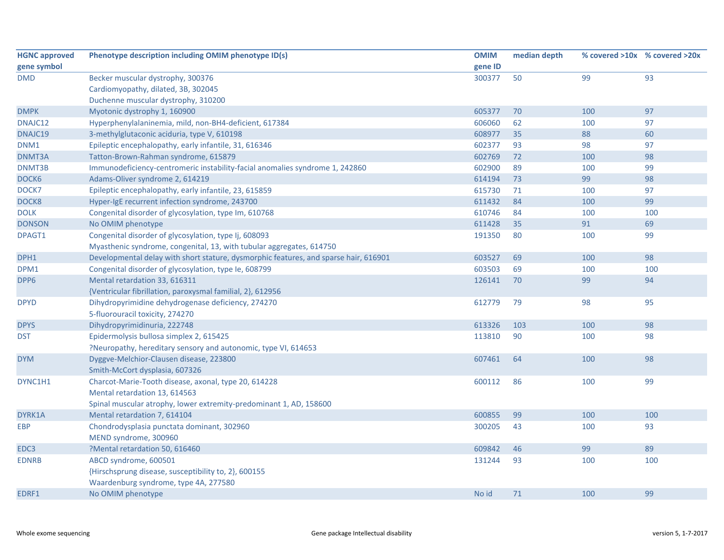| <b>HGNC approved</b> | Phenotype description including OMIM phenotype ID(s)                                 | <b>OMIM</b> | median depth | % covered >10x % covered >20x |     |
|----------------------|--------------------------------------------------------------------------------------|-------------|--------------|-------------------------------|-----|
| gene symbol          |                                                                                      | gene ID     |              |                               |     |
| <b>DMD</b>           | Becker muscular dystrophy, 300376                                                    | 300377      | 50           | 99                            | 93  |
|                      | Cardiomyopathy, dilated, 3B, 302045                                                  |             |              |                               |     |
|                      | Duchenne muscular dystrophy, 310200                                                  |             |              |                               |     |
| <b>DMPK</b>          | Myotonic dystrophy 1, 160900                                                         | 605377      | 70           | 100                           | 97  |
| DNAJC12              | Hyperphenylalaninemia, mild, non-BH4-deficient, 617384                               | 606060      | 62           | 100                           | 97  |
| DNAJC19              | 3-methylglutaconic aciduria, type V, 610198                                          | 608977      | 35           | 88                            | 60  |
| DNM1                 | Epileptic encephalopathy, early infantile, 31, 616346                                | 602377      | 93           | 98                            | 97  |
| DNMT3A               | Tatton-Brown-Rahman syndrome, 615879                                                 | 602769      | 72           | 100                           | 98  |
| DNMT3B               | Immunodeficiency-centromeric instability-facial anomalies syndrome 1, 242860         | 602900      | 89           | 100                           | 99  |
| DOCK6                | Adams-Oliver syndrome 2, 614219                                                      | 614194      | 73           | 99                            | 98  |
| DOCK7                | Epileptic encephalopathy, early infantile, 23, 615859                                | 615730      | 71           | 100                           | 97  |
| DOCK8                | Hyper-IgE recurrent infection syndrome, 243700                                       | 611432      | 84           | 100                           | 99  |
| <b>DOLK</b>          | Congenital disorder of glycosylation, type Im, 610768                                | 610746      | 84           | 100                           | 100 |
| <b>DONSON</b>        | No OMIM phenotype                                                                    | 611428      | 35           | 91                            | 69  |
| DPAGT1               | Congenital disorder of glycosylation, type Ij, 608093                                | 191350      | 80           | 100                           | 99  |
|                      | Myasthenic syndrome, congenital, 13, with tubular aggregates, 614750                 |             |              |                               |     |
| DPH1                 | Developmental delay with short stature, dysmorphic features, and sparse hair, 616901 | 603527      | 69           | 100                           | 98  |
| DPM1                 | Congenital disorder of glycosylation, type Ie, 608799                                | 603503      | 69           | 100                           | 100 |
| DPP6                 | Mental retardation 33, 616311                                                        | 126141      | 70           | 99                            | 94  |
|                      | {Ventricular fibrillation, paroxysmal familial, 2}, 612956                           |             |              |                               |     |
| <b>DPYD</b>          | Dihydropyrimidine dehydrogenase deficiency, 274270                                   | 612779      | 79           | 98                            | 95  |
|                      | 5-fluorouracil toxicity, 274270                                                      |             |              |                               |     |
| <b>DPYS</b>          | Dihydropyrimidinuria, 222748                                                         | 613326      | 103          | 100                           | 98  |
| <b>DST</b>           | Epidermolysis bullosa simplex 2, 615425                                              | 113810      | 90           | 100                           | 98  |
|                      | ?Neuropathy, hereditary sensory and autonomic, type VI, 614653                       |             |              |                               |     |
| <b>DYM</b>           | Dyggve-Melchior-Clausen disease, 223800                                              | 607461      | 64           | 100                           | 98  |
|                      | Smith-McCort dysplasia, 607326                                                       |             |              |                               |     |
| DYNC1H1              | Charcot-Marie-Tooth disease, axonal, type 20, 614228                                 | 600112      | 86           | 100                           | 99  |
|                      | Mental retardation 13, 614563                                                        |             |              |                               |     |
|                      | Spinal muscular atrophy, lower extremity-predominant 1, AD, 158600                   |             |              |                               |     |
| DYRK1A               | Mental retardation 7, 614104                                                         | 600855      | 99           | 100                           | 100 |
| <b>EBP</b>           | Chondrodysplasia punctata dominant, 302960                                           | 300205      | 43           | 100                           | 93  |
|                      | MEND syndrome, 300960                                                                |             |              |                               |     |
| EDC3                 | ?Mental retardation 50, 616460                                                       | 609842      | 46           | 99                            | 89  |
| <b>EDNRB</b>         | ABCD syndrome, 600501                                                                | 131244      | 93           | 100                           | 100 |
|                      | {Hirschsprung disease, susceptibility to, 2}, 600155                                 |             |              |                               |     |
|                      | Waardenburg syndrome, type 4A, 277580                                                |             |              |                               |     |
| EDRF1                | No OMIM phenotype                                                                    | No id       | 71           | 100                           | 99  |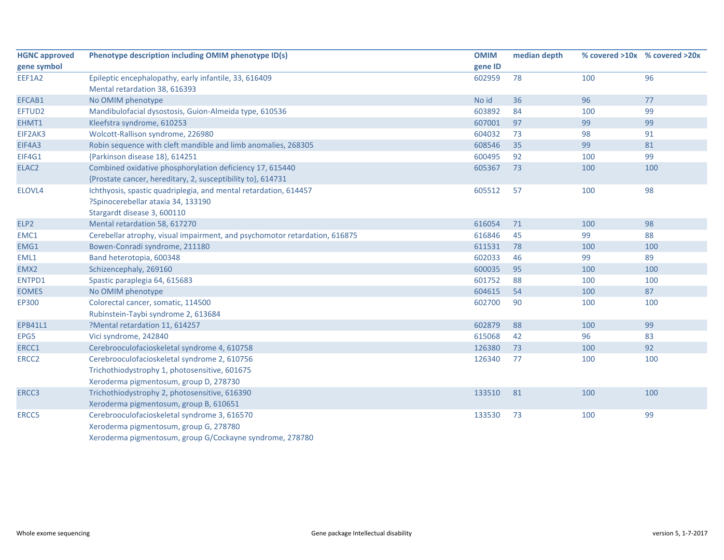| <b>HGNC approved</b> | Phenotype description including OMIM phenotype ID(s)                       | <b>OMIM</b> | median depth |     | % covered >10x % covered >20x |
|----------------------|----------------------------------------------------------------------------|-------------|--------------|-----|-------------------------------|
| gene symbol          |                                                                            | gene ID     |              |     |                               |
| EEF1A2               | Epileptic encephalopathy, early infantile, 33, 616409                      | 602959      | 78           | 100 | 96                            |
|                      | Mental retardation 38, 616393                                              |             |              |     |                               |
| EFCAB1               | No OMIM phenotype                                                          | No id       | 36           | 96  | 77                            |
| EFTUD2               | Mandibulofacial dysostosis, Guion-Almeida type, 610536                     | 603892      | 84           | 100 | 99                            |
| EHMT1                | Kleefstra syndrome, 610253                                                 | 607001      | 97           | 99  | 99                            |
| EIF2AK3              | Wolcott-Rallison syndrome, 226980                                          | 604032      | 73           | 98  | 91                            |
| EIF4A3               | Robin sequence with cleft mandible and limb anomalies, 268305              | 608546      | 35           | 99  | 81                            |
| EIF4G1               | {Parkinson disease 18}, 614251                                             | 600495      | 92           | 100 | 99                            |
| ELAC2                | Combined oxidative phosphorylation deficiency 17, 615440                   | 605367      | 73           | 100 | 100                           |
|                      | {Prostate cancer, hereditary, 2, susceptibility to}, 614731                |             |              |     |                               |
| ELOVL4               | Ichthyosis, spastic quadriplegia, and mental retardation, 614457           | 605512      | 57           | 100 | 98                            |
|                      | ?Spinocerebellar ataxia 34, 133190                                         |             |              |     |                               |
|                      | Stargardt disease 3, 600110                                                |             |              |     |                               |
| ELP2                 | Mental retardation 58, 617270                                              | 616054      | 71           | 100 | 98                            |
| EMC1                 | Cerebellar atrophy, visual impairment, and psychomotor retardation, 616875 | 616846      | 45           | 99  | 88                            |
| EMG1                 | Bowen-Conradi syndrome, 211180                                             | 611531      | 78           | 100 | 100                           |
| EML1                 | Band heterotopia, 600348                                                   | 602033      | 46           | 99  | 89                            |
| EMX2                 | Schizencephaly, 269160                                                     | 600035      | 95           | 100 | 100                           |
| ENTPD1               | Spastic paraplegia 64, 615683                                              | 601752      | 88           | 100 | 100                           |
| <b>EOMES</b>         | No OMIM phenotype                                                          | 604615      | 54           | 100 | 87                            |
| EP300                | Colorectal cancer, somatic, 114500                                         | 602700      | 90           | 100 | 100                           |
|                      | Rubinstein-Taybi syndrome 2, 613684                                        |             |              |     |                               |
| <b>EPB41L1</b>       | ?Mental retardation 11, 614257                                             | 602879      | 88           | 100 | 99                            |
| EPG5                 | Vici syndrome, 242840                                                      | 615068      | 42           | 96  | 83                            |
| ERCC1                | Cerebrooculofacioskeletal syndrome 4, 610758                               | 126380      | 73           | 100 | 92                            |
| ERCC <sub>2</sub>    | Cerebrooculofacioskeletal syndrome 2, 610756                               | 126340      | 77           | 100 | 100                           |
|                      | Trichothiodystrophy 1, photosensitive, 601675                              |             |              |     |                               |
|                      | Xeroderma pigmentosum, group D, 278730                                     |             |              |     |                               |
| ERCC3                | Trichothiodystrophy 2, photosensitive, 616390                              | 133510      | 81           | 100 | 100                           |
|                      | Xeroderma pigmentosum, group B, 610651                                     |             |              |     |                               |
| ERCC5                | Cerebrooculofacioskeletal syndrome 3, 616570                               | 133530      | 73           | 100 | 99                            |
|                      | Xeroderma pigmentosum, group G, 278780                                     |             |              |     |                               |
|                      | Xeroderma pigmentosum, group G/Cockayne syndrome, 278780                   |             |              |     |                               |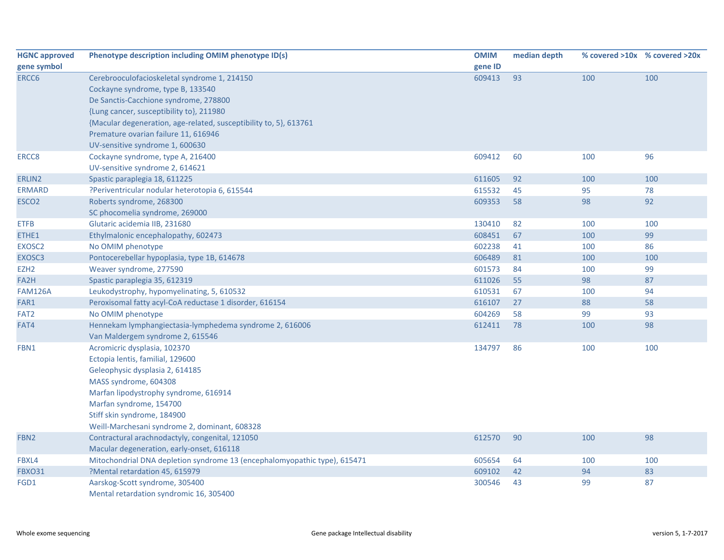| <b>HGNC approved</b> | Phenotype description including OMIM phenotype ID(s)                      | <b>OMIM</b> | median depth |     | % covered >10x % covered >20x |
|----------------------|---------------------------------------------------------------------------|-------------|--------------|-----|-------------------------------|
| gene symbol          |                                                                           | gene ID     |              |     |                               |
| ERCC6                | Cerebrooculofacioskeletal syndrome 1, 214150                              | 609413      | 93           | 100 | 100                           |
|                      | Cockayne syndrome, type B, 133540                                         |             |              |     |                               |
|                      | De Sanctis-Cacchione syndrome, 278800                                     |             |              |     |                               |
|                      | {Lung cancer, susceptibility to}, 211980                                  |             |              |     |                               |
|                      | {Macular degeneration, age-related, susceptibility to, 5}, 613761         |             |              |     |                               |
|                      | Premature ovarian failure 11, 616946                                      |             |              |     |                               |
|                      | UV-sensitive syndrome 1, 600630                                           |             |              |     |                               |
| ERCC8                | Cockayne syndrome, type A, 216400                                         | 609412      | 60           | 100 | 96                            |
|                      | UV-sensitive syndrome 2, 614621                                           |             |              |     |                               |
| ERLIN2               | Spastic paraplegia 18, 611225                                             | 611605      | 92           | 100 | 100                           |
| <b>ERMARD</b>        | ?Periventricular nodular heterotopia 6, 615544                            | 615532      | 45           | 95  | 78                            |
| ESCO <sub>2</sub>    | Roberts syndrome, 268300                                                  | 609353      | 58           | 98  | 92                            |
|                      | SC phocomelia syndrome, 269000                                            |             |              |     |                               |
| <b>ETFB</b>          | Glutaric acidemia IIB, 231680                                             | 130410      | 82           | 100 | 100                           |
| ETHE1                | Ethylmalonic encephalopathy, 602473                                       | 608451      | 67           | 100 | 99                            |
| EXOSC2               | No OMIM phenotype                                                         | 602238      | 41           | 100 | 86                            |
| EXOSC3               | Pontocerebellar hypoplasia, type 1B, 614678                               | 606489      | 81           | 100 | 100                           |
| EZH <sub>2</sub>     | Weaver syndrome, 277590                                                   | 601573      | 84           | 100 | 99                            |
| FA2H                 | Spastic paraplegia 35, 612319                                             | 611026      | 55           | 98  | 87                            |
| <b>FAM126A</b>       | Leukodystrophy, hypomyelinating, 5, 610532                                | 610531      | 67           | 100 | 94                            |
| FAR1                 | Peroxisomal fatty acyl-CoA reductase 1 disorder, 616154                   | 616107      | 27           | 88  | 58                            |
| FAT <sub>2</sub>     | No OMIM phenotype                                                         | 604269      | 58           | 99  | 93                            |
| FAT4                 | Hennekam lymphangiectasia-lymphedema syndrome 2, 616006                   | 612411      | 78           | 100 | 98                            |
|                      | Van Maldergem syndrome 2, 615546                                          |             |              |     |                               |
| FBN1                 | Acromicric dysplasia, 102370                                              | 134797      | 86           | 100 | 100                           |
|                      | Ectopia lentis, familial, 129600                                          |             |              |     |                               |
|                      | Geleophysic dysplasia 2, 614185                                           |             |              |     |                               |
|                      | MASS syndrome, 604308                                                     |             |              |     |                               |
|                      | Marfan lipodystrophy syndrome, 616914                                     |             |              |     |                               |
|                      | Marfan syndrome, 154700                                                   |             |              |     |                               |
|                      | Stiff skin syndrome, 184900                                               |             |              |     |                               |
|                      | Weill-Marchesani syndrome 2, dominant, 608328                             |             |              |     |                               |
| FBN <sub>2</sub>     | Contractural arachnodactyly, congenital, 121050                           | 612570      | 90           | 100 | 98                            |
|                      | Macular degeneration, early-onset, 616118                                 |             |              |     |                               |
| FBXL4                | Mitochondrial DNA depletion syndrome 13 (encephalomyopathic type), 615471 | 605654      | 64           | 100 | 100                           |
| <b>FBXO31</b>        | ?Mental retardation 45, 615979                                            | 609102      | 42           | 94  | 83                            |
| FGD1                 | Aarskog-Scott syndrome, 305400                                            | 300546      | 43           | 99  | 87                            |
|                      | Mental retardation syndromic 16, 305400                                   |             |              |     |                               |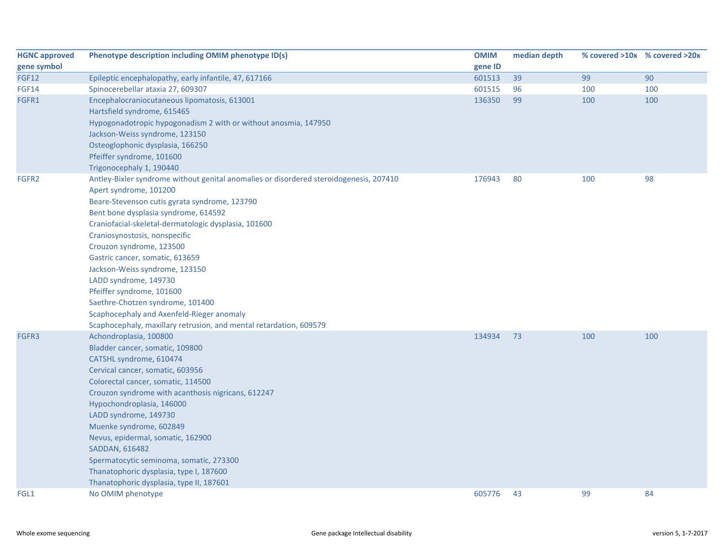| <b>HGNC approved</b> | Phenotype description including OMIM phenotype ID(s)                                   | <b>OMIM</b> | median depth |     | % covered >10x % covered >20x |
|----------------------|----------------------------------------------------------------------------------------|-------------|--------------|-----|-------------------------------|
| gene symbol          |                                                                                        | gene ID     |              |     |                               |
| <b>FGF12</b>         | Epileptic encephalopathy, early infantile, 47, 617166                                  | 601513      | 39           | 99  | 90                            |
| <b>FGF14</b>         | Spinocerebellar ataxia 27, 609307                                                      | 601515      | 96           | 100 | 100                           |
| FGFR1                | Encephalocraniocutaneous lipomatosis, 613001                                           | 136350      | 99           | 100 | 100                           |
|                      | Hartsfield syndrome, 615465                                                            |             |              |     |                               |
|                      | Hypogonadotropic hypogonadism 2 with or without anosmia, 147950                        |             |              |     |                               |
|                      | Jackson-Weiss syndrome, 123150                                                         |             |              |     |                               |
|                      | Osteoglophonic dysplasia, 166250                                                       |             |              |     |                               |
|                      | Pfeiffer syndrome, 101600                                                              |             |              |     |                               |
|                      | Trigonocephaly 1, 190440                                                               |             |              |     |                               |
| FGFR2                | Antley-Bixler syndrome without genital anomalies or disordered steroidogenesis, 207410 | 176943      | 80           | 100 | 98                            |
|                      | Apert syndrome, 101200                                                                 |             |              |     |                               |
|                      | Beare-Stevenson cutis gyrata syndrome, 123790                                          |             |              |     |                               |
|                      | Bent bone dysplasia syndrome, 614592                                                   |             |              |     |                               |
|                      | Craniofacial-skeletal-dermatologic dysplasia, 101600                                   |             |              |     |                               |
|                      | Craniosynostosis, nonspecific                                                          |             |              |     |                               |
|                      | Crouzon syndrome, 123500                                                               |             |              |     |                               |
|                      | Gastric cancer, somatic, 613659                                                        |             |              |     |                               |
|                      | Jackson-Weiss syndrome, 123150                                                         |             |              |     |                               |
|                      | LADD syndrome, 149730                                                                  |             |              |     |                               |
|                      | Pfeiffer syndrome, 101600                                                              |             |              |     |                               |
|                      | Saethre-Chotzen syndrome, 101400                                                       |             |              |     |                               |
|                      | Scaphocephaly and Axenfeld-Rieger anomaly                                              |             |              |     |                               |
|                      | Scaphocephaly, maxillary retrusion, and mental retardation, 609579                     |             |              |     |                               |
| FGFR3                | Achondroplasia, 100800                                                                 | 134934      | 73           | 100 | 100                           |
|                      | Bladder cancer, somatic, 109800                                                        |             |              |     |                               |
|                      | CATSHL syndrome, 610474                                                                |             |              |     |                               |
|                      | Cervical cancer, somatic, 603956                                                       |             |              |     |                               |
|                      | Colorectal cancer, somatic, 114500                                                     |             |              |     |                               |
|                      | Crouzon syndrome with acanthosis nigricans, 612247                                     |             |              |     |                               |
|                      | Hypochondroplasia, 146000                                                              |             |              |     |                               |
|                      | LADD syndrome, 149730                                                                  |             |              |     |                               |
|                      | Muenke syndrome, 602849                                                                |             |              |     |                               |
|                      | Nevus, epidermal, somatic, 162900                                                      |             |              |     |                               |
|                      | SADDAN, 616482                                                                         |             |              |     |                               |
|                      | Spermatocytic seminoma, somatic, 273300                                                |             |              |     |                               |
|                      | Thanatophoric dysplasia, type I, 187600                                                |             |              |     |                               |
|                      | Thanatophoric dysplasia, type II, 187601                                               |             |              |     |                               |
| FGL1                 | No OMIM phenotype                                                                      | 605776      | 43           | 99  | 84                            |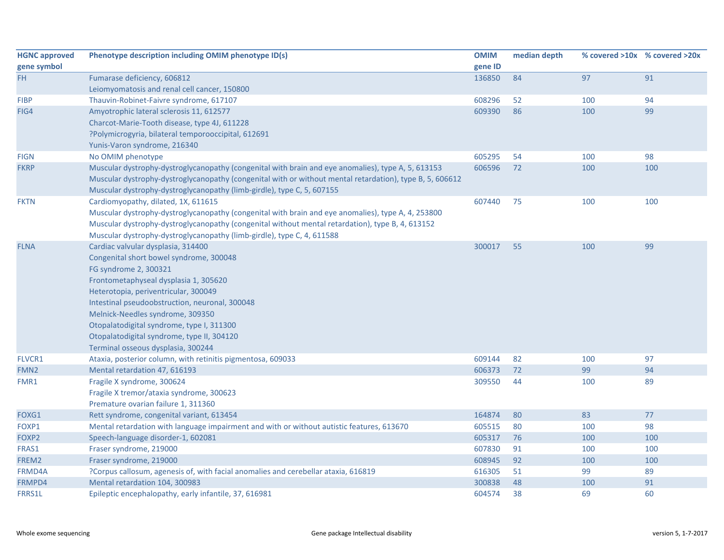| <b>HGNC approved</b><br>gene symbol | Phenotype description including OMIM phenotype ID(s)                                                     | <b>OMIM</b><br>gene ID | median depth |     | % covered >10x % covered >20x |
|-------------------------------------|----------------------------------------------------------------------------------------------------------|------------------------|--------------|-----|-------------------------------|
| FH.                                 | Fumarase deficiency, 606812                                                                              | 136850                 | 84           | 97  | 91                            |
|                                     | Leiomyomatosis and renal cell cancer, 150800                                                             |                        |              |     |                               |
| <b>FIBP</b>                         | Thauvin-Robinet-Faivre syndrome, 617107                                                                  | 608296                 | 52           | 100 | 94                            |
| FIG4                                | Amyotrophic lateral sclerosis 11, 612577                                                                 | 609390                 | 86           | 100 | 99                            |
|                                     | Charcot-Marie-Tooth disease, type 4J, 611228                                                             |                        |              |     |                               |
|                                     | ?Polymicrogyria, bilateral temporooccipital, 612691                                                      |                        |              |     |                               |
|                                     | Yunis-Varon syndrome, 216340                                                                             |                        |              |     |                               |
| <b>FIGN</b>                         | No OMIM phenotype                                                                                        | 605295                 | 54           | 100 | 98                            |
| <b>FKRP</b>                         | Muscular dystrophy-dystroglycanopathy (congenital with brain and eye anomalies), type A, 5, 613153       | 606596                 | 72           | 100 | 100                           |
|                                     | Muscular dystrophy-dystroglycanopathy (congenital with or without mental retardation), type B, 5, 606612 |                        |              |     |                               |
|                                     | Muscular dystrophy-dystroglycanopathy (limb-girdle), type C, 5, 607155                                   |                        |              |     |                               |
| <b>FKTN</b>                         | Cardiomyopathy, dilated, 1X, 611615                                                                      | 607440                 | 75           | 100 | 100                           |
|                                     | Muscular dystrophy-dystroglycanopathy (congenital with brain and eye anomalies), type A, 4, 253800       |                        |              |     |                               |
|                                     | Muscular dystrophy-dystroglycanopathy (congenital without mental retardation), type B, 4, 613152         |                        |              |     |                               |
|                                     | Muscular dystrophy-dystroglycanopathy (limb-girdle), type C, 4, 611588                                   |                        |              |     |                               |
| <b>FLNA</b>                         | Cardiac valvular dysplasia, 314400                                                                       | 300017                 | 55           | 100 | 99                            |
|                                     | Congenital short bowel syndrome, 300048                                                                  |                        |              |     |                               |
|                                     | FG syndrome 2, 300321                                                                                    |                        |              |     |                               |
|                                     | Frontometaphyseal dysplasia 1, 305620                                                                    |                        |              |     |                               |
|                                     | Heterotopia, periventricular, 300049                                                                     |                        |              |     |                               |
|                                     | Intestinal pseudoobstruction, neuronal, 300048                                                           |                        |              |     |                               |
|                                     | Melnick-Needles syndrome, 309350                                                                         |                        |              |     |                               |
|                                     | Otopalatodigital syndrome, type I, 311300                                                                |                        |              |     |                               |
|                                     | Otopalatodigital syndrome, type II, 304120                                                               |                        |              |     |                               |
|                                     | Terminal osseous dysplasia, 300244                                                                       |                        |              |     |                               |
| FLVCR1                              | Ataxia, posterior column, with retinitis pigmentosa, 609033                                              | 609144                 | 82           | 100 | 97                            |
| FMN <sub>2</sub>                    | Mental retardation 47, 616193                                                                            | 606373                 | 72           | 99  | 94                            |
| FMR1                                | Fragile X syndrome, 300624                                                                               | 309550                 | 44           | 100 | 89                            |
|                                     | Fragile X tremor/ataxia syndrome, 300623                                                                 |                        |              |     |                               |
|                                     | Premature ovarian failure 1, 311360                                                                      |                        |              |     |                               |
| FOXG1                               | Rett syndrome, congenital variant, 613454                                                                | 164874                 | 80           | 83  | 77                            |
| FOXP1                               | Mental retardation with language impairment and with or without autistic features, 613670                | 605515                 | 80           | 100 | 98                            |
| FOXP2                               | Speech-language disorder-1, 602081                                                                       | 605317                 | 76           | 100 | 100                           |
| FRAS1                               | Fraser syndrome, 219000                                                                                  | 607830                 | 91           | 100 | 100                           |
| FREM2                               | Fraser syndrome, 219000                                                                                  | 608945                 | 92           | 100 | 100                           |
| FRMD4A                              | ?Corpus callosum, agenesis of, with facial anomalies and cerebellar ataxia, 616819                       | 616305                 | 51           | 99  | 89                            |
| FRMPD4                              | Mental retardation 104, 300983                                                                           | 300838                 | 48           | 100 | 91                            |
| <b>FRRS1L</b>                       | Epileptic encephalopathy, early infantile, 37, 616981                                                    | 604574                 | 38           | 69  | 60                            |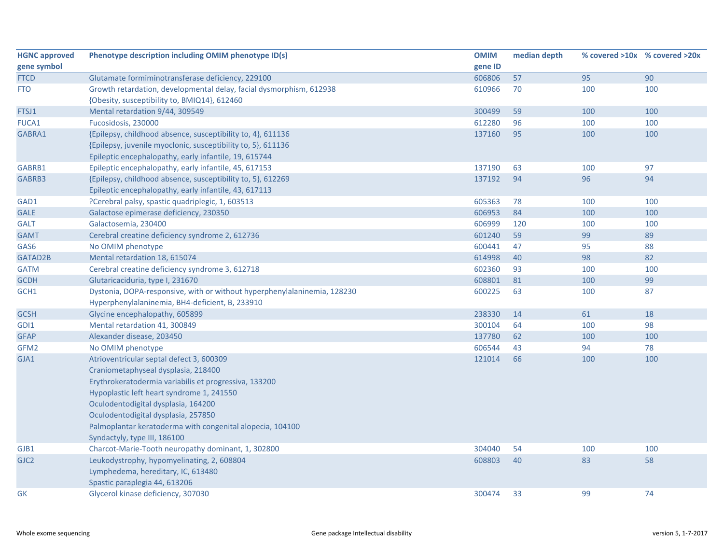| <b>HGNC approved</b> | Phenotype description including OMIM phenotype ID(s)                     | <b>OMIM</b> | median depth |     | % covered >10x % covered >20x |
|----------------------|--------------------------------------------------------------------------|-------------|--------------|-----|-------------------------------|
| gene symbol          |                                                                          | gene ID     |              |     |                               |
| <b>FTCD</b>          | Glutamate formiminotransferase deficiency, 229100                        | 606806      | 57           | 95  | 90                            |
| <b>FTO</b>           | Growth retardation, developmental delay, facial dysmorphism, 612938      | 610966      | 70           | 100 | 100                           |
|                      | {Obesity, susceptibility to, BMIQ14}, 612460                             |             |              |     |                               |
| FTSJ1                | Mental retardation 9/44, 309549                                          | 300499      | 59           | 100 | 100                           |
| <b>FUCA1</b>         | Fucosidosis, 230000                                                      | 612280      | 96           | 100 | 100                           |
| GABRA1               | {Epilepsy, childhood absence, susceptibility to, 4}, 611136              | 137160      | 95           | 100 | 100                           |
|                      | {Epilepsy, juvenile myoclonic, susceptibility to, 5}, 611136             |             |              |     |                               |
|                      | Epileptic encephalopathy, early infantile, 19, 615744                    |             |              |     |                               |
| GABRB1               | Epileptic encephalopathy, early infantile, 45, 617153                    | 137190      | 63           | 100 | 97                            |
| GABRB3               | {Epilepsy, childhood absence, susceptibility to, 5}, 612269              | 137192      | 94           | 96  | 94                            |
|                      | Epileptic encephalopathy, early infantile, 43, 617113                    |             |              |     |                               |
| GAD1                 | ?Cerebral palsy, spastic quadriplegic, 1, 603513                         | 605363      | 78           | 100 | 100                           |
| <b>GALE</b>          | Galactose epimerase deficiency, 230350                                   | 606953      | 84           | 100 | 100                           |
| <b>GALT</b>          | Galactosemia, 230400                                                     | 606999      | 120          | 100 | 100                           |
| <b>GAMT</b>          | Cerebral creatine deficiency syndrome 2, 612736                          | 601240      | 59           | 99  | 89                            |
| GAS6                 | No OMIM phenotype                                                        | 600441      | 47           | 95  | 88                            |
| GATAD2B              | Mental retardation 18, 615074                                            | 614998      | 40           | 98  | 82                            |
| <b>GATM</b>          | Cerebral creatine deficiency syndrome 3, 612718                          | 602360      | 93           | 100 | 100                           |
| <b>GCDH</b>          | Glutaricaciduria, type I, 231670                                         | 608801      | 81           | 100 | 99                            |
| GCH1                 | Dystonia, DOPA-responsive, with or without hyperphenylalaninemia, 128230 | 600225      | 63           | 100 | 87                            |
|                      | Hyperphenylalaninemia, BH4-deficient, B, 233910                          |             |              |     |                               |
| <b>GCSH</b>          | Glycine encephalopathy, 605899                                           | 238330      | 14           | 61  | 18                            |
| GDI1                 | Mental retardation 41, 300849                                            | 300104      | 64           | 100 | 98                            |
| <b>GFAP</b>          | Alexander disease, 203450                                                | 137780      | 62           | 100 | 100                           |
| GFM2                 | No OMIM phenotype                                                        | 606544      | 43           | 94  | 78                            |
| GJA1                 | Atrioventricular septal defect 3, 600309                                 | 121014      | 66           | 100 | 100                           |
|                      | Craniometaphyseal dysplasia, 218400                                      |             |              |     |                               |
|                      | Erythrokeratodermia variabilis et progressiva, 133200                    |             |              |     |                               |
|                      | Hypoplastic left heart syndrome 1, 241550                                |             |              |     |                               |
|                      | Oculodentodigital dysplasia, 164200                                      |             |              |     |                               |
|                      | Oculodentodigital dysplasia, 257850                                      |             |              |     |                               |
|                      | Palmoplantar keratoderma with congenital alopecia, 104100                |             |              |     |                               |
|                      | Syndactyly, type III, 186100                                             |             |              |     |                               |
| GJB1                 | Charcot-Marie-Tooth neuropathy dominant, 1, 302800                       | 304040      | 54           | 100 | 100                           |
| GJC <sub>2</sub>     | Leukodystrophy, hypomyelinating, 2, 608804                               | 608803      | 40           | 83  | 58                            |
|                      | Lymphedema, hereditary, IC, 613480                                       |             |              |     |                               |
|                      | Spastic paraplegia 44, 613206                                            |             |              |     |                               |
| <b>GK</b>            | Glycerol kinase deficiency, 307030                                       | 300474      | 33           | 99  | 74                            |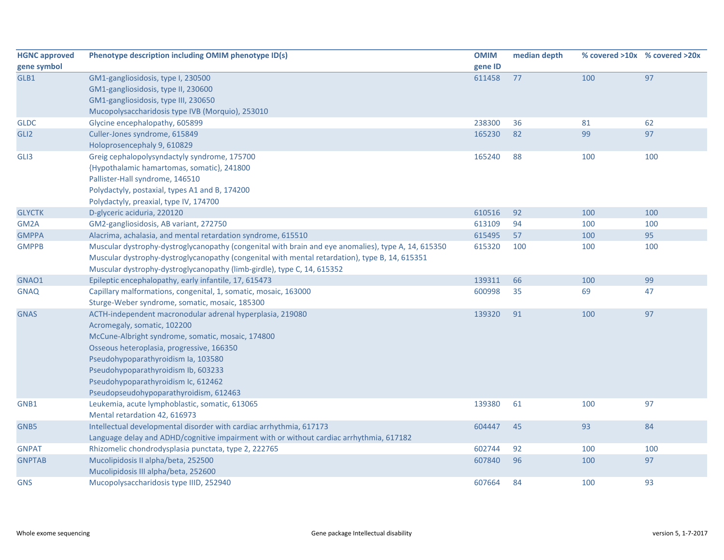| <b>HGNC approved</b> | Phenotype description including OMIM phenotype ID(s)                                                | <b>OMIM</b> | median depth |     | % covered >10x % covered >20x |
|----------------------|-----------------------------------------------------------------------------------------------------|-------------|--------------|-----|-------------------------------|
| gene symbol          |                                                                                                     | gene ID     |              |     |                               |
| GLB1                 | GM1-gangliosidosis, type I, 230500                                                                  | 611458      | 77           | 100 | 97                            |
|                      | GM1-gangliosidosis, type II, 230600                                                                 |             |              |     |                               |
|                      | GM1-gangliosidosis, type III, 230650                                                                |             |              |     |                               |
|                      | Mucopolysaccharidosis type IVB (Morquio), 253010                                                    |             |              |     |                               |
| <b>GLDC</b>          | Glycine encephalopathy, 605899                                                                      | 238300      | 36           | 81  | 62                            |
| GLI <sub>2</sub>     | Culler-Jones syndrome, 615849                                                                       | 165230      | 82           | 99  | 97                            |
|                      | Holoprosencephaly 9, 610829                                                                         |             |              |     |                               |
| GLI3                 | Greig cephalopolysyndactyly syndrome, 175700                                                        | 165240      | 88           | 100 | 100                           |
|                      | {Hypothalamic hamartomas, somatic}, 241800                                                          |             |              |     |                               |
|                      | Pallister-Hall syndrome, 146510                                                                     |             |              |     |                               |
|                      | Polydactyly, postaxial, types A1 and B, 174200                                                      |             |              |     |                               |
|                      | Polydactyly, preaxial, type IV, 174700                                                              |             |              |     |                               |
| <b>GLYCTK</b>        | D-glyceric aciduria, 220120                                                                         | 610516      | 92           | 100 | 100                           |
| GM2A                 | GM2-gangliosidosis, AB variant, 272750                                                              | 613109      | 94           | 100 | 100                           |
| <b>GMPPA</b>         | Alacrima, achalasia, and mental retardation syndrome, 615510                                        | 615495      | 57           | 100 | 95                            |
| <b>GMPPB</b>         | Muscular dystrophy-dystroglycanopathy (congenital with brain and eye anomalies), type A, 14, 615350 | 615320      | 100          | 100 | 100                           |
|                      | Muscular dystrophy-dystroglycanopathy (congenital with mental retardation), type B, 14, 615351      |             |              |     |                               |
|                      | Muscular dystrophy-dystroglycanopathy (limb-girdle), type C, 14, 615352                             |             |              |     |                               |
| GNAO1                | Epileptic encephalopathy, early infantile, 17, 615473                                               | 139311      | 66           | 100 | 99                            |
| <b>GNAQ</b>          | Capillary malformations, congenital, 1, somatic, mosaic, 163000                                     | 600998      | 35           | 69  | 47                            |
|                      | Sturge-Weber syndrome, somatic, mosaic, 185300                                                      |             |              |     |                               |
| <b>GNAS</b>          | ACTH-independent macronodular adrenal hyperplasia, 219080                                           | 139320      | 91           | 100 | 97                            |
|                      | Acromegaly, somatic, 102200                                                                         |             |              |     |                               |
|                      | McCune-Albright syndrome, somatic, mosaic, 174800                                                   |             |              |     |                               |
|                      | Osseous heteroplasia, progressive, 166350                                                           |             |              |     |                               |
|                      | Pseudohypoparathyroidism Ia, 103580                                                                 |             |              |     |                               |
|                      | Pseudohypoparathyroidism Ib, 603233                                                                 |             |              |     |                               |
|                      | Pseudohypoparathyroidism Ic, 612462                                                                 |             |              |     |                               |
|                      | Pseudopseudohypoparathyroidism, 612463                                                              |             |              |     |                               |
| GNB1                 | Leukemia, acute lymphoblastic, somatic, 613065                                                      | 139380      | 61           | 100 | 97                            |
|                      | Mental retardation 42, 616973                                                                       |             |              |     |                               |
| GNB <sub>5</sub>     | Intellectual developmental disorder with cardiac arrhythmia, 617173                                 | 604447      | 45           | 93  | 84                            |
|                      | Language delay and ADHD/cognitive impairment with or without cardiac arrhythmia, 617182             |             |              |     |                               |
| <b>GNPAT</b>         | Rhizomelic chondrodysplasia punctata, type 2, 222765                                                | 602744      | 92           | 100 | 100                           |
| <b>GNPTAB</b>        | Mucolipidosis II alpha/beta, 252500                                                                 | 607840      | 96           | 100 | 97                            |
|                      | Mucolipidosis III alpha/beta, 252600                                                                |             |              |     |                               |
| <b>GNS</b>           | Mucopolysaccharidosis type IIID, 252940                                                             | 607664      | 84           | 100 | 93                            |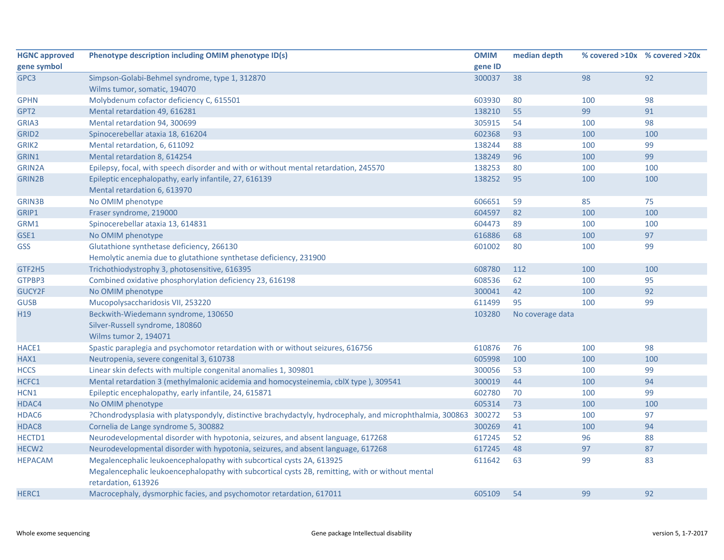| <b>HGNC approved</b> | Phenotype description including OMIM phenotype ID(s)                                                      | <b>OMIM</b> | median depth     |     | % covered >10x % covered >20x |
|----------------------|-----------------------------------------------------------------------------------------------------------|-------------|------------------|-----|-------------------------------|
| gene symbol          |                                                                                                           | gene ID     |                  |     |                               |
| GPC3                 | Simpson-Golabi-Behmel syndrome, type 1, 312870                                                            | 300037      | 38               | 98  | 92                            |
|                      | Wilms tumor, somatic, 194070                                                                              |             |                  |     |                               |
| <b>GPHN</b>          | Molybdenum cofactor deficiency C, 615501                                                                  | 603930      | 80               | 100 | 98                            |
| GPT2                 | Mental retardation 49, 616281                                                                             | 138210      | 55               | 99  | 91                            |
| GRIA3                | Mental retardation 94, 300699                                                                             | 305915      | 54               | 100 | 98                            |
| GRID <sub>2</sub>    | Spinocerebellar ataxia 18, 616204                                                                         | 602368      | 93               | 100 | 100                           |
| GRIK2                | Mental retardation, 6, 611092                                                                             | 138244      | 88               | 100 | 99                            |
| GRIN1                | Mental retardation 8, 614254                                                                              | 138249      | 96               | 100 | 99                            |
| GRIN2A               | Epilepsy, focal, with speech disorder and with or without mental retardation, 245570                      | 138253      | 80               | 100 | 100                           |
| <b>GRIN2B</b>        | Epileptic encephalopathy, early infantile, 27, 616139                                                     | 138252      | 95               | 100 | 100                           |
|                      | Mental retardation 6, 613970                                                                              |             |                  |     |                               |
| <b>GRIN3B</b>        | No OMIM phenotype                                                                                         | 606651      | 59               | 85  | 75                            |
| GRIP1                | Fraser syndrome, 219000                                                                                   | 604597      | 82               | 100 | 100                           |
| GRM1                 | Spinocerebellar ataxia 13, 614831                                                                         | 604473      | 89               | 100 | 100                           |
| GSE1                 | No OMIM phenotype                                                                                         | 616886      | 68               | 100 | 97                            |
| GSS                  | Glutathione synthetase deficiency, 266130                                                                 | 601002      | 80               | 100 | 99                            |
|                      | Hemolytic anemia due to glutathione synthetase deficiency, 231900                                         |             |                  |     |                               |
| GTF2H5               | Trichothiodystrophy 3, photosensitive, 616395                                                             | 608780      | 112              | 100 | 100                           |
| GTPBP3               | Combined oxidative phosphorylation deficiency 23, 616198                                                  | 608536      | 62               | 100 | 95                            |
| GUCY2F               | No OMIM phenotype                                                                                         | 300041      | 42               | 100 | 92                            |
| <b>GUSB</b>          | Mucopolysaccharidosis VII, 253220                                                                         | 611499      | 95               | 100 | 99                            |
| H <sub>19</sub>      | Beckwith-Wiedemann syndrome, 130650                                                                       | 103280      | No coverage data |     |                               |
|                      | Silver-Russell syndrome, 180860                                                                           |             |                  |     |                               |
|                      | <b>Wilms tumor 2, 194071</b>                                                                              |             |                  |     |                               |
| HACE1                | Spastic paraplegia and psychomotor retardation with or without seizures, 616756                           | 610876      | 76               | 100 | 98                            |
| HAX1                 | Neutropenia, severe congenital 3, 610738                                                                  | 605998      | 100              | 100 | 100                           |
| <b>HCCS</b>          | Linear skin defects with multiple congenital anomalies 1, 309801                                          | 300056      | 53               | 100 | 99                            |
| HCFC1                | Mental retardation 3 (methylmalonic acidemia and homocysteinemia, cblX type), 309541                      | 300019      | 44               | 100 | 94                            |
| HCN1                 | Epileptic encephalopathy, early infantile, 24, 615871                                                     | 602780      | 70               | 100 | 99                            |
| HDAC4                | No OMIM phenotype                                                                                         | 605314      | 73               | 100 | 100                           |
| HDAC6                | ?Chondrodysplasia with platyspondyly, distinctive brachydactyly, hydrocephaly, and microphthalmia, 300863 | 300272      | 53               | 100 | 97                            |
| HDAC8                | Cornelia de Lange syndrome 5, 300882                                                                      | 300269      | 41               | 100 | 94                            |
| HECTD1               | Neurodevelopmental disorder with hypotonia, seizures, and absent language, 617268                         | 617245      | 52               | 96  | 88                            |
| HECW <sub>2</sub>    | Neurodevelopmental disorder with hypotonia, seizures, and absent language, 617268                         | 617245      | 48               | 97  | 87                            |
| <b>HEPACAM</b>       | Megalencephalic leukoencephalopathy with subcortical cysts 2A, 613925                                     | 611642      | 63               | 99  | 83                            |
|                      | Megalencephalic leukoencephalopathy with subcortical cysts 2B, remitting, with or without mental          |             |                  |     |                               |
|                      | retardation, 613926                                                                                       |             |                  |     |                               |
| HERC1                | Macrocephaly, dysmorphic facies, and psychomotor retardation, 617011                                      | 605109      | 54               | 99  | 92                            |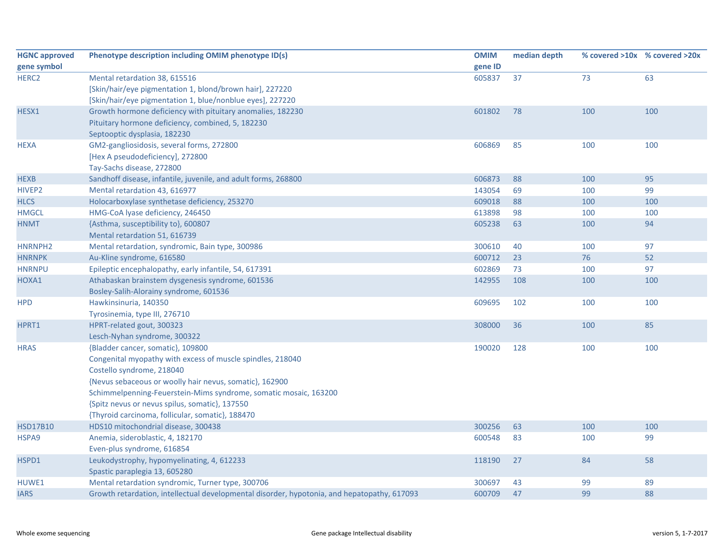| <b>HGNC approved</b> | Phenotype description including OMIM phenotype ID(s)                                        | <b>OMIM</b> | median depth |     | % covered >10x % covered >20x |
|----------------------|---------------------------------------------------------------------------------------------|-------------|--------------|-----|-------------------------------|
| gene symbol          |                                                                                             | gene ID     |              |     |                               |
| HERC <sub>2</sub>    | Mental retardation 38, 615516                                                               | 605837      | 37           | 73  | 63                            |
|                      | [Skin/hair/eye pigmentation 1, blond/brown hair], 227220                                    |             |              |     |                               |
|                      | [Skin/hair/eye pigmentation 1, blue/nonblue eyes], 227220                                   |             |              |     |                               |
| HESX1                | Growth hormone deficiency with pituitary anomalies, 182230                                  | 601802      | 78           | 100 | 100                           |
|                      | Pituitary hormone deficiency, combined, 5, 182230                                           |             |              |     |                               |
|                      | Septooptic dysplasia, 182230                                                                |             |              |     |                               |
| <b>HEXA</b>          | GM2-gangliosidosis, several forms, 272800                                                   | 606869      | 85           | 100 | 100                           |
|                      | [Hex A pseudodeficiency], 272800                                                            |             |              |     |                               |
|                      | Tay-Sachs disease, 272800                                                                   |             |              |     |                               |
| <b>HEXB</b>          | Sandhoff disease, infantile, juvenile, and adult forms, 268800                              | 606873      | 88           | 100 | 95                            |
| HIVEP2               | Mental retardation 43, 616977                                                               | 143054      | 69           | 100 | 99                            |
| <b>HLCS</b>          | Holocarboxylase synthetase deficiency, 253270                                               | 609018      | 88           | 100 | 100                           |
| <b>HMGCL</b>         | HMG-CoA lyase deficiency, 246450                                                            | 613898      | 98           | 100 | 100                           |
| <b>HNMT</b>          | {Asthma, susceptibility to}, 600807                                                         | 605238      | 63           | 100 | 94                            |
|                      | Mental retardation 51, 616739                                                               |             |              |     |                               |
| HNRNPH2              | Mental retardation, syndromic, Bain type, 300986                                            | 300610      | 40           | 100 | 97                            |
| <b>HNRNPK</b>        | Au-Kline syndrome, 616580                                                                   | 600712      | 23           | 76  | 52                            |
| <b>HNRNPU</b>        | Epileptic encephalopathy, early infantile, 54, 617391                                       | 602869      | 73           | 100 | 97                            |
| HOXA1                | Athabaskan brainstem dysgenesis syndrome, 601536                                            | 142955      | 108          | 100 | 100                           |
|                      | Bosley-Salih-Alorainy syndrome, 601536                                                      |             |              |     |                               |
| <b>HPD</b>           | Hawkinsinuria, 140350                                                                       | 609695      | 102          | 100 | 100                           |
|                      | Tyrosinemia, type III, 276710                                                               |             |              |     |                               |
| HPRT1                | HPRT-related gout, 300323                                                                   | 308000      | 36           | 100 | 85                            |
|                      | Lesch-Nyhan syndrome, 300322                                                                |             |              |     |                               |
| <b>HRAS</b>          | {Bladder cancer, somatic}, 109800                                                           | 190020      | 128          | 100 | 100                           |
|                      | Congenital myopathy with excess of muscle spindles, 218040                                  |             |              |     |                               |
|                      | Costello syndrome, 218040                                                                   |             |              |     |                               |
|                      | {Nevus sebaceous or woolly hair nevus, somatic}, 162900                                     |             |              |     |                               |
|                      | Schimmelpenning-Feuerstein-Mims syndrome, somatic mosaic, 163200                            |             |              |     |                               |
|                      | {Spitz nevus or nevus spilus, somatic}, 137550                                              |             |              |     |                               |
|                      | {Thyroid carcinoma, follicular, somatic}, 188470                                            |             |              |     |                               |
| <b>HSD17B10</b>      | HDS10 mitochondrial disease, 300438                                                         | 300256      | 63           | 100 | 100                           |
| HSPA9                | Anemia, sideroblastic, 4, 182170                                                            | 600548      | 83           | 100 | 99                            |
|                      | Even-plus syndrome, 616854                                                                  |             |              |     |                               |
| HSPD1                | Leukodystrophy, hypomyelinating, 4, 612233                                                  | 118190      | 27           | 84  | 58                            |
|                      | Spastic paraplegia 13, 605280                                                               |             |              |     |                               |
| HUWE1                | Mental retardation syndromic, Turner type, 300706                                           | 300697      | 43           | 99  | 89                            |
| <b>IARS</b>          | Growth retardation, intellectual developmental disorder, hypotonia, and hepatopathy, 617093 | 600709      | 47           | 99  | 88                            |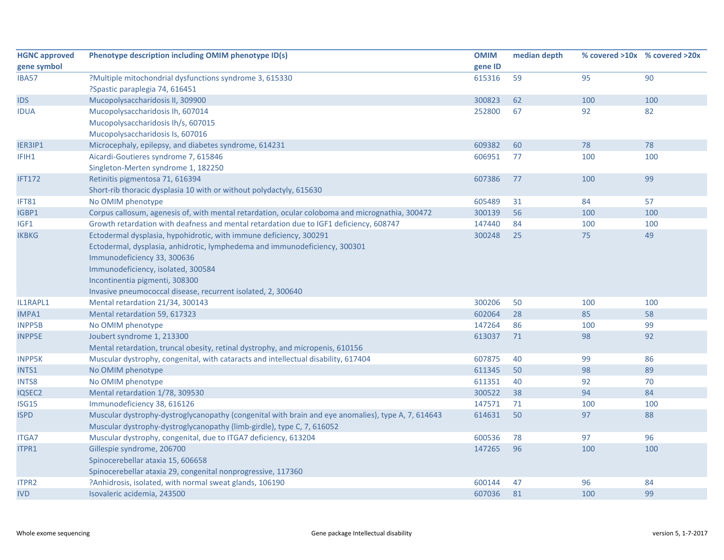| <b>HGNC approved</b> | Phenotype description including OMIM phenotype ID(s)                                               | <b>OMIM</b> | median depth |     | % covered >10x % covered >20x |
|----------------------|----------------------------------------------------------------------------------------------------|-------------|--------------|-----|-------------------------------|
| gene symbol          |                                                                                                    | gene ID     |              |     |                               |
| <b>IBA57</b>         | ?Multiple mitochondrial dysfunctions syndrome 3, 615330                                            | 615316      | 59           | 95  | 90                            |
|                      | ?Spastic paraplegia 74, 616451                                                                     |             |              |     |                               |
| <b>IDS</b>           | Mucopolysaccharidosis II, 309900                                                                   | 300823      | 62           | 100 | 100                           |
| <b>IDUA</b>          | Mucopolysaccharidosis Ih, 607014                                                                   | 252800      | 67           | 92  | 82                            |
|                      | Mucopolysaccharidosis Ih/s, 607015                                                                 |             |              |     |                               |
|                      | Mucopolysaccharidosis Is, 607016                                                                   |             |              |     |                               |
| IER3IP1              | Microcephaly, epilepsy, and diabetes syndrome, 614231                                              | 609382      | 60           | 78  | 78                            |
| IFIH1                | Aicardi-Goutieres syndrome 7, 615846                                                               | 606951      | 77           | 100 | 100                           |
|                      | Singleton-Merten syndrome 1, 182250                                                                |             |              |     |                               |
| <b>IFT172</b>        | Retinitis pigmentosa 71, 616394                                                                    | 607386      | 77           | 100 | 99                            |
|                      | Short-rib thoracic dysplasia 10 with or without polydactyly, 615630                                |             |              |     |                               |
| IFT81                | No OMIM phenotype                                                                                  | 605489      | 31           | 84  | 57                            |
| IGBP1                | Corpus callosum, agenesis of, with mental retardation, ocular coloboma and micrognathia, 300472    | 300139      | 56           | 100 | 100                           |
| IGF1                 | Growth retardation with deafness and mental retardation due to IGF1 deficiency, 608747             | 147440      | 84           | 100 | 100                           |
| <b>IKBKG</b>         | Ectodermal dysplasia, hypohidrotic, with immune deficiency, 300291                                 | 300248      | 25           | 75  | 49                            |
|                      | Ectodermal, dysplasia, anhidrotic, lymphedema and immunodeficiency, 300301                         |             |              |     |                               |
|                      | Immunodeficiency 33, 300636                                                                        |             |              |     |                               |
|                      | Immunodeficiency, isolated, 300584                                                                 |             |              |     |                               |
|                      | Incontinentia pigmenti, 308300                                                                     |             |              |     |                               |
|                      | Invasive pneumococcal disease, recurrent isolated, 2, 300640                                       |             |              |     |                               |
| IL1RAPL1             | Mental retardation 21/34, 300143                                                                   | 300206      | 50           | 100 | 100                           |
| IMPA1                | Mental retardation 59, 617323                                                                      | 602064      | 28           | 85  | 58                            |
| <b>INPP5B</b>        | No OMIM phenotype                                                                                  | 147264      | 86           | 100 | 99                            |
| <b>INPP5E</b>        | Joubert syndrome 1, 213300                                                                         | 613037      | 71           | 98  | 92                            |
|                      | Mental retardation, truncal obesity, retinal dystrophy, and micropenis, 610156                     |             |              |     |                               |
| <b>INPP5K</b>        | Muscular dystrophy, congenital, with cataracts and intellectual disability, 617404                 | 607875      | 40           | 99  | 86                            |
| INTS1                | No OMIM phenotype                                                                                  | 611345      | 50           | 98  | 89                            |
| <b>INTS8</b>         | No OMIM phenotype                                                                                  | 611351      | 40           | 92  | 70                            |
| IQSEC2               | Mental retardation 1/78, 309530                                                                    | 300522      | 38           | 94  | 84                            |
| ISG15                | Immunodeficiency 38, 616126                                                                        | 147571      | 71           | 100 | 100                           |
| <b>ISPD</b>          | Muscular dystrophy-dystroglycanopathy (congenital with brain and eye anomalies), type A, 7, 614643 | 614631      | 50           | 97  | 88                            |
|                      | Muscular dystrophy-dystroglycanopathy (limb-girdle), type C, 7, 616052                             |             |              |     |                               |
| <b>ITGA7</b>         | Muscular dystrophy, congenital, due to ITGA7 deficiency, 613204                                    | 600536      | 78           | 97  | 96                            |
| ITPR1                | Gillespie syndrome, 206700                                                                         | 147265      | 96           | 100 | 100                           |
|                      | Spinocerebellar ataxia 15, 606658                                                                  |             |              |     |                               |
|                      | Spinocerebellar ataxia 29, congenital nonprogressive, 117360                                       |             |              |     |                               |
| ITPR2                | ?Anhidrosis, isolated, with normal sweat glands, 106190                                            | 600144      | 47           | 96  | 84                            |
| <b>IVD</b>           | Isovaleric acidemia, 243500                                                                        | 607036      | 81           | 100 | 99                            |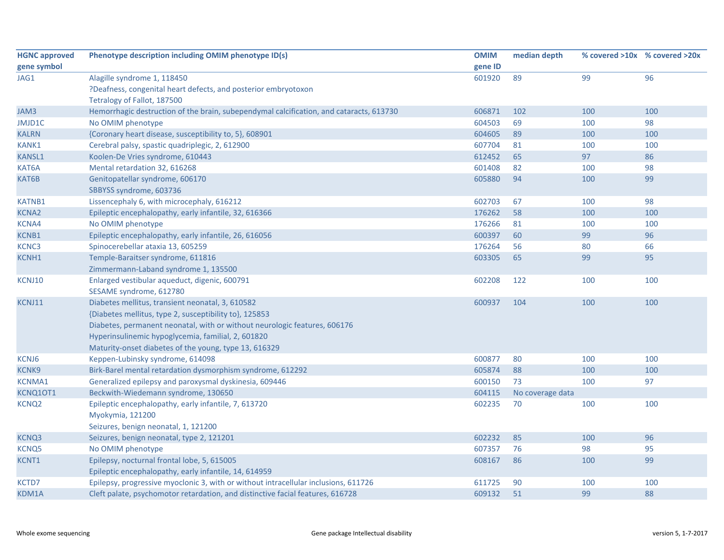| <b>HGNC approved</b> | Phenotype description including OMIM phenotype ID(s)                                    | <b>OMIM</b> | median depth     |     | % covered >10x % covered >20x |
|----------------------|-----------------------------------------------------------------------------------------|-------------|------------------|-----|-------------------------------|
| gene symbol          |                                                                                         | gene ID     |                  |     |                               |
| JAG1                 | Alagille syndrome 1, 118450                                                             | 601920      | 89               | 99  | 96                            |
|                      | ?Deafness, congenital heart defects, and posterior embryotoxon                          |             |                  |     |                               |
|                      | Tetralogy of Fallot, 187500                                                             |             |                  |     |                               |
| JAM3                 | Hemorrhagic destruction of the brain, subependymal calcification, and cataracts, 613730 | 606871      | 102              | 100 | 100                           |
| JMJD1C               | No OMIM phenotype                                                                       | 604503      | 69               | 100 | 98                            |
| <b>KALRN</b>         | {Coronary heart disease, susceptibility to, 5}, 608901                                  | 604605      | 89               | 100 | 100                           |
| <b>KANK1</b>         | Cerebral palsy, spastic quadriplegic, 2, 612900                                         | 607704      | 81               | 100 | 100                           |
| <b>KANSL1</b>        | Koolen-De Vries syndrome, 610443                                                        | 612452      | 65               | 97  | 86                            |
| KAT6A                | Mental retardation 32, 616268                                                           | 601408      | 82               | 100 | 98                            |
| KAT6B                | Genitopatellar syndrome, 606170                                                         | 605880      | 94               | 100 | 99                            |
|                      | SBBYSS syndrome, 603736                                                                 |             |                  |     |                               |
| <b>KATNB1</b>        | Lissencephaly 6, with microcephaly, 616212                                              | 602703      | 67               | 100 | 98                            |
| <b>KCNA2</b>         | Epileptic encephalopathy, early infantile, 32, 616366                                   | 176262      | 58               | 100 | 100                           |
| KCNA4                | No OMIM phenotype                                                                       | 176266      | 81               | 100 | 100                           |
| KCNB1                | Epileptic encephalopathy, early infantile, 26, 616056                                   | 600397      | 60               | 99  | 96                            |
| KCNC3                | Spinocerebellar ataxia 13, 605259                                                       | 176264      | 56               | 80  | 66                            |
| KCNH1                | Temple-Baraitser syndrome, 611816                                                       | 603305      | 65               | 99  | 95                            |
|                      | Zimmermann-Laband syndrome 1, 135500                                                    |             |                  |     |                               |
| KCNJ10               | Enlarged vestibular aqueduct, digenic, 600791                                           | 602208      | 122              | 100 | 100                           |
|                      | SESAME syndrome, 612780                                                                 |             |                  |     |                               |
| KCNJ11               | Diabetes mellitus, transient neonatal, 3, 610582                                        | 600937      | 104              | 100 | 100                           |
|                      | {Diabetes mellitus, type 2, susceptibility to}, 125853                                  |             |                  |     |                               |
|                      | Diabetes, permanent neonatal, with or without neurologic features, 606176               |             |                  |     |                               |
|                      | Hyperinsulinemic hypoglycemia, familial, 2, 601820                                      |             |                  |     |                               |
|                      | Maturity-onset diabetes of the young, type 13, 616329                                   |             |                  |     |                               |
| KCNJ6                | Keppen-Lubinsky syndrome, 614098                                                        | 600877      | 80               | 100 | 100                           |
| <b>KCNK9</b>         | Birk-Barel mental retardation dysmorphism syndrome, 612292                              | 605874      | 88               | 100 | 100                           |
| <b>KCNMA1</b>        | Generalized epilepsy and paroxysmal dyskinesia, 609446                                  | 600150      | 73               | 100 | 97                            |
| KCNQ10T1             | Beckwith-Wiedemann syndrome, 130650                                                     | 604115      | No coverage data |     |                               |
| KCNQ <sub>2</sub>    | Epileptic encephalopathy, early infantile, 7, 613720                                    | 602235      | 70               | 100 | 100                           |
|                      | Myokymia, 121200                                                                        |             |                  |     |                               |
|                      | Seizures, benign neonatal, 1, 121200                                                    |             |                  |     |                               |
| KCNQ3                | Seizures, benign neonatal, type 2, 121201                                               | 602232      | 85               | 100 | 96                            |
| <b>KCNQ5</b>         | No OMIM phenotype                                                                       | 607357      | 76               | 98  | 95                            |
| KCNT1                | Epilepsy, nocturnal frontal lobe, 5, 615005                                             | 608167      | 86               | 100 | 99                            |
|                      | Epileptic encephalopathy, early infantile, 14, 614959                                   |             |                  |     |                               |
| KCTD7                | Epilepsy, progressive myoclonic 3, with or without intracellular inclusions, 611726     | 611725      | 90               | 100 | 100                           |
| KDM1A                | Cleft palate, psychomotor retardation, and distinctive facial features, 616728          | 609132      | 51               | 99  | 88                            |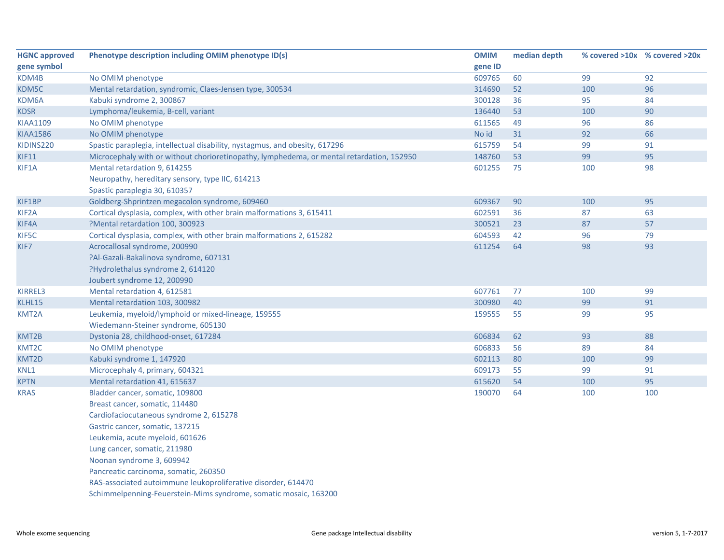| <b>HGNC approved</b> | Phenotype description including OMIM phenotype ID(s)                                      | <b>OMIM</b> | median depth |     | % covered >10x % covered >20x |
|----------------------|-------------------------------------------------------------------------------------------|-------------|--------------|-----|-------------------------------|
| gene symbol          |                                                                                           | gene ID     |              |     |                               |
| KDM4B                | No OMIM phenotype                                                                         | 609765      | 60           | 99  | 92                            |
| KDM5C                | Mental retardation, syndromic, Claes-Jensen type, 300534                                  | 314690      | 52           | 100 | 96                            |
| KDM6A                | Kabuki syndrome 2, 300867                                                                 | 300128      | 36           | 95  | 84                            |
| <b>KDSR</b>          | Lymphoma/leukemia, B-cell, variant                                                        | 136440      | 53           | 100 | 90                            |
| <b>KIAA1109</b>      | No OMIM phenotype                                                                         | 611565      | 49           | 96  | 86                            |
| <b>KIAA1586</b>      | No OMIM phenotype                                                                         | No id       | 31           | 92  | 66                            |
| KIDINS220            | Spastic paraplegia, intellectual disability, nystagmus, and obesity, 617296               | 615759      | 54           | 99  | 91                            |
| <b>KIF11</b>         | Microcephaly with or without chorioretinopathy, lymphedema, or mental retardation, 152950 | 148760      | 53           | 99  | 95                            |
| KIF1A                | Mental retardation 9, 614255                                                              | 601255      | 75           | 100 | 98                            |
|                      | Neuropathy, hereditary sensory, type IIC, 614213                                          |             |              |     |                               |
|                      | Spastic paraplegia 30, 610357                                                             |             |              |     |                               |
| KIF1BP               | Goldberg-Shprintzen megacolon syndrome, 609460                                            | 609367      | 90           | 100 | 95                            |
| KIF2A                | Cortical dysplasia, complex, with other brain malformations 3, 615411                     | 602591      | 36           | 87  | 63                            |
| KIF4A                | ?Mental retardation 100, 300923                                                           | 300521      | 23           | 87  | 57                            |
| KIF5C                | Cortical dysplasia, complex, with other brain malformations 2, 615282                     | 604593      | 42           | 96  | 79                            |
| KIF7                 | Acrocallosal syndrome, 200990                                                             | 611254      | 64           | 98  | 93                            |
|                      | ?Al-Gazali-Bakalinova syndrome, 607131                                                    |             |              |     |                               |
|                      | ?Hydrolethalus syndrome 2, 614120                                                         |             |              |     |                               |
|                      | Joubert syndrome 12, 200990                                                               |             |              |     |                               |
| <b>KIRREL3</b>       | Mental retardation 4, 612581                                                              | 607761      | 77           | 100 | 99                            |
| KLHL15               | Mental retardation 103, 300982                                                            | 300980      | 40           | 99  | 91                            |
| KMT2A                | Leukemia, myeloid/lymphoid or mixed-lineage, 159555                                       | 159555      | 55           | 99  | 95                            |
|                      | Wiedemann-Steiner syndrome, 605130                                                        |             |              |     |                               |
| KMT2B                | Dystonia 28, childhood-onset, 617284                                                      | 606834      | 62           | 93  | 88                            |
| KMT2C                | No OMIM phenotype                                                                         | 606833      | 56           | 89  | 84                            |
| KMT2D                | Kabuki syndrome 1, 147920                                                                 | 602113      | 80           | 100 | 99                            |
| KNL1                 | Microcephaly 4, primary, 604321                                                           | 609173      | 55           | 99  | 91                            |
| <b>KPTN</b>          | Mental retardation 41, 615637                                                             | 615620      | 54           | 100 | 95                            |
| <b>KRAS</b>          | Bladder cancer, somatic, 109800                                                           | 190070      | 64           | 100 | 100                           |
|                      | Breast cancer, somatic, 114480                                                            |             |              |     |                               |
|                      | Cardiofaciocutaneous syndrome 2, 615278                                                   |             |              |     |                               |
|                      | Gastric cancer, somatic, 137215                                                           |             |              |     |                               |
|                      | Leukemia, acute myeloid, 601626                                                           |             |              |     |                               |
|                      | Lung cancer, somatic, 211980                                                              |             |              |     |                               |
|                      | Noonan syndrome 3, 609942                                                                 |             |              |     |                               |
|                      | Pancreatic carcinoma, somatic, 260350                                                     |             |              |     |                               |
|                      | RAS-associated autoimmune leukoproliferative disorder, 614470                             |             |              |     |                               |
|                      |                                                                                           |             |              |     |                               |

Schimmelpenning‐Feuerstein‐Mims syndrome, somatic mosaic, 163200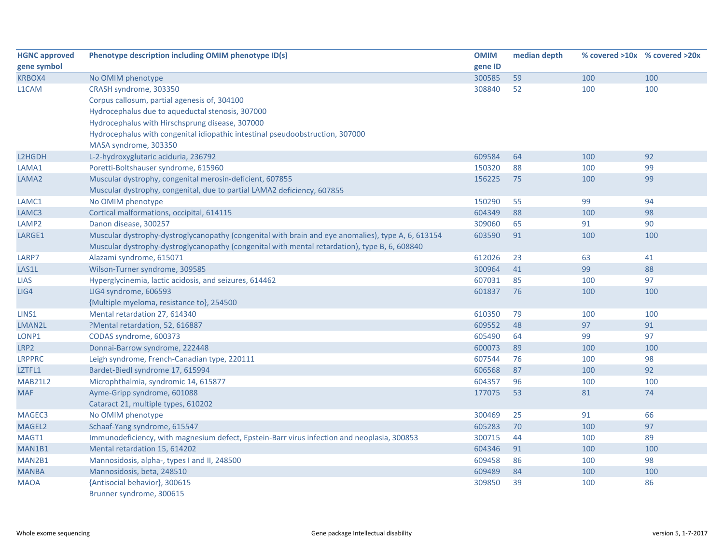| <b>HGNC approved</b> | Phenotype description including OMIM phenotype ID(s)                                               | <b>OMIM</b> | median depth | % covered >10x % covered >20x |     |
|----------------------|----------------------------------------------------------------------------------------------------|-------------|--------------|-------------------------------|-----|
| gene symbol          |                                                                                                    | gene ID     |              |                               |     |
| KRBOX4               | No OMIM phenotype                                                                                  | 300585      | 59           | 100                           | 100 |
| L1CAM                | CRASH syndrome, 303350                                                                             | 308840      | 52           | 100                           | 100 |
|                      | Corpus callosum, partial agenesis of, 304100                                                       |             |              |                               |     |
|                      | Hydrocephalus due to aqueductal stenosis, 307000                                                   |             |              |                               |     |
|                      | Hydrocephalus with Hirschsprung disease, 307000                                                    |             |              |                               |     |
|                      | Hydrocephalus with congenital idiopathic intestinal pseudoobstruction, 307000                      |             |              |                               |     |
|                      | MASA syndrome, 303350                                                                              |             |              |                               |     |
| L2HGDH               | L-2-hydroxyglutaric aciduria, 236792                                                               | 609584      | 64           | 100                           | 92  |
| LAMA1                | Poretti-Boltshauser syndrome, 615960                                                               | 150320      | 88           | 100                           | 99  |
| LAMA <sub>2</sub>    | Muscular dystrophy, congenital merosin-deficient, 607855                                           | 156225      | 75           | 100                           | 99  |
|                      | Muscular dystrophy, congenital, due to partial LAMA2 deficiency, 607855                            |             |              |                               |     |
| LAMC1                | No OMIM phenotype                                                                                  | 150290      | 55           | 99                            | 94  |
| LAMC3                | Cortical malformations, occipital, 614115                                                          | 604349      | 88           | 100                           | 98  |
| LAMP2                | Danon disease, 300257                                                                              | 309060      | 65           | 91                            | 90  |
| LARGE1               | Muscular dystrophy-dystroglycanopathy (congenital with brain and eye anomalies), type A, 6, 613154 | 603590      | 91           | 100                           | 100 |
|                      | Muscular dystrophy-dystroglycanopathy (congenital with mental retardation), type B, 6, 608840      |             |              |                               |     |
| LARP7                | Alazami syndrome, 615071                                                                           | 612026      | 23           | 63                            | 41  |
| LAS1L                | Wilson-Turner syndrome, 309585                                                                     | 300964      | 41           | 99                            | 88  |
| <b>LIAS</b>          | Hyperglycinemia, lactic acidosis, and seizures, 614462                                             | 607031      | 85           | 100                           | 97  |
| LIG4                 | LIG4 syndrome, 606593                                                                              | 601837      | 76           | 100                           | 100 |
|                      | {Multiple myeloma, resistance to}, 254500                                                          |             |              |                               |     |
| LINS1                | Mental retardation 27, 614340                                                                      | 610350      | 79           | 100                           | 100 |
| LMAN2L               | ?Mental retardation, 52, 616887                                                                    | 609552      | 48           | 97                            | 91  |
| LONP1                | CODAS syndrome, 600373                                                                             | 605490      | 64           | 99                            | 97  |
| LRP2                 | Donnai-Barrow syndrome, 222448                                                                     | 600073      | 89           | 100                           | 100 |
| <b>LRPPRC</b>        | Leigh syndrome, French-Canadian type, 220111                                                       | 607544      | 76           | 100                           | 98  |
| LZTFL1               | Bardet-Biedl syndrome 17, 615994                                                                   | 606568      | 87           | 100                           | 92  |
| <b>MAB21L2</b>       | Microphthalmia, syndromic 14, 615877                                                               | 604357      | 96           | 100                           | 100 |
| <b>MAF</b>           | Ayme-Gripp syndrome, 601088                                                                        | 177075      | 53           | 81                            | 74  |
|                      | Cataract 21, multiple types, 610202                                                                |             |              |                               |     |
| MAGEC3               | No OMIM phenotype                                                                                  | 300469      | 25           | 91                            | 66  |
| MAGEL2               | Schaaf-Yang syndrome, 615547                                                                       | 605283      | 70           | 100                           | 97  |
| MAGT1                | Immunodeficiency, with magnesium defect, Epstein-Barr virus infection and neoplasia, 300853        | 300715      | 44           | 100                           | 89  |
| MAN1B1               | Mental retardation 15, 614202                                                                      | 604346      | 91           | 100                           | 100 |
| MAN2B1               | Mannosidosis, alpha-, types I and II, 248500                                                       | 609458      | 86           | 100                           | 98  |
| <b>MANBA</b>         | Mannosidosis, beta, 248510                                                                         | 609489      | 84           | 100                           | 100 |
| <b>MAOA</b>          | {Antisocial behavior}, 300615                                                                      | 309850      | 39           | 100                           | 86  |
|                      | Brunner syndrome, 300615                                                                           |             |              |                               |     |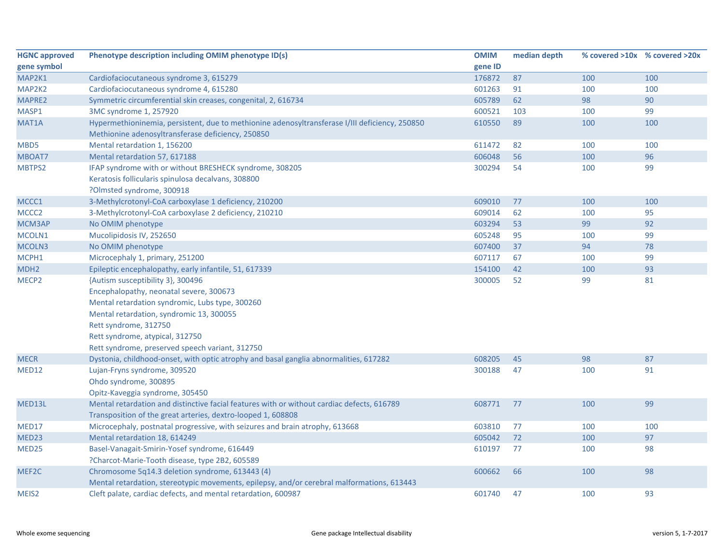| <b>HGNC approved</b> | Phenotype description including OMIM phenotype ID(s)                                           | <b>OMIM</b> | median depth |     | % covered >10x % covered >20x |
|----------------------|------------------------------------------------------------------------------------------------|-------------|--------------|-----|-------------------------------|
| gene symbol          |                                                                                                | gene ID     |              |     |                               |
| MAP2K1               | Cardiofaciocutaneous syndrome 3, 615279                                                        | 176872      | 87           | 100 | 100                           |
| MAP2K2               | Cardiofaciocutaneous syndrome 4, 615280                                                        | 601263      | 91           | 100 | 100                           |
| MAPRE2               | Symmetric circumferential skin creases, congenital, 2, 616734                                  | 605789      | 62           | 98  | 90                            |
| MASP1                | 3MC syndrome 1, 257920                                                                         | 600521      | 103          | 100 | 99                            |
| MAT1A                | Hypermethioninemia, persistent, due to methionine adenosyltransferase I/III deficiency, 250850 | 610550      | 89           | 100 | 100                           |
|                      | Methionine adenosyltransferase deficiency, 250850                                              |             |              |     |                               |
| MBD5                 | Mental retardation 1, 156200                                                                   | 611472      | 82           | 100 | 100                           |
| MBOAT7               | Mental retardation 57, 617188                                                                  | 606048      | 56           | 100 | 96                            |
| MBTPS2               | IFAP syndrome with or without BRESHECK syndrome, 308205                                        | 300294      | 54           | 100 | 99                            |
|                      | Keratosis follicularis spinulosa decalvans, 308800                                             |             |              |     |                               |
|                      | ?Olmsted syndrome, 300918                                                                      |             |              |     |                               |
| MCCC1                | 3-Methylcrotonyl-CoA carboxylase 1 deficiency, 210200                                          | 609010      | 77           | 100 | 100                           |
| MCCC <sub>2</sub>    | 3-Methylcrotonyl-CoA carboxylase 2 deficiency, 210210                                          | 609014      | 62           | 100 | 95                            |
| MCM3AP               | No OMIM phenotype                                                                              | 603294      | 53           | 99  | 92                            |
| MCOLN1               | Mucolipidosis IV, 252650                                                                       | 605248      | 95           | 100 | 99                            |
| MCOLN3               | No OMIM phenotype                                                                              | 607400      | 37           | 94  | 78                            |
| MCPH1                | Microcephaly 1, primary, 251200                                                                | 607117      | 67           | 100 | 99                            |
| MDH <sub>2</sub>     | Epileptic encephalopathy, early infantile, 51, 617339                                          | 154100      | 42           | 100 | 93                            |
| MECP <sub>2</sub>    | {Autism susceptibility 3}, 300496                                                              | 300005      | 52           | 99  | 81                            |
|                      | Encephalopathy, neonatal severe, 300673                                                        |             |              |     |                               |
|                      | Mental retardation syndromic, Lubs type, 300260                                                |             |              |     |                               |
|                      | Mental retardation, syndromic 13, 300055                                                       |             |              |     |                               |
|                      | Rett syndrome, 312750                                                                          |             |              |     |                               |
|                      | Rett syndrome, atypical, 312750                                                                |             |              |     |                               |
|                      | Rett syndrome, preserved speech variant, 312750                                                |             |              |     |                               |
| <b>MECR</b>          | Dystonia, childhood-onset, with optic atrophy and basal ganglia abnormalities, 617282          | 608205      | 45           | 98  | 87                            |
| MED12                | Lujan-Fryns syndrome, 309520                                                                   | 300188      | 47           | 100 | 91                            |
|                      | Ohdo syndrome, 300895                                                                          |             |              |     |                               |
|                      | Opitz-Kaveggia syndrome, 305450                                                                |             |              |     |                               |
| MED13L               | Mental retardation and distinctive facial features with or without cardiac defects, 616789     | 608771      | 77           | 100 | 99                            |
|                      | Transposition of the great arteries, dextro-looped 1, 608808                                   |             |              |     |                               |
| MED17                | Microcephaly, postnatal progressive, with seizures and brain atrophy, 613668                   | 603810      | 77           | 100 | 100                           |
| MED23                | Mental retardation 18, 614249                                                                  | 605042      | 72           | 100 | 97                            |
| MED25                | Basel-Vanagait-Smirin-Yosef syndrome, 616449                                                   | 610197      | 77           | 100 | 98                            |
|                      | ?Charcot-Marie-Tooth disease, type 2B2, 605589                                                 |             |              |     |                               |
| MEF2C                | Chromosome 5q14.3 deletion syndrome, 613443 (4)                                                | 600662      | 66           | 100 | 98                            |
|                      | Mental retardation, stereotypic movements, epilepsy, and/or cerebral malformations, 613443     |             |              |     |                               |
| MEIS <sub>2</sub>    | Cleft palate, cardiac defects, and mental retardation, 600987                                  | 601740      | 47           | 100 | 93                            |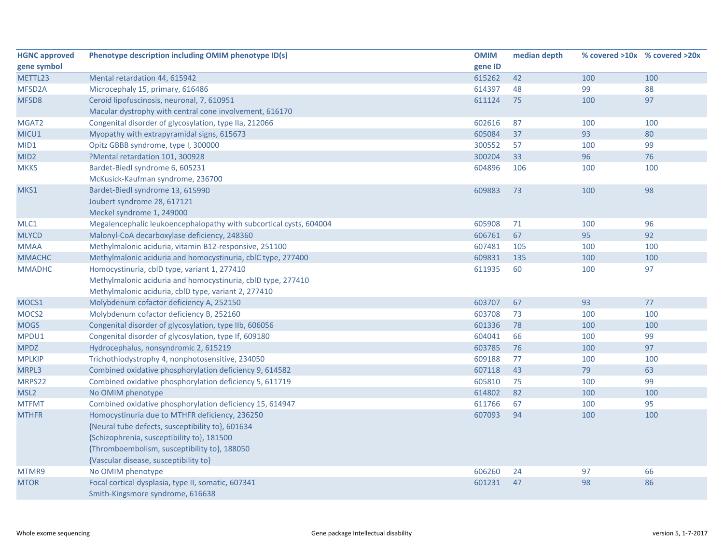| <b>HGNC approved</b> | Phenotype description including OMIM phenotype ID(s)               | <b>OMIM</b> | median depth |     | % covered >10x % covered >20x |
|----------------------|--------------------------------------------------------------------|-------------|--------------|-----|-------------------------------|
| gene symbol          |                                                                    | gene ID     |              |     |                               |
| METTL23              | Mental retardation 44, 615942                                      | 615262      | 42           | 100 | 100                           |
| MFSD <sub>2</sub> A  | Microcephaly 15, primary, 616486                                   | 614397      | 48           | 99  | 88                            |
| MFSD8                | Ceroid lipofuscinosis, neuronal, 7, 610951                         | 611124      | 75           | 100 | 97                            |
|                      | Macular dystrophy with central cone involvement, 616170            |             |              |     |                               |
| MGAT2                | Congenital disorder of glycosylation, type IIa, 212066             | 602616      | 87           | 100 | 100                           |
| MICU1                | Myopathy with extrapyramidal signs, 615673                         | 605084      | 37           | 93  | 80                            |
| MID1                 | Opitz GBBB syndrome, type I, 300000                                | 300552      | 57           | 100 | 99                            |
| MID <sub>2</sub>     | ?Mental retardation 101, 300928                                    | 300204      | 33           | 96  | 76                            |
| <b>MKKS</b>          | Bardet-Biedl syndrome 6, 605231                                    | 604896      | 106          | 100 | 100                           |
|                      | McKusick-Kaufman syndrome, 236700                                  |             |              |     |                               |
| MKS1                 | Bardet-Biedl syndrome 13, 615990                                   | 609883      | 73           | 100 | 98                            |
|                      | Joubert syndrome 28, 617121                                        |             |              |     |                               |
|                      | Meckel syndrome 1, 249000                                          |             |              |     |                               |
| MLC1                 | Megalencephalic leukoencephalopathy with subcortical cysts, 604004 | 605908      | 71           | 100 | 96                            |
| <b>MLYCD</b>         | Malonyl-CoA decarboxylase deficiency, 248360                       | 606761      | 67           | 95  | 92                            |
| <b>MMAA</b>          | Methylmalonic aciduria, vitamin B12-responsive, 251100             | 607481      | 105          | 100 | 100                           |
| <b>MMACHC</b>        | Methylmalonic aciduria and homocystinuria, cblC type, 277400       | 609831      | 135          | 100 | 100                           |
| <b>MMADHC</b>        | Homocystinuria, cblD type, variant 1, 277410                       | 611935      | 60           | 100 | 97                            |
|                      | Methylmalonic aciduria and homocystinuria, cblD type, 277410       |             |              |     |                               |
|                      | Methylmalonic aciduria, cblD type, variant 2, 277410               |             |              |     |                               |
| MOCS1                | Molybdenum cofactor deficiency A, 252150                           | 603707      | 67           | 93  | 77                            |
| MOCS2                | Molybdenum cofactor deficiency B, 252160                           | 603708      | 73           | 100 | 100                           |
| <b>MOGS</b>          | Congenital disorder of glycosylation, type IIb, 606056             | 601336      | 78           | 100 | 100                           |
| MPDU1                | Congenital disorder of glycosylation, type If, 609180              | 604041      | 66           | 100 | 99                            |
| <b>MPDZ</b>          | Hydrocephalus, nonsyndromic 2, 615219                              | 603785      | 76           | 100 | 97                            |
| <b>MPLKIP</b>        | Trichothiodystrophy 4, nonphotosensitive, 234050                   | 609188      | 77           | 100 | 100                           |
| MRPL3                | Combined oxidative phosphorylation deficiency 9, 614582            | 607118      | 43           | 79  | 63                            |
| MRPS22               | Combined oxidative phosphorylation deficiency 5, 611719            | 605810      | 75           | 100 | 99                            |
| MSL <sub>2</sub>     | No OMIM phenotype                                                  | 614802      | 82           | 100 | 100                           |
| <b>MTFMT</b>         | Combined oxidative phosphorylation deficiency 15, 614947           | 611766      | 67           | 100 | 95                            |
| <b>MTHFR</b>         | Homocystinuria due to MTHFR deficiency, 236250                     | 607093      | 94           | 100 | 100                           |
|                      | {Neural tube defects, susceptibility to}, 601634                   |             |              |     |                               |
|                      | {Schizophrenia, susceptibility to}, 181500                         |             |              |     |                               |
|                      | {Thromboembolism, susceptibility to}, 188050                       |             |              |     |                               |
|                      | {Vascular disease, susceptibility to}                              |             |              |     |                               |
| MTMR9                | No OMIM phenotype                                                  | 606260      | 24           | 97  | 66                            |
| <b>MTOR</b>          | Focal cortical dysplasia, type II, somatic, 607341                 | 601231      | 47           | 98  | 86                            |
|                      | Smith-Kingsmore syndrome, 616638                                   |             |              |     |                               |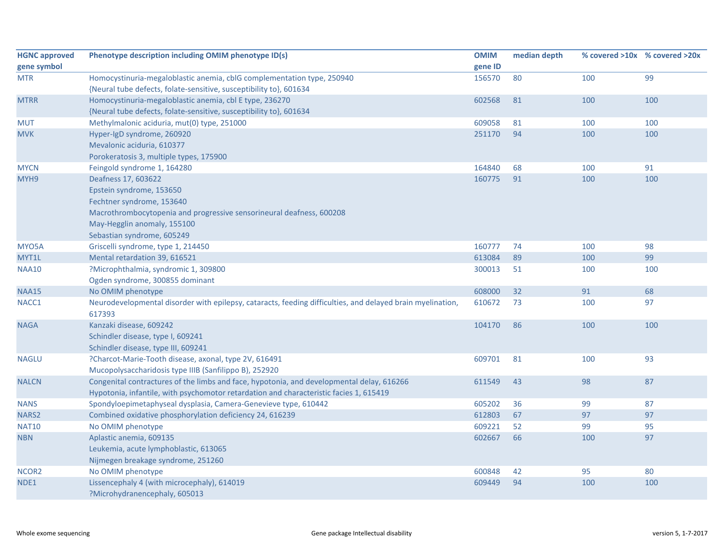| <b>HGNC approved</b> | Phenotype description including OMIM phenotype ID(s)                                                       | <b>OMIM</b> | median depth |     | % covered >10x % covered >20x |
|----------------------|------------------------------------------------------------------------------------------------------------|-------------|--------------|-----|-------------------------------|
| gene symbol          |                                                                                                            | gene ID     |              |     |                               |
| <b>MTR</b>           | Homocystinuria-megaloblastic anemia, cblG complementation type, 250940                                     | 156570      | 80           | 100 | 99                            |
|                      | {Neural tube defects, folate-sensitive, susceptibility to}, 601634                                         |             |              |     |                               |
| <b>MTRR</b>          | Homocystinuria-megaloblastic anemia, cbl E type, 236270                                                    | 602568      | 81           | 100 | 100                           |
|                      | {Neural tube defects, folate-sensitive, susceptibility to}, 601634                                         |             |              |     |                               |
| <b>MUT</b>           | Methylmalonic aciduria, mut(0) type, 251000                                                                | 609058      | 81           | 100 | 100                           |
| <b>MVK</b>           | Hyper-IgD syndrome, 260920                                                                                 | 251170      | 94           | 100 | 100                           |
|                      | Mevalonic aciduria, 610377                                                                                 |             |              |     |                               |
|                      | Porokeratosis 3, multiple types, 175900                                                                    |             |              |     |                               |
| <b>MYCN</b>          | Feingold syndrome 1, 164280                                                                                | 164840      | 68           | 100 | 91                            |
| MYH9                 | Deafness 17, 603622                                                                                        | 160775      | 91           | 100 | 100                           |
|                      | Epstein syndrome, 153650                                                                                   |             |              |     |                               |
|                      | Fechtner syndrome, 153640                                                                                  |             |              |     |                               |
|                      | Macrothrombocytopenia and progressive sensorineural deafness, 600208                                       |             |              |     |                               |
|                      | May-Hegglin anomaly, 155100                                                                                |             |              |     |                               |
|                      | Sebastian syndrome, 605249                                                                                 |             |              |     |                               |
| MYO5A                | Griscelli syndrome, type 1, 214450                                                                         | 160777      | 74           | 100 | 98                            |
| MYT1L                | Mental retardation 39, 616521                                                                              | 613084      | 89           | 100 | 99                            |
| <b>NAA10</b>         | ?Microphthalmia, syndromic 1, 309800                                                                       | 300013      | 51           | 100 | 100                           |
|                      | Ogden syndrome, 300855 dominant                                                                            |             |              |     |                               |
| <b>NAA15</b>         | No OMIM phenotype                                                                                          | 608000      | 32           | 91  | 68                            |
| NACC1                | Neurodevelopmental disorder with epilepsy, cataracts, feeding difficulties, and delayed brain myelination, | 610672      | 73           | 100 | 97                            |
|                      | 617393                                                                                                     |             |              |     |                               |
| <b>NAGA</b>          | Kanzaki disease, 609242                                                                                    | 104170      | 86           | 100 | 100                           |
|                      | Schindler disease, type I, 609241                                                                          |             |              |     |                               |
|                      | Schindler disease, type III, 609241                                                                        |             |              |     |                               |
| <b>NAGLU</b>         | ?Charcot-Marie-Tooth disease, axonal, type 2V, 616491                                                      | 609701      | 81           | 100 | 93                            |
|                      | Mucopolysaccharidosis type IIIB (Sanfilippo B), 252920                                                     |             |              |     |                               |
| <b>NALCN</b>         | Congenital contractures of the limbs and face, hypotonia, and developmental delay, 616266                  | 611549      | 43           | 98  | 87                            |
|                      | Hypotonia, infantile, with psychomotor retardation and characteristic facies 1, 615419                     |             |              |     |                               |
| <b>NANS</b>          | Spondyloepimetaphyseal dysplasia, Camera-Genevieve type, 610442                                            | 605202      | 36           | 99  | 87                            |
| <b>NARS2</b>         | Combined oxidative phosphorylation deficiency 24, 616239                                                   | 612803      | 67           | 97  | 97                            |
| <b>NAT10</b>         | No OMIM phenotype                                                                                          | 609221      | 52           | 99  | 95                            |
| <b>NBN</b>           | Aplastic anemia, 609135                                                                                    | 602667      | 66           | 100 | 97                            |
|                      | Leukemia, acute lymphoblastic, 613065                                                                      |             |              |     |                               |
|                      | Nijmegen breakage syndrome, 251260                                                                         |             |              |     |                               |
| NCOR2                | No OMIM phenotype                                                                                          | 600848      | 42           | 95  | 80                            |
| NDE1                 | Lissencephaly 4 (with microcephaly), 614019                                                                | 609449      | 94           | 100 | 100                           |
|                      | ?Microhydranencephaly, 605013                                                                              |             |              |     |                               |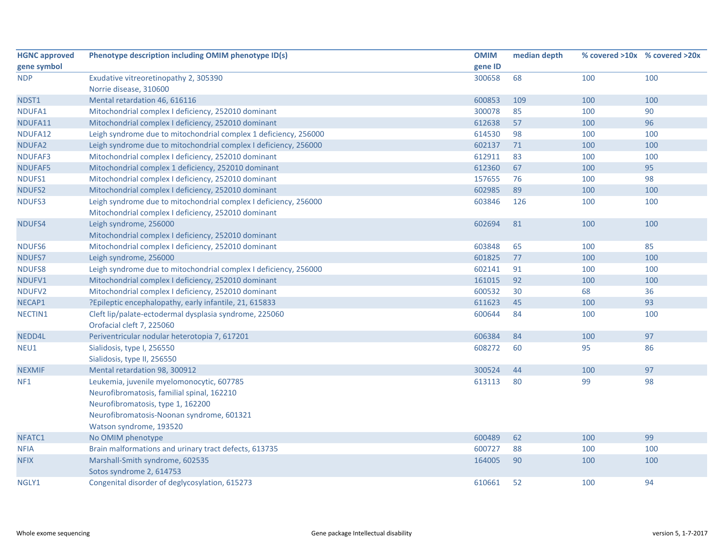| <b>HGNC approved</b> | Phenotype description including OMIM phenotype ID(s)             | <b>OMIM</b> | median depth |     | % covered >10x % covered >20x |
|----------------------|------------------------------------------------------------------|-------------|--------------|-----|-------------------------------|
| gene symbol          |                                                                  | gene ID     |              |     |                               |
| <b>NDP</b>           | Exudative vitreoretinopathy 2, 305390                            | 300658      | 68           | 100 | 100                           |
|                      | Norrie disease, 310600                                           |             |              |     |                               |
| NDST1                | Mental retardation 46, 616116                                    | 600853      | 109          | 100 | 100                           |
| NDUFA1               | Mitochondrial complex I deficiency, 252010 dominant              | 300078      | 85           | 100 | 90                            |
| NDUFA11              | Mitochondrial complex I deficiency, 252010 dominant              | 612638      | 57           | 100 | 96                            |
| NDUFA12              | Leigh syndrome due to mitochondrial complex 1 deficiency, 256000 | 614530      | 98           | 100 | 100                           |
| NDUFA2               | Leigh syndrome due to mitochondrial complex I deficiency, 256000 | 602137      | 71           | 100 | 100                           |
| NDUFAF3              | Mitochondrial complex I deficiency, 252010 dominant              | 612911      | 83           | 100 | 100                           |
| <b>NDUFAF5</b>       | Mitochondrial complex 1 deficiency, 252010 dominant              | 612360      | 67           | 100 | 95                            |
| NDUFS1               | Mitochondrial complex I deficiency, 252010 dominant              | 157655      | 76           | 100 | 98                            |
| NDUFS2               | Mitochondrial complex I deficiency, 252010 dominant              | 602985      | 89           | 100 | 100                           |
| NDUFS3               | Leigh syndrome due to mitochondrial complex I deficiency, 256000 | 603846      | 126          | 100 | 100                           |
|                      | Mitochondrial complex I deficiency, 252010 dominant              |             |              |     |                               |
| NDUFS4               | Leigh syndrome, 256000                                           | 602694      | 81           | 100 | 100                           |
|                      | Mitochondrial complex I deficiency, 252010 dominant              |             |              |     |                               |
| NDUFS6               | Mitochondrial complex I deficiency, 252010 dominant              | 603848      | 65           | 100 | 85                            |
| NDUFS7               | Leigh syndrome, 256000                                           | 601825      | 77           | 100 | 100                           |
| NDUFS8               | Leigh syndrome due to mitochondrial complex I deficiency, 256000 | 602141      | 91           | 100 | 100                           |
| NDUFV1               | Mitochondrial complex I deficiency, 252010 dominant              | 161015      | 92           | 100 | 100                           |
| NDUFV2               | Mitochondrial complex I deficiency, 252010 dominant              | 600532      | 30           | 68  | 36                            |
| NECAP1               | ?Epileptic encephalopathy, early infantile, 21, 615833           | 611623      | 45           | 100 | 93                            |
| NECTIN1              | Cleft lip/palate-ectodermal dysplasia syndrome, 225060           | 600644      | 84           | 100 | 100                           |
|                      | Orofacial cleft 7, 225060                                        |             |              |     |                               |
| NEDD4L               | Periventricular nodular heterotopia 7, 617201                    | 606384      | 84           | 100 | 97                            |
| NEU1                 | Sialidosis, type I, 256550                                       | 608272      | 60           | 95  | 86                            |
|                      | Sialidosis, type II, 256550                                      |             |              |     |                               |
| <b>NEXMIF</b>        | Mental retardation 98, 300912                                    | 300524      | 44           | 100 | 97                            |
| NF <sub>1</sub>      | Leukemia, juvenile myelomonocytic, 607785                        | 613113      | 80           | 99  | 98                            |
|                      | Neurofibromatosis, familial spinal, 162210                       |             |              |     |                               |
|                      | Neurofibromatosis, type 1, 162200                                |             |              |     |                               |
|                      | Neurofibromatosis-Noonan syndrome, 601321                        |             |              |     |                               |
|                      | Watson syndrome, 193520                                          |             |              |     |                               |
| NFATC1               | No OMIM phenotype                                                | 600489      | 62           | 100 | 99                            |
| <b>NFIA</b>          | Brain malformations and urinary tract defects, 613735            | 600727      | 88           | 100 | 100                           |
| <b>NFIX</b>          | Marshall-Smith syndrome, 602535                                  | 164005      | 90           | 100 | 100                           |
|                      | Sotos syndrome 2, 614753                                         |             |              |     |                               |
| NGLY1                | Congenital disorder of deglycosylation, 615273                   | 610661      | 52           | 100 | 94                            |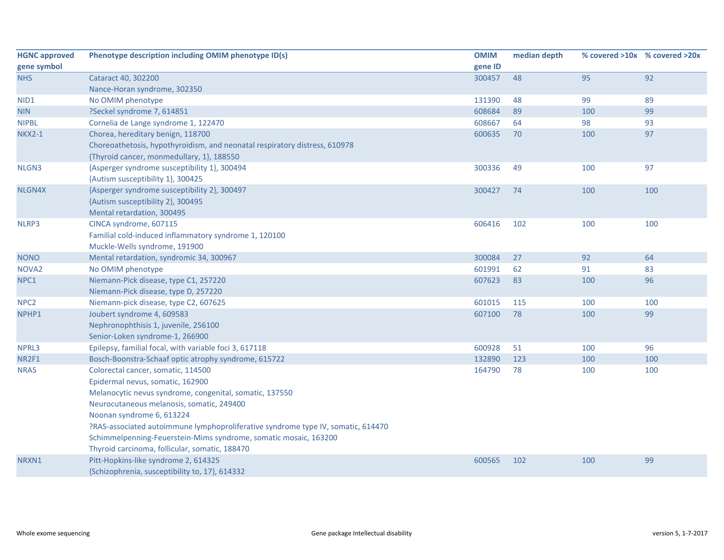| <b>HGNC approved</b> | Phenotype description including OMIM phenotype ID(s)                             | <b>OMIM</b> | median depth |     | % covered >10x % covered >20x |
|----------------------|----------------------------------------------------------------------------------|-------------|--------------|-----|-------------------------------|
| gene symbol          |                                                                                  | gene ID     |              |     |                               |
| <b>NHS</b>           | Cataract 40, 302200                                                              | 300457      | 48           | 95  | 92                            |
|                      | Nance-Horan syndrome, 302350                                                     |             |              |     |                               |
| NID1                 | No OMIM phenotype                                                                | 131390      | 48           | 99  | 89                            |
| <b>NIN</b>           | ?Seckel syndrome 7, 614851                                                       | 608684      | 89           | 100 | 99                            |
| <b>NIPBL</b>         | Cornelia de Lange syndrome 1, 122470                                             | 608667      | 64           | 98  | 93                            |
| <b>NKX2-1</b>        | Chorea, hereditary benign, 118700                                                | 600635      | 70           | 100 | 97                            |
|                      | Choreoathetosis, hypothyroidism, and neonatal respiratory distress, 610978       |             |              |     |                               |
|                      | {Thyroid cancer, monmedullary, 1}, 188550                                        |             |              |     |                               |
| NLGN3                | {Asperger syndrome susceptibility 1}, 300494                                     | 300336      | 49           | 100 | 97                            |
|                      | {Autism susceptibility 1}, 300425                                                |             |              |     |                               |
| NLGN4X               | {Asperger syndrome susceptibility 2}, 300497                                     | 300427      | 74           | 100 | 100                           |
|                      | {Autism susceptibility 2}, 300495                                                |             |              |     |                               |
|                      | Mental retardation, 300495                                                       |             |              |     |                               |
| NLRP3                | CINCA syndrome, 607115                                                           | 606416      | 102          | 100 | 100                           |
|                      | Familial cold-induced inflammatory syndrome 1, 120100                            |             |              |     |                               |
|                      | Muckle-Wells syndrome, 191900                                                    |             |              |     |                               |
| <b>NONO</b>          | Mental retardation, syndromic 34, 300967                                         | 300084      | 27           | 92  | 64                            |
| NOVA <sub>2</sub>    | No OMIM phenotype                                                                | 601991      | 62           | 91  | 83                            |
| NPC1                 | Niemann-Pick disease, type C1, 257220                                            | 607623      | 83           | 100 | 96                            |
|                      | Niemann-Pick disease, type D, 257220                                             |             |              |     |                               |
| NPC <sub>2</sub>     | Niemann-pick disease, type C2, 607625                                            | 601015      | 115          | 100 | 100                           |
| NPHP1                | Joubert syndrome 4, 609583                                                       | 607100      | 78           | 100 | 99                            |
|                      | Nephronophthisis 1, juvenile, 256100                                             |             |              |     |                               |
|                      | Senior-Loken syndrome-1, 266900                                                  |             |              |     |                               |
| NPRL3                | Epilepsy, familial focal, with variable foci 3, 617118                           | 600928      | 51           | 100 | 96                            |
| NR2F1                | Bosch-Boonstra-Schaaf optic atrophy syndrome, 615722                             | 132890      | 123          | 100 | 100                           |
| <b>NRAS</b>          | Colorectal cancer, somatic, 114500                                               | 164790      | 78           | 100 | 100                           |
|                      | Epidermal nevus, somatic, 162900                                                 |             |              |     |                               |
|                      | Melanocytic nevus syndrome, congenital, somatic, 137550                          |             |              |     |                               |
|                      | Neurocutaneous melanosis, somatic, 249400                                        |             |              |     |                               |
|                      | Noonan syndrome 6, 613224                                                        |             |              |     |                               |
|                      | PRAS-associated autoimmune lymphoproliferative syndrome type IV, somatic, 614470 |             |              |     |                               |
|                      | Schimmelpenning-Feuerstein-Mims syndrome, somatic mosaic, 163200                 |             |              |     |                               |
|                      | Thyroid carcinoma, follicular, somatic, 188470                                   |             |              |     |                               |
| NRXN1                | Pitt-Hopkins-like syndrome 2, 614325                                             | 600565      | 102          | 100 | 99                            |
|                      | {Schizophrenia, susceptibility to, 17}, 614332                                   |             |              |     |                               |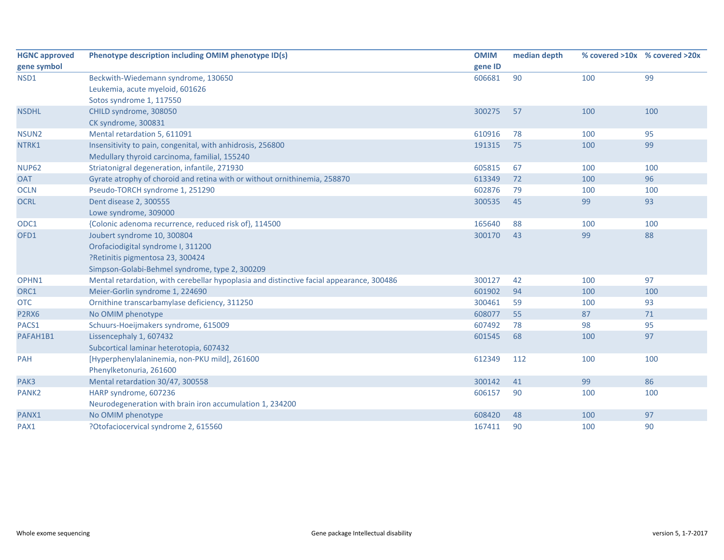| <b>HGNC approved</b> | Phenotype description including OMIM phenotype ID(s)                                     | <b>OMIM</b> | median depth | % covered >10x % covered >20x |     |
|----------------------|------------------------------------------------------------------------------------------|-------------|--------------|-------------------------------|-----|
| gene symbol          |                                                                                          | gene ID     |              |                               |     |
| NSD1                 | Beckwith-Wiedemann syndrome, 130650                                                      | 606681      | 90           | 100                           | 99  |
|                      | Leukemia, acute myeloid, 601626                                                          |             |              |                               |     |
|                      | Sotos syndrome 1, 117550                                                                 |             |              |                               |     |
| <b>NSDHL</b>         | CHILD syndrome, 308050                                                                   | 300275      | 57           | 100                           | 100 |
|                      | CK syndrome, 300831                                                                      |             |              |                               |     |
| NSUN <sub>2</sub>    | Mental retardation 5, 611091                                                             | 610916      | 78           | 100                           | 95  |
| NTRK1                | Insensitivity to pain, congenital, with anhidrosis, 256800                               | 191315      | 75           | 100                           | 99  |
|                      | Medullary thyroid carcinoma, familial, 155240                                            |             |              |                               |     |
| <b>NUP62</b>         | Striatonigral degeneration, infantile, 271930                                            | 605815      | 67           | 100                           | 100 |
| <b>OAT</b>           | Gyrate atrophy of choroid and retina with or without ornithinemia, 258870                | 613349      | 72           | 100                           | 96  |
| <b>OCLN</b>          | Pseudo-TORCH syndrome 1, 251290                                                          | 602876      | 79           | 100                           | 100 |
| <b>OCRL</b>          | Dent disease 2, 300555                                                                   | 300535      | 45           | 99                            | 93  |
|                      | Lowe syndrome, 309000                                                                    |             |              |                               |     |
| ODC1                 | {Colonic adenoma recurrence, reduced risk of}, 114500                                    | 165640      | 88           | 100                           | 100 |
| OFD1                 | Joubert syndrome 10, 300804                                                              | 300170      | 43           | 99                            | 88  |
|                      | Orofaciodigital syndrome I, 311200                                                       |             |              |                               |     |
|                      | ?Retinitis pigmentosa 23, 300424                                                         |             |              |                               |     |
|                      | Simpson-Golabi-Behmel syndrome, type 2, 300209                                           |             |              |                               |     |
| OPHN1                | Mental retardation, with cerebellar hypoplasia and distinctive facial appearance, 300486 | 300127      | 42           | 100                           | 97  |
| ORC1                 | Meier-Gorlin syndrome 1, 224690                                                          | 601902      | 94           | 100                           | 100 |
| <b>OTC</b>           | Ornithine transcarbamylase deficiency, 311250                                            | 300461      | 59           | 100                           | 93  |
| P2RX6                | No OMIM phenotype                                                                        | 608077      | 55           | 87                            | 71  |
| PACS1                | Schuurs-Hoeijmakers syndrome, 615009                                                     | 607492      | 78           | 98                            | 95  |
| PAFAH1B1             | Lissencephaly 1, 607432                                                                  | 601545      | 68           | 100                           | 97  |
|                      | Subcortical laminar heterotopia, 607432                                                  |             |              |                               |     |
| <b>PAH</b>           | [Hyperphenylalaninemia, non-PKU mild], 261600                                            | 612349      | 112          | 100                           | 100 |
|                      | Phenylketonuria, 261600                                                                  |             |              |                               |     |
| PAK3                 | Mental retardation 30/47, 300558                                                         | 300142      | 41           | 99                            | 86  |
| PANK <sub>2</sub>    | HARP syndrome, 607236                                                                    | 606157      | 90           | 100                           | 100 |
|                      | Neurodegeneration with brain iron accumulation 1, 234200                                 |             |              |                               |     |
| PANX1                | No OMIM phenotype                                                                        | 608420      | 48           | 100                           | 97  |
| PAX1                 | ?Otofaciocervical syndrome 2, 615560                                                     | 167411      | 90           | 100                           | 90  |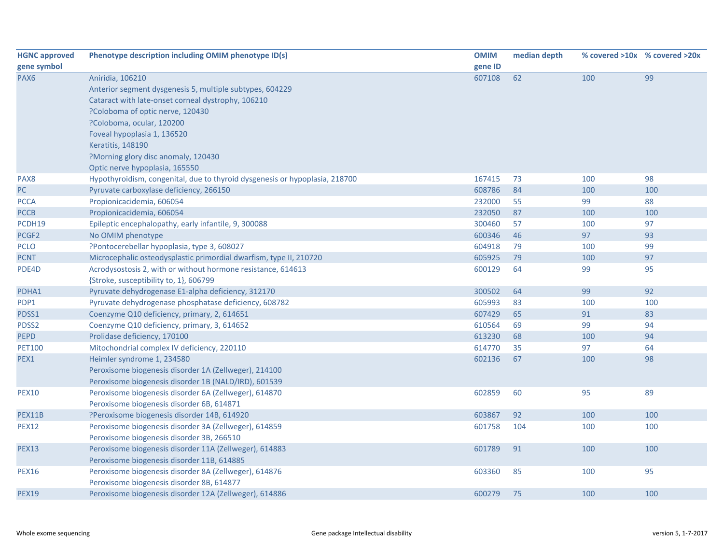| <b>HGNC approved</b> | Phenotype description including OMIM phenotype ID(s)                        | <b>OMIM</b> | median depth |     | % covered >10x % covered >20x |
|----------------------|-----------------------------------------------------------------------------|-------------|--------------|-----|-------------------------------|
| gene symbol          |                                                                             | gene ID     |              |     |                               |
| PAX6                 | Aniridia, 106210                                                            | 607108      | 62           | 100 | 99                            |
|                      | Anterior segment dysgenesis 5, multiple subtypes, 604229                    |             |              |     |                               |
|                      | Cataract with late-onset corneal dystrophy, 106210                          |             |              |     |                               |
|                      | ?Coloboma of optic nerve, 120430                                            |             |              |     |                               |
|                      | ?Coloboma, ocular, 120200                                                   |             |              |     |                               |
|                      | Foveal hypoplasia 1, 136520                                                 |             |              |     |                               |
|                      | Keratitis, 148190                                                           |             |              |     |                               |
|                      | ?Morning glory disc anomaly, 120430                                         |             |              |     |                               |
|                      | Optic nerve hypoplasia, 165550                                              |             |              |     |                               |
| PAX8                 | Hypothyroidism, congenital, due to thyroid dysgenesis or hypoplasia, 218700 | 167415      | 73           | 100 | 98                            |
| PC                   | Pyruvate carboxylase deficiency, 266150                                     | 608786      | 84           | 100 | 100                           |
| <b>PCCA</b>          | Propionicacidemia, 606054                                                   | 232000      | 55           | 99  | 88                            |
| <b>PCCB</b>          | Propionicacidemia, 606054                                                   | 232050      | 87           | 100 | 100                           |
| PCDH19               | Epileptic encephalopathy, early infantile, 9, 300088                        | 300460      | 57           | 100 | 97                            |
| PCGF <sub>2</sub>    | No OMIM phenotype                                                           | 600346      | 46           | 97  | 93                            |
| PCLO                 | ?Pontocerebellar hypoplasia, type 3, 608027                                 | 604918      | 79           | 100 | 99                            |
| <b>PCNT</b>          | Microcephalic osteodysplastic primordial dwarfism, type II, 210720          | 605925      | 79           | 100 | 97                            |
| PDE4D                | Acrodysostosis 2, with or without hormone resistance, 614613                | 600129      | 64           | 99  | 95                            |
|                      | {Stroke, susceptibility to, 1}, 606799                                      |             |              |     |                               |
| PDHA1                | Pyruvate dehydrogenase E1-alpha deficiency, 312170                          | 300502      | 64           | 99  | 92                            |
| PDP1                 | Pyruvate dehydrogenase phosphatase deficiency, 608782                       | 605993      | 83           | 100 | 100                           |
| PDSS1                | Coenzyme Q10 deficiency, primary, 2, 614651                                 | 607429      | 65           | 91  | 83                            |
| PDSS2                | Coenzyme Q10 deficiency, primary, 3, 614652                                 | 610564      | 69           | 99  | 94                            |
| <b>PEPD</b>          | Prolidase deficiency, 170100                                                | 613230      | 68           | 100 | 94                            |
| <b>PET100</b>        | Mitochondrial complex IV deficiency, 220110                                 | 614770      | 35           | 97  | 64                            |
| PEX1                 | Heimler syndrome 1, 234580                                                  | 602136      | 67           | 100 | 98                            |
|                      | Peroxisome biogenesis disorder 1A (Zellweger), 214100                       |             |              |     |                               |
|                      | Peroxisome biogenesis disorder 1B (NALD/IRD), 601539                        |             |              |     |                               |
| <b>PEX10</b>         | Peroxisome biogenesis disorder 6A (Zellweger), 614870                       | 602859      | 60           | 95  | 89                            |
|                      | Peroxisome biogenesis disorder 6B, 614871                                   |             |              |     |                               |
| PEX11B               | ?Peroxisome biogenesis disorder 14B, 614920                                 | 603867      | 92           | 100 | 100                           |
| <b>PEX12</b>         | Peroxisome biogenesis disorder 3A (Zellweger), 614859                       | 601758      | 104          | 100 | 100                           |
|                      | Peroxisome biogenesis disorder 3B, 266510                                   |             |              |     |                               |
| <b>PEX13</b>         | Peroxisome biogenesis disorder 11A (Zellweger), 614883                      | 601789      | 91           | 100 | 100                           |
|                      | Peroxisome biogenesis disorder 11B, 614885                                  |             |              |     |                               |
| <b>PEX16</b>         | Peroxisome biogenesis disorder 8A (Zellweger), 614876                       | 603360      | 85           | 100 | 95                            |
|                      | Peroxisome biogenesis disorder 8B, 614877                                   |             |              |     |                               |
| <b>PEX19</b>         | Peroxisome biogenesis disorder 12A (Zellweger), 614886                      | 600279      | 75           | 100 | 100                           |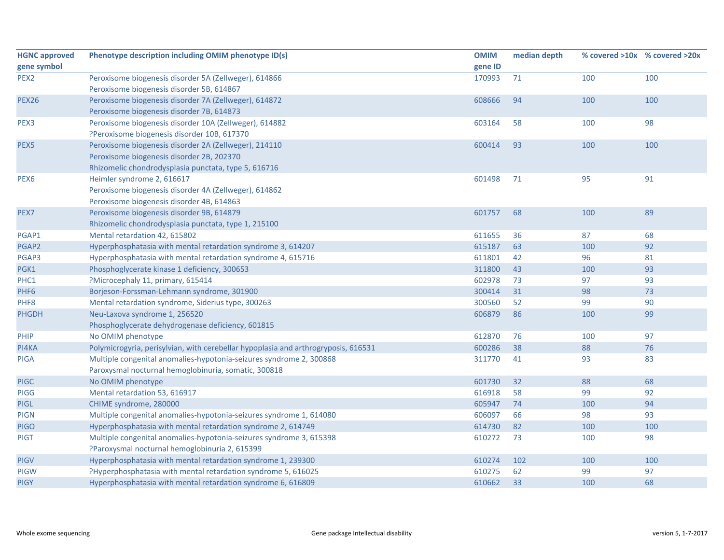| <b>HGNC approved</b> | Phenotype description including OMIM phenotype ID(s)                               | <b>OMIM</b> | median depth |     | % covered >10x % covered >20x |
|----------------------|------------------------------------------------------------------------------------|-------------|--------------|-----|-------------------------------|
| gene symbol          |                                                                                    | gene ID     |              |     |                               |
| PEX <sub>2</sub>     | Peroxisome biogenesis disorder 5A (Zellweger), 614866                              | 170993      | 71           | 100 | 100                           |
|                      | Peroxisome biogenesis disorder 5B, 614867                                          |             |              |     |                               |
| <b>PEX26</b>         | Peroxisome biogenesis disorder 7A (Zellweger), 614872                              | 608666      | 94           | 100 | 100                           |
|                      | Peroxisome biogenesis disorder 7B, 614873                                          |             |              |     |                               |
| PEX3                 | Peroxisome biogenesis disorder 10A (Zellweger), 614882                             | 603164      | 58           | 100 | 98                            |
|                      | ?Peroxisome biogenesis disorder 10B, 617370                                        |             |              |     |                               |
| PEX5                 | Peroxisome biogenesis disorder 2A (Zellweger), 214110                              | 600414      | 93           | 100 | 100                           |
|                      | Peroxisome biogenesis disorder 2B, 202370                                          |             |              |     |                               |
|                      | Rhizomelic chondrodysplasia punctata, type 5, 616716                               |             |              |     |                               |
| PEX6                 | Heimler syndrome 2, 616617                                                         | 601498      | 71           | 95  | 91                            |
|                      | Peroxisome biogenesis disorder 4A (Zellweger), 614862                              |             |              |     |                               |
|                      | Peroxisome biogenesis disorder 4B, 614863                                          |             |              |     |                               |
| PEX7                 | Peroxisome biogenesis disorder 9B, 614879                                          | 601757      | 68           | 100 | 89                            |
|                      | Rhizomelic chondrodysplasia punctata, type 1, 215100                               |             |              |     |                               |
| PGAP1                | Mental retardation 42, 615802                                                      | 611655      | 36           | 87  | 68                            |
| PGAP2                | Hyperphosphatasia with mental retardation syndrome 3, 614207                       | 615187      | 63           | 100 | 92                            |
| PGAP3                | Hyperphosphatasia with mental retardation syndrome 4, 615716                       | 611801      | 42           | 96  | 81                            |
| PGK1                 | Phosphoglycerate kinase 1 deficiency, 300653                                       | 311800      | 43           | 100 | 93                            |
| PHC1                 | ?Microcephaly 11, primary, 615414                                                  | 602978      | 73           | 97  | 93                            |
| PHF <sub>6</sub>     | Borjeson-Forssman-Lehmann syndrome, 301900                                         | 300414      | 31           | 98  | 73                            |
| PHF8                 | Mental retardation syndrome, Siderius type, 300263                                 | 300560      | 52           | 99  | 90                            |
| <b>PHGDH</b>         | Neu-Laxova syndrome 1, 256520                                                      | 606879      | 86           | 100 | 99                            |
|                      | Phosphoglycerate dehydrogenase deficiency, 601815                                  |             |              |     |                               |
| PHIP                 | No OMIM phenotype                                                                  | 612870      | 76           | 100 | 97                            |
| PI4KA                | Polymicrogyria, perisylvian, with cerebellar hypoplasia and arthrogryposis, 616531 | 600286      | 38           | 88  | 76                            |
| <b>PIGA</b>          | Multiple congenital anomalies-hypotonia-seizures syndrome 2, 300868                | 311770      | 41           | 93  | 83                            |
|                      | Paroxysmal nocturnal hemoglobinuria, somatic, 300818                               |             |              |     |                               |
| <b>PIGC</b>          | No OMIM phenotype                                                                  | 601730      | 32           | 88  | 68                            |
| <b>PIGG</b>          | Mental retardation 53, 616917                                                      | 616918      | 58           | 99  | 92                            |
| <b>PIGL</b>          | CHIME syndrome, 280000                                                             | 605947      | 74           | 100 | 94                            |
| <b>PIGN</b>          | Multiple congenital anomalies-hypotonia-seizures syndrome 1, 614080                | 606097      | 66           | 98  | 93                            |
| <b>PIGO</b>          | Hyperphosphatasia with mental retardation syndrome 2, 614749                       | 614730      | 82           | 100 | 100                           |
| <b>PIGT</b>          | Multiple congenital anomalies-hypotonia-seizures syndrome 3, 615398                | 610272      | 73           | 100 | 98                            |
|                      | ?Paroxysmal nocturnal hemoglobinuria 2, 615399                                     |             |              |     |                               |
| <b>PIGV</b>          | Hyperphosphatasia with mental retardation syndrome 1, 239300                       | 610274      | 102          | 100 | 100                           |
| <b>PIGW</b>          | ?Hyperphosphatasia with mental retardation syndrome 5, 616025                      | 610275      | 62           | 99  | 97                            |
| <b>PIGY</b>          | Hyperphosphatasia with mental retardation syndrome 6, 616809                       | 610662      | 33           | 100 | 68                            |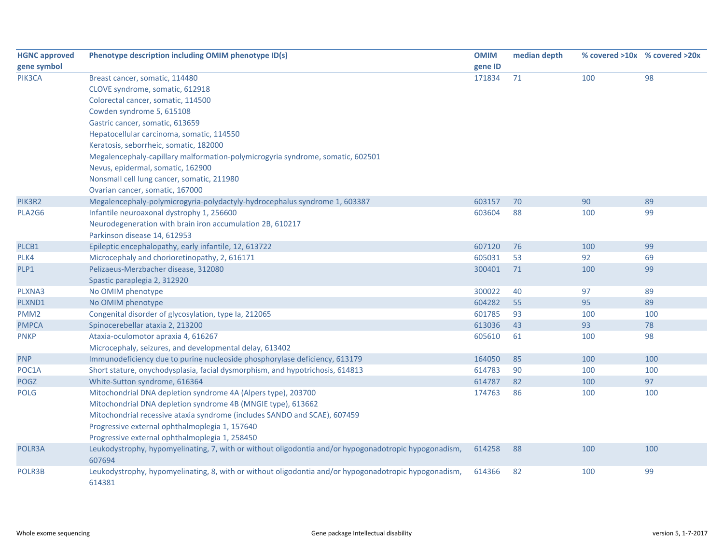| <b>HGNC approved</b> | Phenotype description including OMIM phenotype ID(s)                                                            | <b>OMIM</b> | median depth |     | % covered >10x % covered >20x |
|----------------------|-----------------------------------------------------------------------------------------------------------------|-------------|--------------|-----|-------------------------------|
| gene symbol          |                                                                                                                 | gene ID     |              |     |                               |
| PIK3CA               | Breast cancer, somatic, 114480                                                                                  | 171834      | 71           | 100 | 98                            |
|                      | CLOVE syndrome, somatic, 612918                                                                                 |             |              |     |                               |
|                      | Colorectal cancer, somatic, 114500                                                                              |             |              |     |                               |
|                      | Cowden syndrome 5, 615108                                                                                       |             |              |     |                               |
|                      | Gastric cancer, somatic, 613659                                                                                 |             |              |     |                               |
|                      | Hepatocellular carcinoma, somatic, 114550                                                                       |             |              |     |                               |
|                      | Keratosis, seborrheic, somatic, 182000                                                                          |             |              |     |                               |
|                      | Megalencephaly-capillary malformation-polymicrogyria syndrome, somatic, 602501                                  |             |              |     |                               |
|                      | Nevus, epidermal, somatic, 162900                                                                               |             |              |     |                               |
|                      | Nonsmall cell lung cancer, somatic, 211980                                                                      |             |              |     |                               |
|                      | Ovarian cancer, somatic, 167000                                                                                 |             |              |     |                               |
| PIK3R2               | Megalencephaly-polymicrogyria-polydactyly-hydrocephalus syndrome 1, 603387                                      | 603157      | 70           | 90  | 89                            |
| PLA2G6               | Infantile neuroaxonal dystrophy 1, 256600                                                                       | 603604      | 88           | 100 | 99                            |
|                      | Neurodegeneration with brain iron accumulation 2B, 610217                                                       |             |              |     |                               |
|                      | Parkinson disease 14, 612953                                                                                    |             |              |     |                               |
| PLCB1                | Epileptic encephalopathy, early infantile, 12, 613722                                                           | 607120      | 76           | 100 | 99                            |
| PLK4                 | Microcephaly and chorioretinopathy, 2, 616171                                                                   | 605031      | 53           | 92  | 69                            |
| PLP1                 | Pelizaeus-Merzbacher disease, 312080                                                                            | 300401      | 71           | 100 | 99                            |
|                      | Spastic paraplegia 2, 312920                                                                                    |             |              |     |                               |
| PLXNA3               | No OMIM phenotype                                                                                               | 300022      | 40           | 97  | 89                            |
| PLXND1               | No OMIM phenotype                                                                                               | 604282      | 55           | 95  | 89                            |
| PMM <sub>2</sub>     | Congenital disorder of glycosylation, type Ia, 212065                                                           | 601785      | 93           | 100 | 100                           |
| <b>PMPCA</b>         | Spinocerebellar ataxia 2, 213200                                                                                | 613036      | 43           | 93  | 78                            |
| <b>PNKP</b>          | Ataxia-oculomotor apraxia 4, 616267                                                                             | 605610      | 61           | 100 | 98                            |
|                      | Microcephaly, seizures, and developmental delay, 613402                                                         |             |              |     |                               |
| <b>PNP</b>           | Immunodeficiency due to purine nucleoside phosphorylase deficiency, 613179                                      | 164050      | 85           | 100 | 100                           |
| POC1A                | Short stature, onychodysplasia, facial dysmorphism, and hypotrichosis, 614813                                   | 614783      | 90           | 100 | 100                           |
| POGZ                 | White-Sutton syndrome, 616364                                                                                   | 614787      | 82           | 100 | 97                            |
| <b>POLG</b>          | Mitochondrial DNA depletion syndrome 4A (Alpers type), 203700                                                   | 174763      | 86           | 100 | 100                           |
|                      | Mitochondrial DNA depletion syndrome 4B (MNGIE type), 613662                                                    |             |              |     |                               |
|                      | Mitochondrial recessive ataxia syndrome (includes SANDO and SCAE), 607459                                       |             |              |     |                               |
|                      | Progressive external ophthalmoplegia 1, 157640                                                                  |             |              |     |                               |
|                      | Progressive external ophthalmoplegia 1, 258450                                                                  |             |              |     |                               |
| POLR3A               | Leukodystrophy, hypomyelinating, 7, with or without oligodontia and/or hypogonadotropic hypogonadism,<br>607694 | 614258      | 88           | 100 | 100                           |
| POLR3B               | Leukodystrophy, hypomyelinating, 8, with or without oligodontia and/or hypogonadotropic hypogonadism,<br>614381 | 614366      | 82           | 100 | 99                            |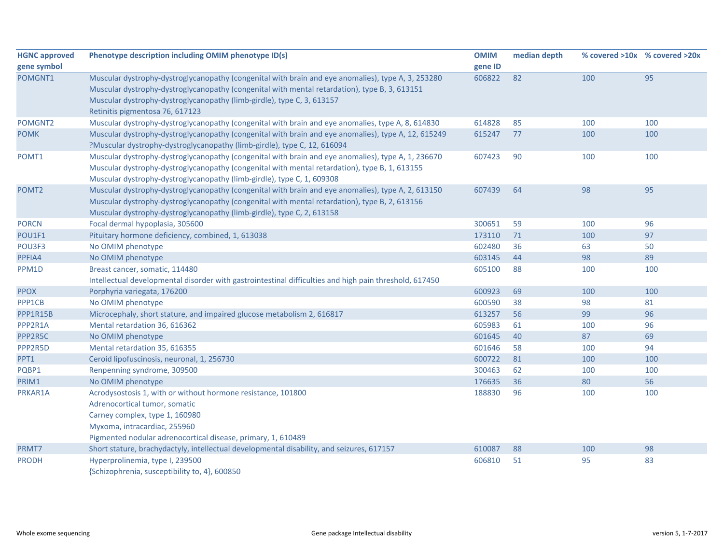| <b>HGNC approved</b> | Phenotype description including OMIM phenotype ID(s)                                                   | <b>OMIM</b> | median depth |     | % covered >10x % covered >20x |
|----------------------|--------------------------------------------------------------------------------------------------------|-------------|--------------|-----|-------------------------------|
| gene symbol          |                                                                                                        | gene ID     |              |     |                               |
| POMGNT1              | Muscular dystrophy-dystroglycanopathy (congenital with brain and eye anomalies), type A, 3, 253280     | 606822      | 82           | 100 | 95                            |
|                      | Muscular dystrophy-dystroglycanopathy (congenital with mental retardation), type B, 3, 613151          |             |              |     |                               |
|                      | Muscular dystrophy-dystroglycanopathy (limb-girdle), type C, 3, 613157                                 |             |              |     |                               |
|                      | Retinitis pigmentosa 76, 617123                                                                        |             |              |     |                               |
| POMGNT2              | Muscular dystrophy-dystroglycanopathy (congenital with brain and eye anomalies, type A, 8, 614830      | 614828      | 85           | 100 | 100                           |
| <b>POMK</b>          | Muscular dystrophy-dystroglycanopathy (congenital with brain and eye anomalies), type A, 12, 615249    | 615247      | 77           | 100 | 100                           |
|                      | ?Muscular dystrophy-dystroglycanopathy (limb-girdle), type C, 12, 616094                               |             |              |     |                               |
| POMT1                | Muscular dystrophy-dystroglycanopathy (congenital with brain and eye anomalies), type A, 1, 236670     | 607423      | 90           | 100 | 100                           |
|                      | Muscular dystrophy-dystroglycanopathy (congenital with mental retardation), type B, 1, 613155          |             |              |     |                               |
|                      | Muscular dystrophy-dystroglycanopathy (limb-girdle), type C, 1, 609308                                 |             |              |     |                               |
| POMT <sub>2</sub>    | Muscular dystrophy-dystroglycanopathy (congenital with brain and eye anomalies), type A, 2, 613150     | 607439      | 64           | 98  | 95                            |
|                      | Muscular dystrophy-dystroglycanopathy (congenital with mental retardation), type B, 2, 613156          |             |              |     |                               |
|                      | Muscular dystrophy-dystroglycanopathy (limb-girdle), type C, 2, 613158                                 |             |              |     |                               |
| <b>PORCN</b>         | Focal dermal hypoplasia, 305600                                                                        | 300651      | 59           | 100 | 96                            |
| POU1F1               | Pituitary hormone deficiency, combined, 1, 613038                                                      | 173110      | 71           | 100 | 97                            |
| POU3F3               | No OMIM phenotype                                                                                      | 602480      | 36           | 63  | 50                            |
| PPFIA4               | No OMIM phenotype                                                                                      | 603145      | 44           | 98  | 89                            |
| PPM1D                | Breast cancer, somatic, 114480                                                                         | 605100      | 88           | 100 | 100                           |
|                      | Intellectual developmental disorder with gastrointestinal difficulties and high pain threshold, 617450 |             |              |     |                               |
| <b>PPOX</b>          | Porphyria variegata, 176200                                                                            | 600923      | 69           | 100 | 100                           |
| PPP1CB               | No OMIM phenotype                                                                                      | 600590      | 38           | 98  | 81                            |
| PPP1R15B             | Microcephaly, short stature, and impaired glucose metabolism 2, 616817                                 | 613257      | 56           | 99  | 96                            |
| PPP2R1A              | Mental retardation 36, 616362                                                                          | 605983      | 61           | 100 | 96                            |
| PPP2R5C              | No OMIM phenotype                                                                                      | 601645      | 40           | 87  | 69                            |
| PPP2R5D              | Mental retardation 35, 616355                                                                          | 601646      | 58           | 100 | 94                            |
| PPT1                 | Ceroid lipofuscinosis, neuronal, 1, 256730                                                             | 600722      | 81           | 100 | 100                           |
| PQBP1                | Renpenning syndrome, 309500                                                                            | 300463      | 62           | 100 | 100                           |
| PRIM1                | No OMIM phenotype                                                                                      | 176635      | 36           | 80  | 56                            |
| PRKAR1A              | Acrodysostosis 1, with or without hormone resistance, 101800                                           | 188830      | 96           | 100 | 100                           |
|                      | Adrenocortical tumor, somatic                                                                          |             |              |     |                               |
|                      | Carney complex, type 1, 160980                                                                         |             |              |     |                               |
|                      | Myxoma, intracardiac, 255960                                                                           |             |              |     |                               |
|                      | Pigmented nodular adrenocortical disease, primary, 1, 610489                                           |             |              |     |                               |
| PRMT7                | Short stature, brachydactyly, intellectual developmental disability, and seizures, 617157              | 610087      | 88           | 100 | 98                            |
| <b>PRODH</b>         | Hyperprolinemia, type I, 239500                                                                        | 606810      | 51           | 95  | 83                            |
|                      | {Schizophrenia, susceptibility to, 4}, 600850                                                          |             |              |     |                               |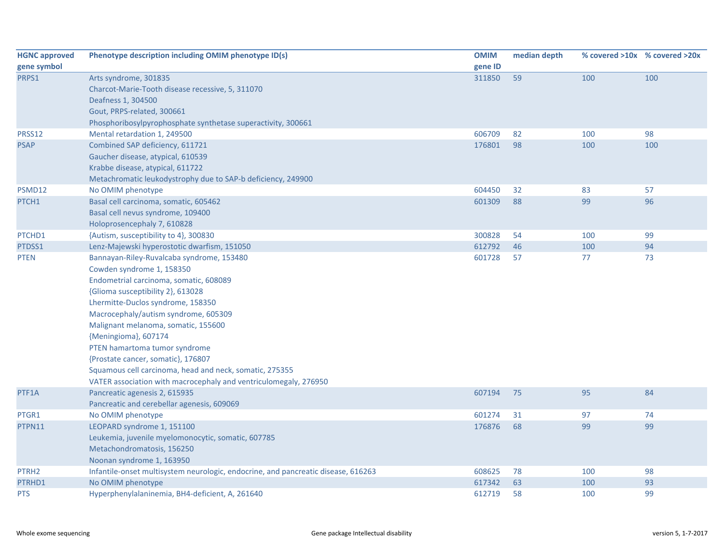| <b>HGNC approved</b> | Phenotype description including OMIM phenotype ID(s)                              | <b>OMIM</b> | median depth |     | % covered >10x % covered >20x |
|----------------------|-----------------------------------------------------------------------------------|-------------|--------------|-----|-------------------------------|
| gene symbol          |                                                                                   | gene ID     |              |     |                               |
| PRPS1                | Arts syndrome, 301835                                                             | 311850      | 59           | 100 | 100                           |
|                      | Charcot-Marie-Tooth disease recessive, 5, 311070                                  |             |              |     |                               |
|                      | Deafness 1, 304500                                                                |             |              |     |                               |
|                      | Gout, PRPS-related, 300661                                                        |             |              |     |                               |
|                      | Phosphoribosylpyrophosphate synthetase superactivity, 300661                      |             |              |     |                               |
| PRSS12               | Mental retardation 1, 249500                                                      | 606709      | 82           | 100 | 98                            |
| <b>PSAP</b>          | Combined SAP deficiency, 611721                                                   | 176801      | 98           | 100 | 100                           |
|                      | Gaucher disease, atypical, 610539                                                 |             |              |     |                               |
|                      | Krabbe disease, atypical, 611722                                                  |             |              |     |                               |
|                      | Metachromatic leukodystrophy due to SAP-b deficiency, 249900                      |             |              |     |                               |
| PSMD12               | No OMIM phenotype                                                                 | 604450      | 32           | 83  | 57                            |
| PTCH1                | Basal cell carcinoma, somatic, 605462                                             | 601309      | 88           | 99  | 96                            |
|                      | Basal cell nevus syndrome, 109400                                                 |             |              |     |                               |
|                      | Holoprosencephaly 7, 610828                                                       |             |              |     |                               |
| PTCHD1               | {Autism, susceptibility to 4}, 300830                                             | 300828      | 54           | 100 | 99                            |
| PTDSS1               | Lenz-Majewski hyperostotic dwarfism, 151050                                       | 612792      | 46           | 100 | 94                            |
| <b>PTEN</b>          | Bannayan-Riley-Ruvalcaba syndrome, 153480                                         | 601728      | 57           | 77  | 73                            |
|                      | Cowden syndrome 1, 158350                                                         |             |              |     |                               |
|                      | Endometrial carcinoma, somatic, 608089                                            |             |              |     |                               |
|                      | {Glioma susceptibility 2}, 613028                                                 |             |              |     |                               |
|                      | Lhermitte-Duclos syndrome, 158350                                                 |             |              |     |                               |
|                      | Macrocephaly/autism syndrome, 605309                                              |             |              |     |                               |
|                      | Malignant melanoma, somatic, 155600                                               |             |              |     |                               |
|                      | {Meningioma}, 607174                                                              |             |              |     |                               |
|                      | PTEN hamartoma tumor syndrome                                                     |             |              |     |                               |
|                      | {Prostate cancer, somatic}, 176807                                                |             |              |     |                               |
|                      | Squamous cell carcinoma, head and neck, somatic, 275355                           |             |              |     |                               |
|                      | VATER association with macrocephaly and ventriculomegaly, 276950                  |             |              |     |                               |
| PTF1A                | Pancreatic agenesis 2, 615935                                                     | 607194      | 75           | 95  | 84                            |
|                      | Pancreatic and cerebellar agenesis, 609069                                        |             |              |     |                               |
| PTGR1                | No OMIM phenotype                                                                 | 601274      | 31           | 97  | 74                            |
| PTPN11               | LEOPARD syndrome 1, 151100                                                        | 176876      | 68           | 99  | 99                            |
|                      | Leukemia, juvenile myelomonocytic, somatic, 607785                                |             |              |     |                               |
|                      | Metachondromatosis, 156250                                                        |             |              |     |                               |
|                      | Noonan syndrome 1, 163950                                                         |             |              |     |                               |
| PTRH <sub>2</sub>    | Infantile-onset multisystem neurologic, endocrine, and pancreatic disease, 616263 | 608625      | 78           | 100 | 98                            |
| PTRHD1               | No OMIM phenotype                                                                 | 617342      | 63           | 100 | 93                            |
| <b>PTS</b>           | Hyperphenylalaninemia, BH4-deficient, A, 261640                                   | 612719      | 58           | 100 | 99                            |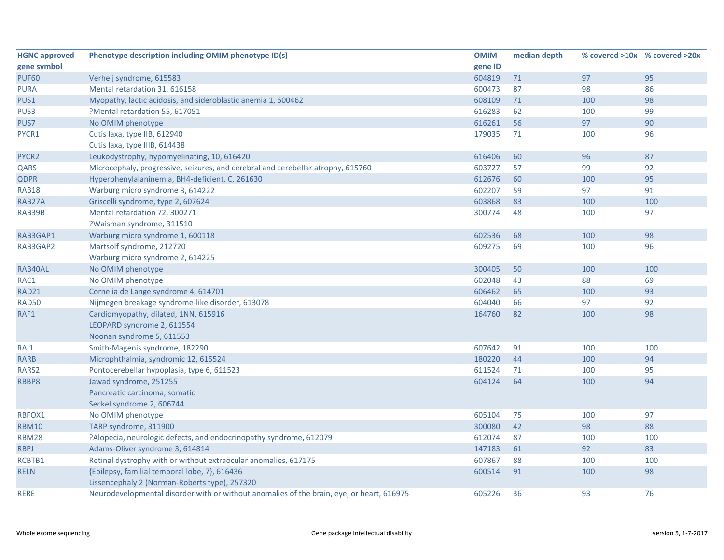| <b>HGNC approved</b> | Phenotype description including OMIM phenotype ID(s)                                      | <b>OMIM</b> | median depth |     | % covered >10x % covered >20x |
|----------------------|-------------------------------------------------------------------------------------------|-------------|--------------|-----|-------------------------------|
| gene symbol          |                                                                                           | gene ID     |              |     |                               |
| <b>PUF60</b>         | Verheij syndrome, 615583                                                                  | 604819      | $71$         | 97  | 95                            |
| <b>PURA</b>          | Mental retardation 31, 616158                                                             | 600473      | 87           | 98  | 86                            |
| PUS1                 | Myopathy, lactic acidosis, and sideroblastic anemia 1, 600462                             | 608109      | 71           | 100 | 98                            |
| PUS3                 | ?Mental retardation 55, 617051                                                            | 616283      | 62           | 100 | 99                            |
| PUS7                 | No OMIM phenotype                                                                         | 616261      | 56           | 97  | 90                            |
| PYCR1                | Cutis laxa, type IIB, 612940                                                              | 179035      | 71           | 100 | 96                            |
|                      | Cutis laxa, type IIIB, 614438                                                             |             |              |     |                               |
| PYCR <sub>2</sub>    | Leukodystrophy, hypomyelinating, 10, 616420                                               | 616406      | 60           | 96  | 87                            |
| QARS                 | Microcephaly, progressive, seizures, and cerebral and cerebellar atrophy, 615760          | 603727      | 57           | 99  | 92                            |
| <b>QDPR</b>          | Hyperphenylalaninemia, BH4-deficient, C, 261630                                           | 612676      | 60           | 100 | 95                            |
| <b>RAB18</b>         | Warburg micro syndrome 3, 614222                                                          | 602207      | 59           | 97  | 91                            |
| RAB27A               | Griscelli syndrome, type 2, 607624                                                        | 603868      | 83           | 100 | 100                           |
| RAB39B               | Mental retardation 72, 300271                                                             | 300774      | 48           | 100 | 97                            |
|                      | ?Waisman syndrome, 311510                                                                 |             |              |     |                               |
| RAB3GAP1             | Warburg micro syndrome 1, 600118                                                          | 602536      | 68           | 100 | 98                            |
| RAB3GAP2             | Martsolf syndrome, 212720                                                                 | 609275      | 69           | 100 | 96                            |
|                      | Warburg micro syndrome 2, 614225                                                          |             |              |     |                               |
| RAB40AL              | No OMIM phenotype                                                                         | 300405      | 50           | 100 | 100                           |
| RAC1                 | No OMIM phenotype                                                                         | 602048      | 43           | 88  | 69                            |
| <b>RAD21</b>         | Cornelia de Lange syndrome 4, 614701                                                      | 606462      | 65           | 100 | 93                            |
| <b>RAD50</b>         | Nijmegen breakage syndrome-like disorder, 613078                                          | 604040      | 66           | 97  | 92                            |
| RAF1                 | Cardiomyopathy, dilated, 1NN, 615916                                                      | 164760      | 82           | 100 | 98                            |
|                      | LEOPARD syndrome 2, 611554                                                                |             |              |     |                               |
|                      | Noonan syndrome 5, 611553                                                                 |             |              |     |                               |
| RAI1                 | Smith-Magenis syndrome, 182290                                                            | 607642      | 91           | 100 | 100                           |
| <b>RARB</b>          | Microphthalmia, syndromic 12, 615524                                                      | 180220      | 44           | 100 | 94                            |
| RARS2                | Pontocerebellar hypoplasia, type 6, 611523                                                | 611524      | 71           | 100 | 95                            |
| RBBP8                | Jawad syndrome, 251255                                                                    | 604124      | 64           | 100 | 94                            |
|                      | Pancreatic carcinoma, somatic                                                             |             |              |     |                               |
|                      | Seckel syndrome 2, 606744                                                                 |             |              |     |                               |
| RBFOX1               | No OMIM phenotype                                                                         | 605104      | 75           | 100 | 97                            |
| <b>RBM10</b>         | TARP syndrome, 311900                                                                     | 300080      | 42           | 98  | 88                            |
| <b>RBM28</b>         | ?Alopecia, neurologic defects, and endocrinopathy syndrome, 612079                        | 612074      | 87           | 100 | 100                           |
| <b>RBPJ</b>          | Adams-Oliver syndrome 3, 614814                                                           | 147183      | 61           | 92  | 83                            |
| RCBTB1               | Retinal dystrophy with or without extraocular anomalies, 617175                           | 607867      | 88           | 100 | 100                           |
| <b>RELN</b>          | {Epilepsy, familial temporal lobe, 7}, 616436                                             | 600514      | 91           | 100 | 98                            |
|                      | Lissencephaly 2 (Norman-Roberts type), 257320                                             |             |              |     |                               |
| <b>RERE</b>          | Neurodevelopmental disorder with or without anomalies of the brain, eye, or heart, 616975 | 605226      | 36           | 93  | 76                            |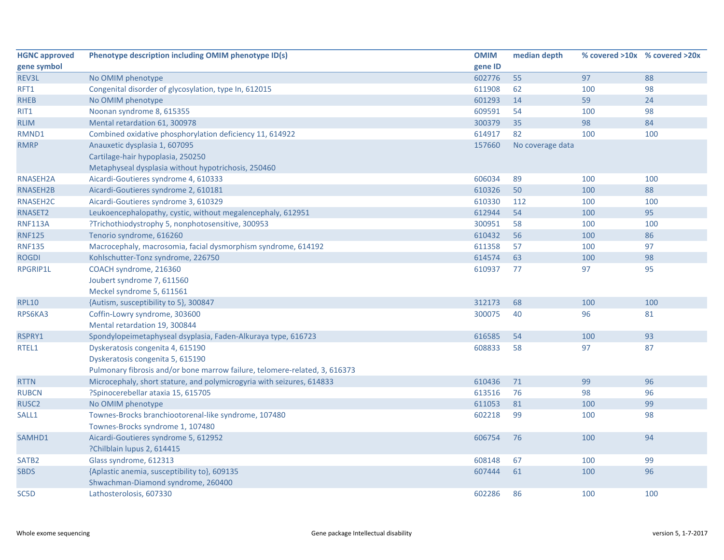| <b>HGNC approved</b> | Phenotype description including OMIM phenotype ID(s)                       | <b>OMIM</b> | median depth     |     | % covered >10x % covered >20x |
|----------------------|----------------------------------------------------------------------------|-------------|------------------|-----|-------------------------------|
| gene symbol          |                                                                            | gene ID     |                  |     |                               |
| REV3L                | No OMIM phenotype                                                          | 602776      | 55               | 97  | 88                            |
| RFT1                 | Congenital disorder of glycosylation, type In, 612015                      | 611908      | 62               | 100 | 98                            |
| <b>RHEB</b>          | No OMIM phenotype                                                          | 601293      | 14               | 59  | 24                            |
| RIT1                 | Noonan syndrome 8, 615355                                                  | 609591      | 54               | 100 | 98                            |
| <b>RLIM</b>          | Mental retardation 61, 300978                                              | 300379      | 35               | 98  | 84                            |
| RMND1                | Combined oxidative phosphorylation deficiency 11, 614922                   | 614917      | 82               | 100 | 100                           |
| <b>RMRP</b>          | Anauxetic dysplasia 1, 607095                                              | 157660      | No coverage data |     |                               |
|                      | Cartilage-hair hypoplasia, 250250                                          |             |                  |     |                               |
|                      | Metaphyseal dysplasia without hypotrichosis, 250460                        |             |                  |     |                               |
| RNASEH2A             | Aicardi-Goutieres syndrome 4, 610333                                       | 606034      | 89               | 100 | 100                           |
| RNASEH2B             | Aicardi-Goutieres syndrome 2, 610181                                       | 610326      | 50               | 100 | 88                            |
| RNASEH2C             | Aicardi-Goutieres syndrome 3, 610329                                       | 610330      | 112              | 100 | 100                           |
| RNASET2              | Leukoencephalopathy, cystic, without megalencephaly, 612951                | 612944      | 54               | 100 | 95                            |
| <b>RNF113A</b>       | ?Trichothiodystrophy 5, nonphotosensitive, 300953                          | 300951      | 58               | 100 | 100                           |
| <b>RNF125</b>        | Tenorio syndrome, 616260                                                   | 610432      | 56               | 100 | 86                            |
| <b>RNF135</b>        | Macrocephaly, macrosomia, facial dysmorphism syndrome, 614192              | 611358      | 57               | 100 | 97                            |
| <b>ROGDI</b>         | Kohlschutter-Tonz syndrome, 226750                                         | 614574      | 63               | 100 | 98                            |
| <b>RPGRIP1L</b>      | COACH syndrome, 216360                                                     | 610937      | 77               | 97  | 95                            |
|                      | Joubert syndrome 7, 611560                                                 |             |                  |     |                               |
|                      | Meckel syndrome 5, 611561                                                  |             |                  |     |                               |
| <b>RPL10</b>         | {Autism, susceptibility to 5}, 300847                                      | 312173      | 68               | 100 | 100                           |
| RPS6KA3              | Coffin-Lowry syndrome, 303600                                              | 300075      | 40               | 96  | 81                            |
|                      | Mental retardation 19, 300844                                              |             |                  |     |                               |
| RSPRY1               | Spondylopeimetaphyseal dsyplasia, Faden-Alkuraya type, 616723              | 616585      | 54               | 100 | 93                            |
| RTEL1                | Dyskeratosis congenita 4, 615190                                           | 608833      | 58               | 97  | 87                            |
|                      | Dyskeratosis congenita 5, 615190                                           |             |                  |     |                               |
|                      | Pulmonary fibrosis and/or bone marrow failure, telomere-related, 3, 616373 |             |                  |     |                               |
| <b>RTTN</b>          | Microcephaly, short stature, and polymicrogyria with seizures, 614833      | 610436      | 71               | 99  | 96                            |
| <b>RUBCN</b>         | ?Spinocerebellar ataxia 15, 615705                                         | 613516      | 76               | 98  | 96                            |
| RUSC <sub>2</sub>    | No OMIM phenotype                                                          | 611053      | 81               | 100 | 99                            |
| SALL1                | Townes-Brocks branchiootorenal-like syndrome, 107480                       | 602218      | 99               | 100 | 98                            |
|                      | Townes-Brocks syndrome 1, 107480                                           |             |                  |     |                               |
| SAMHD1               | Aicardi-Goutieres syndrome 5, 612952                                       | 606754      | 76               | 100 | 94                            |
|                      | ?Chilblain lupus 2, 614415                                                 |             |                  |     |                               |
| SATB <sub>2</sub>    | Glass syndrome, 612313                                                     | 608148      | 67               | 100 | 99                            |
| <b>SBDS</b>          | {Aplastic anemia, susceptibility to}, 609135                               | 607444      | 61               | 100 | 96                            |
|                      | Shwachman-Diamond syndrome, 260400                                         |             |                  |     |                               |
| SC5D                 | Lathosterolosis, 607330                                                    | 602286      | 86               | 100 | 100                           |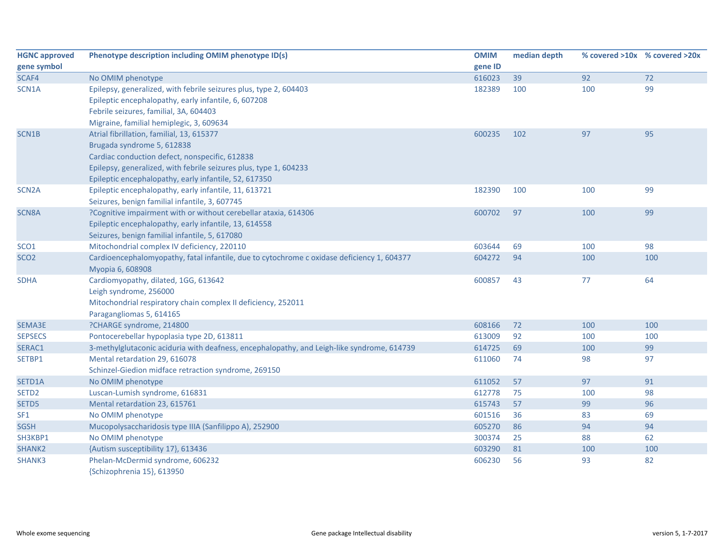| <b>HGNC approved</b> | Phenotype description including OMIM phenotype ID(s)                                       | <b>OMIM</b> | median depth | % covered >10x % covered >20x |     |
|----------------------|--------------------------------------------------------------------------------------------|-------------|--------------|-------------------------------|-----|
| gene symbol          |                                                                                            | gene ID     |              |                               |     |
| SCAF4                | No OMIM phenotype                                                                          | 616023      | 39           | 92                            | 72  |
| SCN1A                | Epilepsy, generalized, with febrile seizures plus, type 2, 604403                          | 182389      | 100          | 100                           | 99  |
|                      | Epileptic encephalopathy, early infantile, 6, 607208                                       |             |              |                               |     |
|                      | Febrile seizures, familial, 3A, 604403                                                     |             |              |                               |     |
|                      | Migraine, familial hemiplegic, 3, 609634                                                   |             |              |                               |     |
| SCN1B                | Atrial fibrillation, familial, 13, 615377                                                  | 600235      | 102          | 97                            | 95  |
|                      | Brugada syndrome 5, 612838                                                                 |             |              |                               |     |
|                      | Cardiac conduction defect, nonspecific, 612838                                             |             |              |                               |     |
|                      | Epilepsy, generalized, with febrile seizures plus, type 1, 604233                          |             |              |                               |     |
|                      | Epileptic encephalopathy, early infantile, 52, 617350                                      |             |              |                               |     |
| SCN <sub>2</sub> A   | Epileptic encephalopathy, early infantile, 11, 613721                                      | 182390      | 100          | 100                           | 99  |
|                      | Seizures, benign familial infantile, 3, 607745                                             |             |              |                               |     |
| SCN8A                | ?Cognitive impairment with or without cerebellar ataxia, 614306                            | 600702      | 97           | 100                           | 99  |
|                      | Epileptic encephalopathy, early infantile, 13, 614558                                      |             |              |                               |     |
|                      | Seizures, benign familial infantile, 5, 617080                                             |             |              |                               |     |
| SCO <sub>1</sub>     | Mitochondrial complex IV deficiency, 220110                                                | 603644      | 69           | 100                           | 98  |
| SCO <sub>2</sub>     | Cardioencephalomyopathy, fatal infantile, due to cytochrome c oxidase deficiency 1, 604377 | 604272      | 94           | 100                           | 100 |
|                      | Myopia 6, 608908                                                                           |             |              |                               |     |
| <b>SDHA</b>          | Cardiomyopathy, dilated, 1GG, 613642                                                       | 600857      | 43           | 77                            | 64  |
|                      | Leigh syndrome, 256000                                                                     |             |              |                               |     |
|                      | Mitochondrial respiratory chain complex II deficiency, 252011                              |             |              |                               |     |
|                      | Paragangliomas 5, 614165                                                                   |             |              |                               |     |
| SEMA3E               | ?CHARGE syndrome, 214800                                                                   | 608166      | 72           | 100                           | 100 |
| <b>SEPSECS</b>       | Pontocerebellar hypoplasia type 2D, 613811                                                 | 613009      | 92           | 100                           | 100 |
| SERAC1               | 3-methylglutaconic aciduria with deafness, encephalopathy, and Leigh-like syndrome, 614739 | 614725      | 69           | 100                           | 99  |
| SETBP1               | Mental retardation 29, 616078                                                              | 611060      | 74           | 98                            | 97  |
|                      | Schinzel-Giedion midface retraction syndrome, 269150                                       |             |              |                               |     |
| SETD1A               | No OMIM phenotype                                                                          | 611052      | 57           | 97                            | 91  |
| SETD <sub>2</sub>    | Luscan-Lumish syndrome, 616831                                                             | 612778      | 75           | 100                           | 98  |
| SETD5                | Mental retardation 23, 615761                                                              | 615743      | 57           | 99                            | 96  |
| SF <sub>1</sub>      | No OMIM phenotype                                                                          | 601516      | 36           | 83                            | 69  |
| <b>SGSH</b>          | Mucopolysaccharidosis type IIIA (Sanfilippo A), 252900                                     | 605270      | 86           | 94                            | 94  |
| SH3KBP1              | No OMIM phenotype                                                                          | 300374      | 25           | 88                            | 62  |
| SHANK <sub>2</sub>   | {Autism susceptibility 17}, 613436                                                         | 603290      | 81           | 100                           | 100 |
| SHANK3               | Phelan-McDermid syndrome, 606232                                                           | 606230      | 56           | 93                            | 82  |
|                      | {Schizophrenia 15}, 613950                                                                 |             |              |                               |     |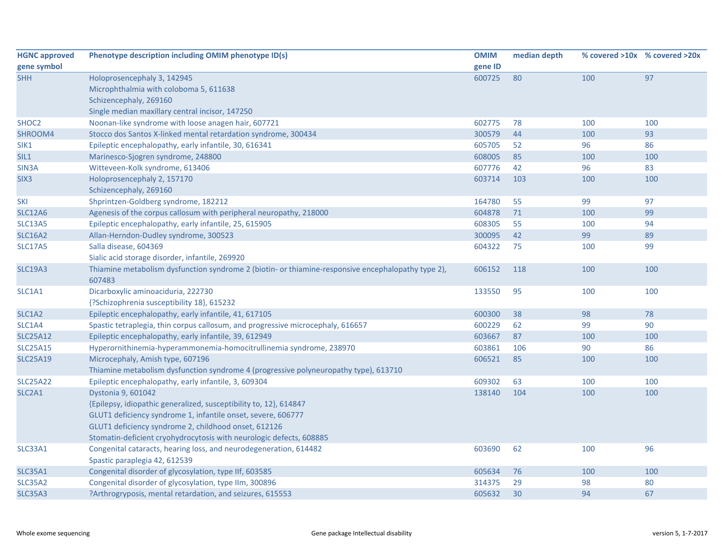| <b>HGNC approved</b>            | Phenotype description including OMIM phenotype ID(s)                                                         | <b>OMIM</b> | median depth |     | % covered >10x % covered >20x |
|---------------------------------|--------------------------------------------------------------------------------------------------------------|-------------|--------------|-----|-------------------------------|
| gene symbol                     |                                                                                                              | gene ID     |              |     |                               |
| <b>SHH</b>                      | Holoprosencephaly 3, 142945                                                                                  | 600725      | 80           | 100 | 97                            |
|                                 | Microphthalmia with coloboma 5, 611638                                                                       |             |              |     |                               |
|                                 | Schizencephaly, 269160                                                                                       |             |              |     |                               |
|                                 | Single median maxillary central incisor, 147250                                                              |             |              |     |                               |
| SHOC <sub>2</sub>               | Noonan-like syndrome with loose anagen hair, 607721                                                          | 602775      | 78           | 100 | 100                           |
| SHROOM4                         | Stocco dos Santos X-linked mental retardation syndrome, 300434                                               | 300579      | 44           | 100 | 93                            |
| SIK1                            | Epileptic encephalopathy, early infantile, 30, 616341                                                        | 605705      | 52           | 96  | 86                            |
| SIL1                            | Marinesco-Sjogren syndrome, 248800                                                                           | 608005      | 85           | 100 | 100                           |
| SIN <sub>3</sub> A              | Witteveen-Kolk syndrome, 613406                                                                              | 607776      | 42           | 96  | 83                            |
| SIX <sub>3</sub>                | Holoprosencephaly 2, 157170                                                                                  | 603714      | 103          | 100 | 100                           |
|                                 | Schizencephaly, 269160                                                                                       |             |              |     |                               |
| SKI                             | Shprintzen-Goldberg syndrome, 182212                                                                         | 164780      | 55           | 99  | 97                            |
| <b>SLC12A6</b>                  | Agenesis of the corpus callosum with peripheral neuropathy, 218000                                           | 604878      | 71           | 100 | 99                            |
| <b>SLC13A5</b>                  | Epileptic encephalopathy, early infantile, 25, 615905                                                        | 608305      | 55           | 100 | 94                            |
| <b>SLC16A2</b>                  | Allan-Herndon-Dudley syndrome, 300523                                                                        | 300095      | 42           | 99  | 89                            |
| <b>SLC17A5</b>                  | Salla disease, 604369                                                                                        | 604322      | 75           | 100 | 99                            |
|                                 | Sialic acid storage disorder, infantile, 269920                                                              |             |              |     |                               |
| <b>SLC19A3</b>                  | Thiamine metabolism dysfunction syndrome 2 (biotin- or thiamine-responsive encephalopathy type 2),<br>607483 | 606152      | 118          | 100 | 100                           |
| SLC1A1                          | Dicarboxylic aminoaciduria, 222730                                                                           | 133550      | 95           | 100 | 100                           |
|                                 | {?Schizophrenia susceptibility 18}, 615232                                                                   |             |              |     |                               |
| SLC1A2                          | Epileptic encephalopathy, early infantile, 41, 617105                                                        | 600300      | 38           | 98  | 78                            |
| SLC1A4                          | Spastic tetraplegia, thin corpus callosum, and progressive microcephaly, 616657                              | 600229      | 62           | 99  | 90                            |
| <b>SLC25A12</b>                 | Epileptic encephalopathy, early infantile, 39, 612949                                                        | 603667      | 87           | 100 | 100                           |
| <b>SLC25A15</b>                 | Hyperornithinemia-hyperammonemia-homocitrullinemia syndrome, 238970                                          | 603861      | 106          | 90  | 86                            |
| <b>SLC25A19</b>                 | Microcephaly, Amish type, 607196                                                                             | 606521      | 85           | 100 | 100                           |
|                                 | Thiamine metabolism dysfunction syndrome 4 (progressive polyneuropathy type), 613710                         |             |              |     |                               |
| <b>SLC25A22</b>                 | Epileptic encephalopathy, early infantile, 3, 609304                                                         | 609302      | 63           | 100 | 100                           |
| SLC <sub>2</sub> A <sub>1</sub> | Dystonia 9, 601042                                                                                           | 138140      | 104          | 100 | 100                           |
|                                 | {Epilepsy, idiopathic generalized, susceptibility to, 12}, 614847                                            |             |              |     |                               |
|                                 | GLUT1 deficiency syndrome 1, infantile onset, severe, 606777                                                 |             |              |     |                               |
|                                 | GLUT1 deficiency syndrome 2, childhood onset, 612126                                                         |             |              |     |                               |
|                                 | Stomatin-deficient cryohydrocytosis with neurologic defects, 608885                                          |             |              |     |                               |
| SLC33A1                         | Congenital cataracts, hearing loss, and neurodegeneration, 614482                                            | 603690      | 62           | 100 | 96                            |
|                                 | Spastic paraplegia 42, 612539                                                                                |             |              |     |                               |
| SLC35A1                         | Congenital disorder of glycosylation, type IIf, 603585                                                       | 605634      | 76           | 100 | 100                           |
| <b>SLC35A2</b>                  | Congenital disorder of glycosylation, type IIm, 300896                                                       | 314375      | 29           | 98  | 80                            |
| <b>SLC35A3</b>                  | ?Arthrogryposis, mental retardation, and seizures, 615553                                                    | 605632      | 30           | 94  | 67                            |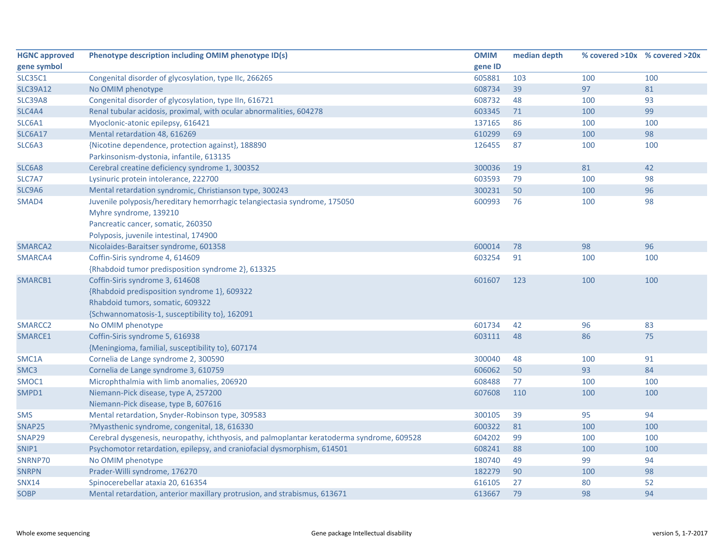| <b>HGNC approved</b> | Phenotype description including OMIM phenotype ID(s)                                       | <b>OMIM</b> | median depth |     | % covered >10x % covered >20x |
|----------------------|--------------------------------------------------------------------------------------------|-------------|--------------|-----|-------------------------------|
| gene symbol          |                                                                                            | gene ID     |              |     |                               |
| <b>SLC35C1</b>       | Congenital disorder of glycosylation, type IIc, 266265                                     | 605881      | 103          | 100 | 100                           |
| <b>SLC39A12</b>      | No OMIM phenotype                                                                          | 608734      | 39           | 97  | 81                            |
| <b>SLC39A8</b>       | Congenital disorder of glycosylation, type IIn, 616721                                     | 608732      | 48           | 100 | 93                            |
| SLC4A4               | Renal tubular acidosis, proximal, with ocular abnormalities, 604278                        | 603345      | 71           | 100 | 99                            |
| SLC6A1               | Myoclonic-atonic epilepsy, 616421                                                          | 137165      | 86           | 100 | 100                           |
| <b>SLC6A17</b>       | Mental retardation 48, 616269                                                              | 610299      | 69           | 100 | 98                            |
| SLC6A3               | {Nicotine dependence, protection against}, 188890                                          | 126455      | 87           | 100 | 100                           |
|                      | Parkinsonism-dystonia, infantile, 613135                                                   |             |              |     |                               |
| SLC6A8               | Cerebral creatine deficiency syndrome 1, 300352                                            | 300036      | 19           | 81  | 42                            |
| SLC7A7               | Lysinuric protein intolerance, 222700                                                      | 603593      | 79           | 100 | 98                            |
| SLC9A6               | Mental retardation syndromic, Christianson type, 300243                                    | 300231      | 50           | 100 | 96                            |
| SMAD4                | Juvenile polyposis/hereditary hemorrhagic telangiectasia syndrome, 175050                  | 600993      | 76           | 100 | 98                            |
|                      | Myhre syndrome, 139210                                                                     |             |              |     |                               |
|                      | Pancreatic cancer, somatic, 260350                                                         |             |              |     |                               |
|                      | Polyposis, juvenile intestinal, 174900                                                     |             |              |     |                               |
| SMARCA2              | Nicolaides-Baraitser syndrome, 601358                                                      | 600014      | 78           | 98  | 96                            |
| SMARCA4              | Coffin-Siris syndrome 4, 614609                                                            | 603254      | 91           | 100 | 100                           |
|                      | {Rhabdoid tumor predisposition syndrome 2}, 613325                                         |             |              |     |                               |
| SMARCB1              | Coffin-Siris syndrome 3, 614608                                                            | 601607      | 123          | 100 | 100                           |
|                      | {Rhabdoid predisposition syndrome 1}, 609322                                               |             |              |     |                               |
|                      | Rhabdoid tumors, somatic, 609322                                                           |             |              |     |                               |
|                      | {Schwannomatosis-1, susceptibility to}, 162091                                             |             |              |     |                               |
| SMARCC2              | No OMIM phenotype                                                                          | 601734      | 42           | 96  | 83                            |
| SMARCE1              | Coffin-Siris syndrome 5, 616938                                                            | 603111      | 48           | 86  | 75                            |
|                      | {Meningioma, familial, susceptibility to}, 607174                                          |             |              |     |                               |
| SMC1A                | Cornelia de Lange syndrome 2, 300590                                                       | 300040      | 48           | 100 | 91                            |
| SMC <sub>3</sub>     | Cornelia de Lange syndrome 3, 610759                                                       | 606062      | 50           | 93  | 84                            |
| SMOC1                | Microphthalmia with limb anomalies, 206920                                                 | 608488      | 77           | 100 | 100                           |
| SMPD1                | Niemann-Pick disease, type A, 257200                                                       | 607608      | 110          | 100 | 100                           |
|                      | Niemann-Pick disease, type B, 607616                                                       |             |              |     |                               |
| <b>SMS</b>           | Mental retardation, Snyder-Robinson type, 309583                                           | 300105      | 39           | 95  | 94                            |
| SNAP25               | ?Myasthenic syndrome, congenital, 18, 616330                                               | 600322      | 81           | 100 | 100                           |
| SNAP29               | Cerebral dysgenesis, neuropathy, ichthyosis, and palmoplantar keratoderma syndrome, 609528 | 604202      | 99           | 100 | 100                           |
| SNIP1                | Psychomotor retardation, epilepsy, and craniofacial dysmorphism, 614501                    | 608241      | 88           | 100 | 100                           |
| SNRNP70              | No OMIM phenotype                                                                          | 180740      | 49           | 99  | 94                            |
| <b>SNRPN</b>         | Prader-Willi syndrome, 176270                                                              | 182279      | 90           | 100 | 98                            |
| <b>SNX14</b>         | Spinocerebellar ataxia 20, 616354                                                          | 616105      | 27           | 80  | 52                            |
| <b>SOBP</b>          | Mental retardation, anterior maxillary protrusion, and strabismus, 613671                  | 613667      | 79           | 98  | 94                            |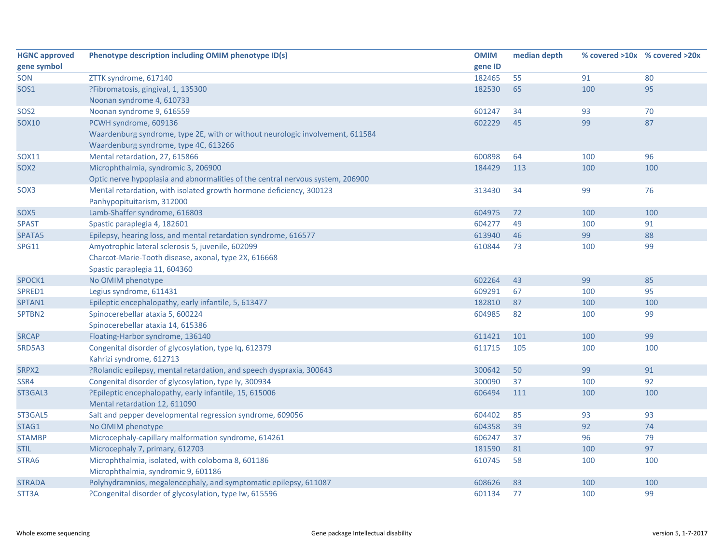| <b>HGNC approved</b> | Phenotype description including OMIM phenotype ID(s)                           | <b>OMIM</b> | median depth |     | % covered >10x % covered >20x |
|----------------------|--------------------------------------------------------------------------------|-------------|--------------|-----|-------------------------------|
| gene symbol          |                                                                                | gene ID     |              |     |                               |
| SON                  | ZTTK syndrome, 617140                                                          | 182465      | 55           | 91  | 80                            |
| SOS1                 | ?Fibromatosis, gingival, 1, 135300                                             | 182530      | 65           | 100 | 95                            |
|                      | Noonan syndrome 4, 610733                                                      |             |              |     |                               |
| SOS <sub>2</sub>     | Noonan syndrome 9, 616559                                                      | 601247      | 34           | 93  | 70                            |
| <b>SOX10</b>         | PCWH syndrome, 609136                                                          | 602229      | 45           | 99  | 87                            |
|                      | Waardenburg syndrome, type 2E, with or without neurologic involvement, 611584  |             |              |     |                               |
|                      | Waardenburg syndrome, type 4C, 613266                                          |             |              |     |                               |
| <b>SOX11</b>         | Mental retardation, 27, 615866                                                 | 600898      | 64           | 100 | 96                            |
| SOX <sub>2</sub>     | Microphthalmia, syndromic 3, 206900                                            | 184429      | 113          | 100 | 100                           |
|                      | Optic nerve hypoplasia and abnormalities of the central nervous system, 206900 |             |              |     |                               |
| SOX3                 | Mental retardation, with isolated growth hormone deficiency, 300123            | 313430      | 34           | 99  | 76                            |
|                      | Panhypopituitarism, 312000                                                     |             |              |     |                               |
| SOX5                 | Lamb-Shaffer syndrome, 616803                                                  | 604975      | 72           | 100 | 100                           |
| <b>SPAST</b>         | Spastic paraplegia 4, 182601                                                   | 604277      | 49           | 100 | 91                            |
| SPATA5               | Epilepsy, hearing loss, and mental retardation syndrome, 616577                | 613940      | 46           | 99  | 88                            |
| <b>SPG11</b>         | Amyotrophic lateral sclerosis 5, juvenile, 602099                              | 610844      | 73           | 100 | 99                            |
|                      | Charcot-Marie-Tooth disease, axonal, type 2X, 616668                           |             |              |     |                               |
|                      | Spastic paraplegia 11, 604360                                                  |             |              |     |                               |
| SPOCK1               | No OMIM phenotype                                                              | 602264      | 43           | 99  | 85                            |
| SPRED1               | Legius syndrome, 611431                                                        | 609291      | 67           | 100 | 95                            |
| SPTAN1               | Epileptic encephalopathy, early infantile, 5, 613477                           | 182810      | 87           | 100 | 100                           |
| SPTBN2               | Spinocerebellar ataxia 5, 600224                                               | 604985      | 82           | 100 | 99                            |
|                      | Spinocerebellar ataxia 14, 615386                                              |             |              |     |                               |
| <b>SRCAP</b>         | Floating-Harbor syndrome, 136140                                               | 611421      | 101          | 100 | 99                            |
| SRD5A3               | Congenital disorder of glycosylation, type Iq, 612379                          | 611715      | 105          | 100 | 100                           |
|                      | Kahrizi syndrome, 612713                                                       |             |              |     |                               |
| SRPX2                | ?Rolandic epilepsy, mental retardation, and speech dyspraxia, 300643           | 300642      | 50           | 99  | 91                            |
| SSR4                 | Congenital disorder of glycosylation, type ly, 300934                          | 300090      | 37           | 100 | 92                            |
| ST3GAL3              | ?Epileptic encephalopathy, early infantile, 15, 615006                         | 606494      | 111          | 100 | 100                           |
|                      | Mental retardation 12, 611090                                                  |             |              |     |                               |
| ST3GAL5              | Salt and pepper developmental regression syndrome, 609056                      | 604402      | 85           | 93  | 93                            |
| STAG1                | No OMIM phenotype                                                              | 604358      | 39           | 92  | 74                            |
| <b>STAMBP</b>        | Microcephaly-capillary malformation syndrome, 614261                           | 606247      | 37           | 96  | 79                            |
| <b>STIL</b>          | Microcephaly 7, primary, 612703                                                | 181590      | 81           | 100 | 97                            |
| STRA6                | Microphthalmia, isolated, with coloboma 8, 601186                              | 610745      | 58           | 100 | 100                           |
|                      | Microphthalmia, syndromic 9, 601186                                            |             |              |     |                               |
| <b>STRADA</b>        | Polyhydramnios, megalencephaly, and symptomatic epilepsy, 611087               | 608626      | 83           | 100 | 100                           |
| STT3A                | ?Congenital disorder of glycosylation, type Iw, 615596                         | 601134      | 77           | 100 | 99                            |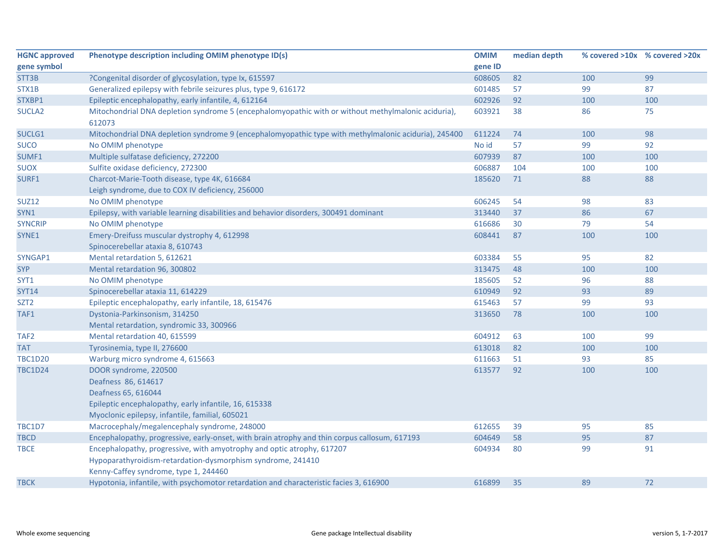| <b>HGNC approved</b> | Phenotype description including OMIM phenotype ID(s)                                                                                                                           | <b>OMIM</b> | median depth | % covered >10x % covered >20x |     |
|----------------------|--------------------------------------------------------------------------------------------------------------------------------------------------------------------------------|-------------|--------------|-------------------------------|-----|
| gene symbol          |                                                                                                                                                                                | gene ID     |              |                               |     |
| STT3B                | ?Congenital disorder of glycosylation, type Ix, 615597                                                                                                                         | 608605      | 82           | 100                           | 99  |
| STX1B                | Generalized epilepsy with febrile seizures plus, type 9, 616172                                                                                                                | 601485      | 57           | 99                            | 87  |
| STXBP1               | Epileptic encephalopathy, early infantile, 4, 612164                                                                                                                           | 602926      | 92           | 100                           | 100 |
| SUCLA <sub>2</sub>   | Mitochondrial DNA depletion syndrome 5 (encephalomyopathic with or without methylmalonic aciduria),<br>612073                                                                  | 603921      | 38           | 86                            | 75  |
| SUCLG1               | Mitochondrial DNA depletion syndrome 9 (encephalomyopathic type with methylmalonic aciduria), 245400                                                                           | 611224      | 74           | 100                           | 98  |
| <b>SUCO</b>          | No OMIM phenotype                                                                                                                                                              | No id       | 57           | 99                            | 92  |
| SUMF1                | Multiple sulfatase deficiency, 272200                                                                                                                                          | 607939      | 87           | 100                           | 100 |
| <b>SUOX</b>          | Sulfite oxidase deficiency, 272300                                                                                                                                             | 606887      | 104          | 100                           | 100 |
| SURF1                | Charcot-Marie-Tooth disease, type 4K, 616684                                                                                                                                   | 185620      | 71           | 88                            | 88  |
|                      | Leigh syndrome, due to COX IV deficiency, 256000                                                                                                                               |             |              |                               |     |
| <b>SUZ12</b>         | No OMIM phenotype                                                                                                                                                              | 606245      | 54           | 98                            | 83  |
| SYN1                 | Epilepsy, with variable learning disabilities and behavior disorders, 300491 dominant                                                                                          | 313440      | 37           | 86                            | 67  |
| <b>SYNCRIP</b>       | No OMIM phenotype                                                                                                                                                              | 616686      | 30           | 79                            | 54  |
| SYNE1                | Emery-Dreifuss muscular dystrophy 4, 612998                                                                                                                                    | 608441      | 87           | 100                           | 100 |
|                      | Spinocerebellar ataxia 8, 610743                                                                                                                                               |             |              |                               |     |
| SYNGAP1              | Mental retardation 5, 612621                                                                                                                                                   | 603384      | 55           | 95                            | 82  |
| <b>SYP</b>           | Mental retardation 96, 300802                                                                                                                                                  | 313475      | 48           | 100                           | 100 |
| SYT1                 | No OMIM phenotype                                                                                                                                                              | 185605      | 52           | 96                            | 88  |
| <b>SYT14</b>         | Spinocerebellar ataxia 11, 614229                                                                                                                                              | 610949      | 92           | 93                            | 89  |
| SZT2                 | Epileptic encephalopathy, early infantile, 18, 615476                                                                                                                          | 615463      | 57           | 99                            | 93  |
| TAF1                 | Dystonia-Parkinsonism, 314250                                                                                                                                                  | 313650      | 78           | 100                           | 100 |
|                      | Mental retardation, syndromic 33, 300966                                                                                                                                       |             |              |                               |     |
| TAF <sub>2</sub>     | Mental retardation 40, 615599                                                                                                                                                  | 604912      | 63           | 100                           | 99  |
| <b>TAT</b>           | Tyrosinemia, type II, 276600                                                                                                                                                   | 613018      | 82           | 100                           | 100 |
| <b>TBC1D20</b>       | Warburg micro syndrome 4, 615663                                                                                                                                               | 611663      | 51           | 93                            | 85  |
| <b>TBC1D24</b>       | DOOR syndrome, 220500<br>Deafness 86, 614617                                                                                                                                   | 613577      | 92           | 100                           | 100 |
|                      | Deafness 65, 616044                                                                                                                                                            |             |              |                               |     |
|                      | Epileptic encephalopathy, early infantile, 16, 615338                                                                                                                          |             |              |                               |     |
|                      | Myoclonic epilepsy, infantile, familial, 605021                                                                                                                                |             |              |                               |     |
| <b>TBC1D7</b>        | Macrocephaly/megalencephaly syndrome, 248000                                                                                                                                   | 612655      | 39           | 95                            | 85  |
| <b>TBCD</b>          | Encephalopathy, progressive, early-onset, with brain atrophy and thin corpus callosum, 617193                                                                                  | 604649      | 58           | 95                            | 87  |
| TBCE                 | Encephalopathy, progressive, with amyotrophy and optic atrophy, 617207<br>Hypoparathyroidism-retardation-dysmorphism syndrome, 241410<br>Kenny-Caffey syndrome, type 1, 244460 | 604934      | 80           | 99                            | 91  |
| <b>TBCK</b>          | Hypotonia, infantile, with psychomotor retardation and characteristic facies 3, 616900                                                                                         | 616899      | 35           | 89                            | 72  |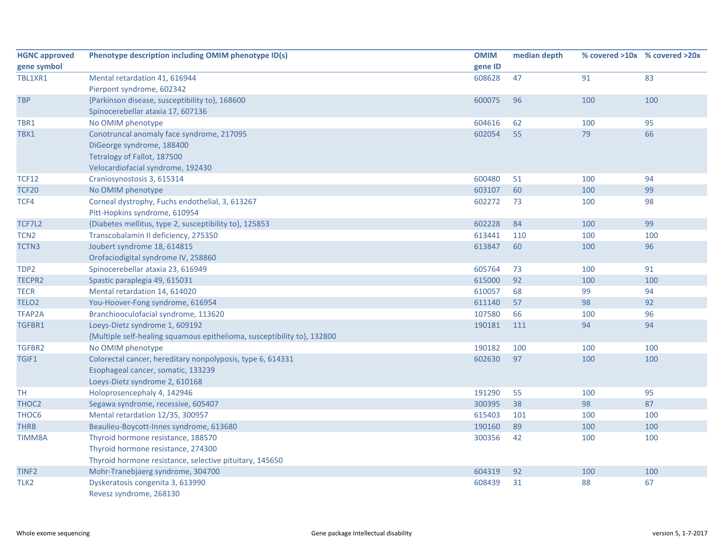| <b>HGNC approved</b> | Phenotype description including OMIM phenotype ID(s)                    | <b>OMIM</b> | median depth |     | % covered >10x % covered >20x |
|----------------------|-------------------------------------------------------------------------|-------------|--------------|-----|-------------------------------|
| gene symbol          |                                                                         | gene ID     |              |     |                               |
| TBL1XR1              | Mental retardation 41, 616944                                           | 608628      | 47           | 91  | 83                            |
|                      | Pierpont syndrome, 602342                                               |             |              |     |                               |
| <b>TBP</b>           | {Parkinson disease, susceptibility to}, 168600                          | 600075      | 96           | 100 | 100                           |
|                      | Spinocerebellar ataxia 17, 607136                                       |             |              |     |                               |
| TBR1                 | No OMIM phenotype                                                       | 604616      | 62           | 100 | 95                            |
| TBX1                 | Conotruncal anomaly face syndrome, 217095                               | 602054      | 55           | 79  | 66                            |
|                      | DiGeorge syndrome, 188400                                               |             |              |     |                               |
|                      | Tetralogy of Fallot, 187500                                             |             |              |     |                               |
|                      | Velocardiofacial syndrome, 192430                                       |             |              |     |                               |
| <b>TCF12</b>         | Craniosynostosis 3, 615314                                              | 600480      | 51           | 100 | 94                            |
| <b>TCF20</b>         | No OMIM phenotype                                                       | 603107      | 60           | 100 | 99                            |
| TCF4                 | Corneal dystrophy, Fuchs endothelial, 3, 613267                         | 602272      | 73           | 100 | 98                            |
|                      | Pitt-Hopkins syndrome, 610954                                           |             |              |     |                               |
| TCF7L2               | {Diabetes mellitus, type 2, susceptibility to}, 125853                  | 602228      | 84           | 100 | 99                            |
| TCN <sub>2</sub>     | Transcobalamin II deficiency, 275350                                    | 613441      | 110          | 100 | 100                           |
| TCTN3                | Joubert syndrome 18, 614815                                             | 613847      | 60           | 100 | 96                            |
|                      | Orofaciodigital syndrome IV, 258860                                     |             |              |     |                               |
| TDP2                 | Spinocerebellar ataxia 23, 616949                                       | 605764      | 73           | 100 | 91                            |
| <b>TECPR2</b>        | Spastic paraplegia 49, 615031                                           | 615000      | 92           | 100 | 100                           |
| <b>TECR</b>          | Mental retardation 14, 614020                                           | 610057      | 68           | 99  | 94                            |
| TELO <sub>2</sub>    | You-Hoover-Fong syndrome, 616954                                        | 611140      | 57           | 98  | 92                            |
| <b>TFAP2A</b>        | Branchiooculofacial syndrome, 113620                                    | 107580      | 66           | 100 | 96                            |
| TGFBR1               | Loeys-Dietz syndrome 1, 609192                                          | 190181      | 111          | 94  | 94                            |
|                      | {Multiple self-healing squamous epithelioma, susceptibility to}, 132800 |             |              |     |                               |
| TGFBR2               | No OMIM phenotype                                                       | 190182      | 100          | 100 | 100                           |
| TGIF1                | Colorectal cancer, hereditary nonpolyposis, type 6, 614331              | 602630      | 97           | 100 | 100                           |
|                      | Esophageal cancer, somatic, 133239                                      |             |              |     |                               |
|                      | Loeys-Dietz syndrome 2, 610168                                          |             |              |     |                               |
| <b>TH</b>            | Holoprosencephaly 4, 142946                                             | 191290      | 55           | 100 | 95                            |
| THOC2                | Segawa syndrome, recessive, 605407                                      | 300395      | 38           | 98  | 87                            |
| THOC6                | Mental retardation 12/35, 300957                                        | 615403      | 101          | 100 | 100                           |
| <b>THRB</b>          | Beaulieu-Boycott-Innes syndrome, 613680                                 | 190160      | 89           | 100 | 100                           |
| TIMM8A               | Thyroid hormone resistance, 188570                                      | 300356      | 42           | 100 | 100                           |
|                      | Thyroid hormone resistance, 274300                                      |             |              |     |                               |
|                      | Thyroid hormone resistance, selective pituitary, 145650                 |             |              |     |                               |
| TINF <sub>2</sub>    | Mohr-Tranebjaerg syndrome, 304700                                       | 604319      | 92           | 100 | 100                           |
| TLK <sub>2</sub>     | Dyskeratosis congenita 3, 613990                                        | 608439      | 31           | 88  | 67                            |
|                      | Revesz syndrome, 268130                                                 |             |              |     |                               |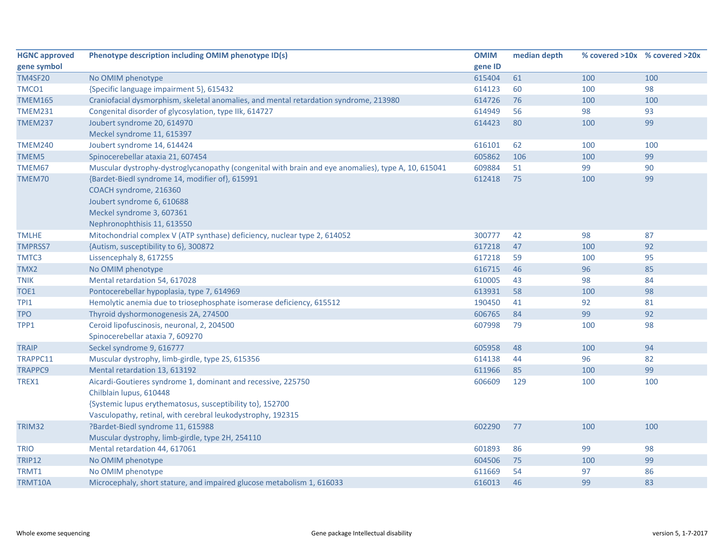| <b>HGNC approved</b> | Phenotype description including OMIM phenotype ID(s)                                                | <b>OMIM</b> | median depth |     | % covered >10x % covered >20x |
|----------------------|-----------------------------------------------------------------------------------------------------|-------------|--------------|-----|-------------------------------|
| gene symbol          |                                                                                                     | gene ID     |              |     |                               |
| <b>TM4SF20</b>       | No OMIM phenotype                                                                                   | 615404      | 61           | 100 | 100                           |
| TMCO1                | {Specific language impairment 5}, 615432                                                            | 614123      | 60           | 100 | 98                            |
| <b>TMEM165</b>       | Craniofacial dysmorphism, skeletal anomalies, and mental retardation syndrome, 213980               | 614726      | 76           | 100 | 100                           |
| <b>TMEM231</b>       | Congenital disorder of glycosylation, type IIk, 614727                                              | 614949      | 56           | 98  | 93                            |
| <b>TMEM237</b>       | Joubert syndrome 20, 614970                                                                         | 614423      | 80           | 100 | 99                            |
|                      | Meckel syndrome 11, 615397                                                                          |             |              |     |                               |
| <b>TMEM240</b>       | Joubert syndrome 14, 614424                                                                         | 616101      | 62           | 100 | 100                           |
| TMEM5                | Spinocerebellar ataxia 21, 607454                                                                   | 605862      | 106          | 100 | 99                            |
| TMEM67               | Muscular dystrophy-dystroglycanopathy (congenital with brain and eye anomalies), type A, 10, 615041 | 609884      | 51           | 99  | 90                            |
| TMEM70               | {Bardet-Biedl syndrome 14, modifier of}, 615991                                                     | 612418      | 75           | 100 | 99                            |
|                      | COACH syndrome, 216360                                                                              |             |              |     |                               |
|                      | Joubert syndrome 6, 610688                                                                          |             |              |     |                               |
|                      | Meckel syndrome 3, 607361                                                                           |             |              |     |                               |
|                      | Nephronophthisis 11, 613550                                                                         |             |              |     |                               |
| <b>TMLHE</b>         | Mitochondrial complex V (ATP synthase) deficiency, nuclear type 2, 614052                           | 300777      | 42           | 98  | 87                            |
| <b>TMPRSS7</b>       | {Autism, susceptibility to 6}, 300872                                                               | 617218      | 47           | 100 | 92                            |
| TMTC3                | Lissencephaly 8, 617255                                                                             | 617218      | 59           | 100 | 95                            |
| TMX2                 | No OMIM phenotype                                                                                   | 616715      | 46           | 96  | 85                            |
| <b>TNIK</b>          | Mental retardation 54, 617028                                                                       | 610005      | 43           | 98  | 84                            |
| TOE1                 | Pontocerebellar hypoplasia, type 7, 614969                                                          | 613931      | 58           | 100 | 98                            |
| TPI1                 | Hemolytic anemia due to triosephosphate isomerase deficiency, 615512                                | 190450      | 41           | 92  | 81                            |
| <b>TPO</b>           | Thyroid dyshormonogenesis 2A, 274500                                                                | 606765      | 84           | 99  | 92                            |
| TPP1                 | Ceroid lipofuscinosis, neuronal, 2, 204500                                                          | 607998      | 79           | 100 | 98                            |
|                      | Spinocerebellar ataxia 7, 609270                                                                    |             |              |     |                               |
| <b>TRAIP</b>         | Seckel syndrome 9, 616777                                                                           | 605958      | 48           | 100 | 94                            |
| TRAPPC11             | Muscular dystrophy, limb-girdle, type 2S, 615356                                                    | 614138      | 44           | 96  | 82                            |
| <b>TRAPPC9</b>       | Mental retardation 13, 613192                                                                       | 611966      | 85           | 100 | 99                            |
| TREX1                | Aicardi-Goutieres syndrome 1, dominant and recessive, 225750                                        | 606609      | 129          | 100 | 100                           |
|                      | Chilblain lupus, 610448                                                                             |             |              |     |                               |
|                      | {Systemic lupus erythematosus, susceptibility to}, 152700                                           |             |              |     |                               |
|                      | Vasculopathy, retinal, with cerebral leukodystrophy, 192315                                         |             |              |     |                               |
| <b>TRIM32</b>        | ?Bardet-Biedl syndrome 11, 615988                                                                   | 602290      | 77           | 100 | 100                           |
|                      | Muscular dystrophy, limb-girdle, type 2H, 254110                                                    |             |              |     |                               |
| <b>TRIO</b>          | Mental retardation 44, 617061                                                                       | 601893      | 86           | 99  | 98                            |
| <b>TRIP12</b>        | No OMIM phenotype                                                                                   | 604506      | 75           | 100 | 99                            |
| TRMT1                | No OMIM phenotype                                                                                   | 611669      | 54           | 97  | 86                            |
| TRMT10A              | Microcephaly, short stature, and impaired glucose metabolism 1, 616033                              | 616013      | 46           | 99  | 83                            |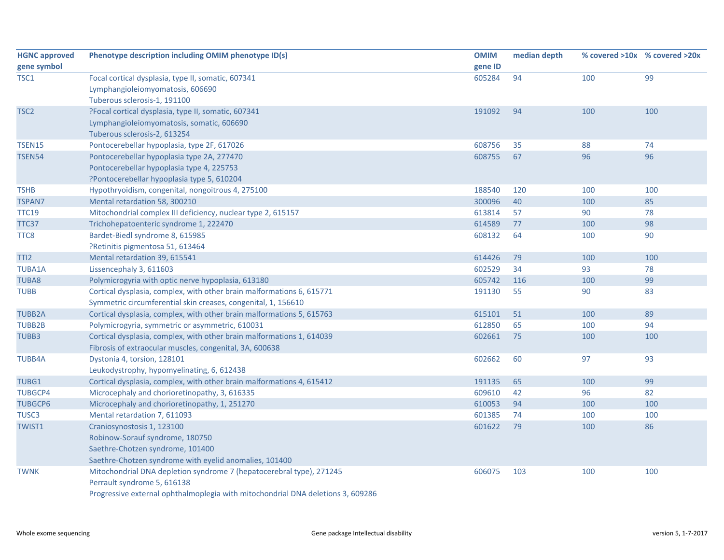| <b>HGNC approved</b> | Phenotype description including OMIM phenotype ID(s)                            | <b>OMIM</b> | median depth |     | % covered >10x % covered >20x |
|----------------------|---------------------------------------------------------------------------------|-------------|--------------|-----|-------------------------------|
| gene symbol          |                                                                                 | gene ID     |              |     |                               |
| TSC <sub>1</sub>     | Focal cortical dysplasia, type II, somatic, 607341                              | 605284      | 94           | 100 | 99                            |
|                      | Lymphangioleiomyomatosis, 606690                                                |             |              |     |                               |
|                      | Tuberous sclerosis-1, 191100                                                    |             |              |     |                               |
| TSC <sub>2</sub>     | ?Focal cortical dysplasia, type II, somatic, 607341                             | 191092      | 94           | 100 | 100                           |
|                      | Lymphangioleiomyomatosis, somatic, 606690                                       |             |              |     |                               |
|                      | Tuberous sclerosis-2, 613254                                                    |             |              |     |                               |
| <b>TSEN15</b>        | Pontocerebellar hypoplasia, type 2F, 617026                                     | 608756      | 35           | 88  | 74                            |
| <b>TSEN54</b>        | Pontocerebellar hypoplasia type 2A, 277470                                      | 608755      | 67           | 96  | 96                            |
|                      | Pontocerebellar hypoplasia type 4, 225753                                       |             |              |     |                               |
|                      | ?Pontocerebellar hypoplasia type 5, 610204                                      |             |              |     |                               |
| <b>TSHB</b>          | Hypothryoidism, congenital, nongoitrous 4, 275100                               | 188540      | 120          | 100 | 100                           |
| <b>TSPAN7</b>        | Mental retardation 58, 300210                                                   | 300096      | 40           | 100 | 85                            |
| <b>TTC19</b>         | Mitochondrial complex III deficiency, nuclear type 2, 615157                    | 613814      | 57           | 90  | 78                            |
| TTC37                | Trichohepatoenteric syndrome 1, 222470                                          | 614589      | 77           | 100 | 98                            |
| TTC8                 | Bardet-Biedl syndrome 8, 615985                                                 | 608132      | 64           | 100 | 90                            |
|                      | ?Retinitis pigmentosa 51, 613464                                                |             |              |     |                               |
| TTI <sub>2</sub>     | Mental retardation 39, 615541                                                   | 614426      | 79           | 100 | 100                           |
| <b>TUBA1A</b>        | Lissencephaly 3, 611603                                                         | 602529      | 34           | 93  | 78                            |
| <b>TUBA8</b>         | Polymicrogyria with optic nerve hypoplasia, 613180                              | 605742      | 116          | 100 | 99                            |
| <b>TUBB</b>          | Cortical dysplasia, complex, with other brain malformations 6, 615771           | 191130      | 55           | 90  | 83                            |
|                      | Symmetric circumferential skin creases, congenital, 1, 156610                   |             |              |     |                               |
| <b>TUBB2A</b>        | Cortical dysplasia, complex, with other brain malformations 5, 615763           | 615101      | 51           | 100 | 89                            |
| <b>TUBB2B</b>        | Polymicrogyria, symmetric or asymmetric, 610031                                 | 612850      | 65           | 100 | 94                            |
| TUBB3                | Cortical dysplasia, complex, with other brain malformations 1, 614039           | 602661      | 75           | 100 | 100                           |
|                      | Fibrosis of extraocular muscles, congenital, 3A, 600638                         |             |              |     |                               |
| <b>TUBB4A</b>        | Dystonia 4, torsion, 128101                                                     | 602662      | 60           | 97  | 93                            |
|                      | Leukodystrophy, hypomyelinating, 6, 612438                                      |             |              |     |                               |
| TUBG1                | Cortical dysplasia, complex, with other brain malformations 4, 615412           | 191135      | 65           | 100 | 99                            |
| <b>TUBGCP4</b>       | Microcephaly and chorioretinopathy, 3, 616335                                   | 609610      | 42           | 96  | 82                            |
| <b>TUBGCP6</b>       | Microcephaly and chorioretinopathy, 1, 251270                                   | 610053      | 94           | 100 | 100                           |
| TUSC <sub>3</sub>    | Mental retardation 7, 611093                                                    | 601385      | 74           | 100 | 100                           |
| <b>TWIST1</b>        | Craniosynostosis 1, 123100                                                      | 601622      | 79           | 100 | 86                            |
|                      | Robinow-Sorauf syndrome, 180750                                                 |             |              |     |                               |
|                      | Saethre-Chotzen syndrome, 101400                                                |             |              |     |                               |
|                      | Saethre-Chotzen syndrome with eyelid anomalies, 101400                          |             |              |     |                               |
| <b>TWNK</b>          | Mitochondrial DNA depletion syndrome 7 (hepatocerebral type), 271245            | 606075      | 103          | 100 | 100                           |
|                      | Perrault syndrome 5, 616138                                                     |             |              |     |                               |
|                      | Progressive external ophthalmoplegia with mitochondrial DNA deletions 3, 609286 |             |              |     |                               |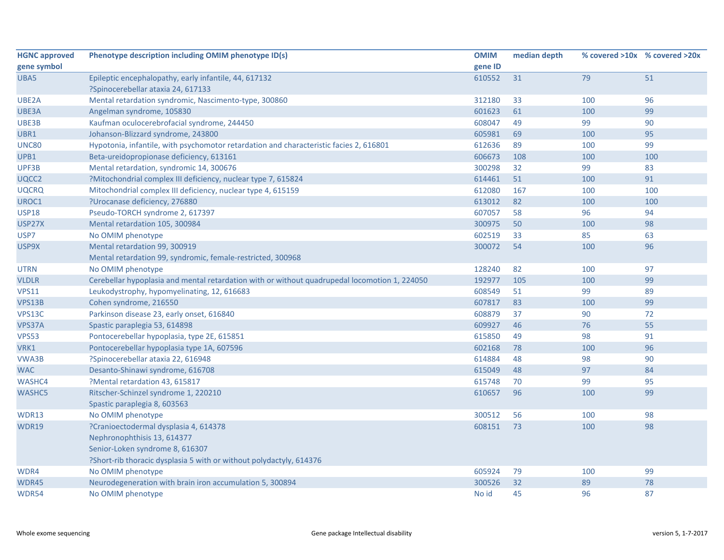| <b>HGNC approved</b> | Phenotype description including OMIM phenotype ID(s)                                          | <b>OMIM</b> | median depth |     | % covered >10x % covered >20x |
|----------------------|-----------------------------------------------------------------------------------------------|-------------|--------------|-----|-------------------------------|
| gene symbol          |                                                                                               | gene ID     |              |     |                               |
| UBA5                 | Epileptic encephalopathy, early infantile, 44, 617132                                         | 610552      | 31           | 79  | 51                            |
|                      | ?Spinocerebellar ataxia 24, 617133                                                            |             |              |     |                               |
| UBE2A                | Mental retardation syndromic, Nascimento-type, 300860                                         | 312180      | 33           | 100 | 96                            |
| UBE3A                | Angelman syndrome, 105830                                                                     | 601623      | 61           | 100 | 99                            |
| UBE3B                | Kaufman oculocerebrofacial syndrome, 244450                                                   | 608047      | 49           | 99  | 90                            |
| UBR1                 | Johanson-Blizzard syndrome, 243800                                                            | 605981      | 69           | 100 | 95                            |
| <b>UNC80</b>         | Hypotonia, infantile, with psychomotor retardation and characteristic facies 2, 616801        | 612636      | 89           | 100 | 99                            |
| UPB1                 | Beta-ureidopropionase deficiency, 613161                                                      | 606673      | 108          | 100 | 100                           |
| UPF3B                | Mental retardation, syndromic 14, 300676                                                      | 300298      | 32           | 99  | 83                            |
| UQCC2                | ?Mitochondrial complex III deficiency, nuclear type 7, 615824                                 | 614461      | 51           | 100 | 91                            |
| <b>UQCRQ</b>         | Mitochondrial complex III deficiency, nuclear type 4, 615159                                  | 612080      | 167          | 100 | 100                           |
| UROC1                | ?Urocanase deficiency, 276880                                                                 | 613012      | 82           | 100 | 100                           |
| <b>USP18</b>         | Pseudo-TORCH syndrome 2, 617397                                                               | 607057      | 58           | 96  | 94                            |
| USP27X               | Mental retardation 105, 300984                                                                | 300975      | 50           | 100 | 98                            |
| USP7                 | No OMIM phenotype                                                                             | 602519      | 33           | 85  | 63                            |
| USP9X                | Mental retardation 99, 300919                                                                 | 300072      | 54           | 100 | 96                            |
|                      | Mental retardation 99, syndromic, female-restricted, 300968                                   |             |              |     |                               |
| <b>UTRN</b>          | No OMIM phenotype                                                                             | 128240      | 82           | 100 | 97                            |
| <b>VLDLR</b>         | Cerebellar hypoplasia and mental retardation with or without quadrupedal locomotion 1, 224050 | 192977      | 105          | 100 | 99                            |
| <b>VPS11</b>         | Leukodystrophy, hypomyelinating, 12, 616683                                                   | 608549      | 51           | 99  | 89                            |
| VPS13B               | Cohen syndrome, 216550                                                                        | 607817      | 83           | 100 | 99                            |
| VPS13C               | Parkinson disease 23, early onset, 616840                                                     | 608879      | 37           | 90  | 72                            |
| VPS37A               | Spastic paraplegia 53, 614898                                                                 | 609927      | 46           | 76  | 55                            |
| <b>VPS53</b>         | Pontocerebellar hypoplasia, type 2E, 615851                                                   | 615850      | 49           | 98  | 91                            |
| VRK1                 | Pontocerebellar hypoplasia type 1A, 607596                                                    | 602168      | 78           | 100 | 96                            |
| VWA3B                | ?Spinocerebellar ataxia 22, 616948                                                            | 614884      | 48           | 98  | 90                            |
| <b>WAC</b>           | Desanto-Shinawi syndrome, 616708                                                              | 615049      | 48           | 97  | 84                            |
| <b>WASHC4</b>        | ?Mental retardation 43, 615817                                                                | 615748      | 70           | 99  | 95                            |
| <b>WASHC5</b>        | Ritscher-Schinzel syndrome 1, 220210                                                          | 610657      | 96           | 100 | 99                            |
|                      | Spastic paraplegia 8, 603563                                                                  |             |              |     |                               |
| WDR13                | No OMIM phenotype                                                                             | 300512      | 56           | 100 | 98                            |
| WDR19                | ?Cranioectodermal dysplasia 4, 614378                                                         | 608151      | 73           | 100 | 98                            |
|                      | Nephronophthisis 13, 614377                                                                   |             |              |     |                               |
|                      | Senior-Loken syndrome 8, 616307                                                               |             |              |     |                               |
|                      | ?Short-rib thoracic dysplasia 5 with or without polydactyly, 614376                           |             |              |     |                               |
| WDR4                 | No OMIM phenotype                                                                             | 605924      | 79           | 100 | 99                            |
| WDR45                | Neurodegeneration with brain iron accumulation 5, 300894                                      | 300526      | 32           | 89  | 78                            |
| WDR54                | No OMIM phenotype                                                                             | No id       | 45           | 96  | 87                            |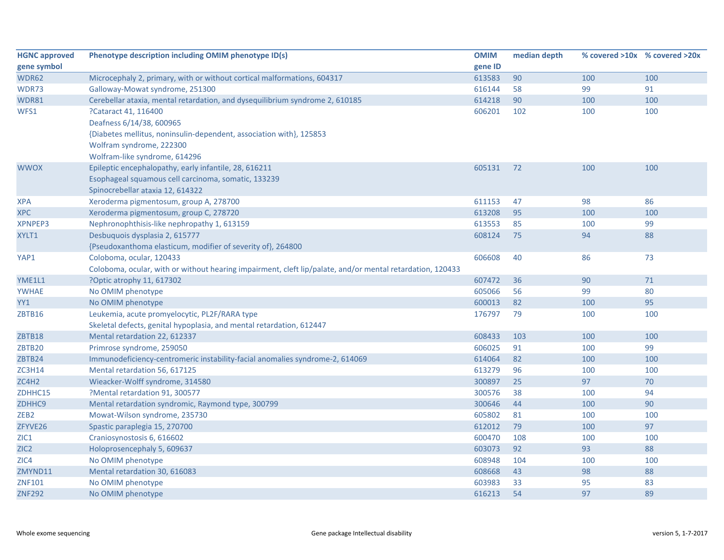| <b>HGNC approved</b> | Phenotype description including OMIM phenotype ID(s)                                                      | <b>OMIM</b> | median depth |     | % covered >10x % covered >20x |
|----------------------|-----------------------------------------------------------------------------------------------------------|-------------|--------------|-----|-------------------------------|
| gene symbol          |                                                                                                           | gene ID     |              |     |                               |
| WDR62                | Microcephaly 2, primary, with or without cortical malformations, 604317                                   | 613583      | 90           | 100 | 100                           |
| WDR73                | Galloway-Mowat syndrome, 251300                                                                           | 616144      | 58           | 99  | 91                            |
| WDR81                | Cerebellar ataxia, mental retardation, and dysequilibrium syndrome 2, 610185                              | 614218      | 90           | 100 | 100                           |
| WFS1                 | ?Cataract 41, 116400                                                                                      | 606201      | 102          | 100 | 100                           |
|                      | Deafness 6/14/38, 600965                                                                                  |             |              |     |                               |
|                      | {Diabetes mellitus, noninsulin-dependent, association with}, 125853                                       |             |              |     |                               |
|                      | Wolfram syndrome, 222300                                                                                  |             |              |     |                               |
|                      | Wolfram-like syndrome, 614296                                                                             |             |              |     |                               |
| <b>WWOX</b>          | Epileptic encephalopathy, early infantile, 28, 616211                                                     | 605131      | 72           | 100 | 100                           |
|                      | Esophageal squamous cell carcinoma, somatic, 133239                                                       |             |              |     |                               |
|                      | Spinocrebellar ataxia 12, 614322                                                                          |             |              |     |                               |
| <b>XPA</b>           | Xeroderma pigmentosum, group A, 278700                                                                    | 611153      | 47           | 98  | 86                            |
| <b>XPC</b>           | Xeroderma pigmentosum, group C, 278720                                                                    | 613208      | 95           | 100 | 100                           |
| <b>XPNPEP3</b>       | Nephronophthisis-like nephropathy 1, 613159                                                               | 613553      | 85           | 100 | 99                            |
| XYLT1                | Desbuquois dysplasia 2, 615777                                                                            | 608124      | 75           | 94  | 88                            |
|                      | {Pseudoxanthoma elasticum, modifier of severity of}, 264800                                               |             |              |     |                               |
| YAP1                 | Coloboma, ocular, 120433                                                                                  | 606608      | 40           | 86  | 73                            |
|                      | Coloboma, ocular, with or without hearing impairment, cleft lip/palate, and/or mental retardation, 120433 |             |              |     |                               |
| YME1L1               | ?Optic atrophy 11, 617302                                                                                 | 607472      | 36           | 90  | 71                            |
| <b>YWHAE</b>         | No OMIM phenotype                                                                                         | 605066      | 56           | 99  | 80                            |
| YY1                  | No OMIM phenotype                                                                                         | 600013      | 82           | 100 | 95                            |
| <b>ZBTB16</b>        | Leukemia, acute promyelocytic, PL2F/RARA type                                                             | 176797      | 79           | 100 | 100                           |
|                      | Skeletal defects, genital hypoplasia, and mental retardation, 612447                                      |             |              |     |                               |
| ZBTB18               | Mental retardation 22, 612337                                                                             | 608433      | 103          | 100 | 100                           |
| ZBTB20               | Primrose syndrome, 259050                                                                                 | 606025      | 91           | 100 | 99                            |
| ZBTB24               | Immunodeficiency-centromeric instability-facial anomalies syndrome-2, 614069                              | 614064      | 82           | 100 | 100                           |
| <b>ZC3H14</b>        | Mental retardation 56, 617125                                                                             | 613279      | 96           | 100 | 100                           |
| ZC4H2                | Wieacker-Wolff syndrome, 314580                                                                           | 300897      | 25           | 97  | 70                            |
| ZDHHC15              | ?Mental retardation 91, 300577                                                                            | 300576      | 38           | 100 | 94                            |
| ZDHHC9               | Mental retardation syndromic, Raymond type, 300799                                                        | 300646      | 44           | 100 | 90                            |
| ZEB <sub>2</sub>     | Mowat-Wilson syndrome, 235730                                                                             | 605802      | 81           | 100 | 100                           |
| ZFYVE26              | Spastic paraplegia 15, 270700                                                                             | 612012      | 79           | 100 | 97                            |
| ZIC1                 | Craniosynostosis 6, 616602                                                                                | 600470      | 108          | 100 | 100                           |
| ZIC <sub>2</sub>     | Holoprosencephaly 5, 609637                                                                               | 603073      | 92           | 93  | 88                            |
| ZIC4                 | No OMIM phenotype                                                                                         | 608948      | 104          | 100 | 100                           |
| ZMYND11              | Mental retardation 30, 616083                                                                             | 608668      | 43           | 98  | 88                            |
| <b>ZNF101</b>        | No OMIM phenotype                                                                                         | 603983      | 33           | 95  | 83                            |
| <b>ZNF292</b>        | No OMIM phenotype                                                                                         | 616213      | 54           | 97  | 89                            |